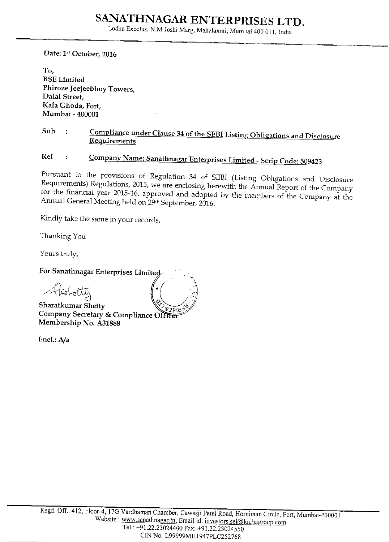Lodha Excelus, N.M Joshi Marg, Mahalaxmi, Mum vai 400 011, India

Date: 1st October, 2016

To. **BSE** Limited Phiroze Jeejeebhoy Towers, Dalal Street, Kala Ghoda, Fort, Mumbai - 400001

#### Sub Compliance under Clause 34 of the SEBI Listing Obligations and Disclosure  $\ddot{\cdot}$ Requirements

**Ref** Company Name: Sanathnagar Enterprises Limited - Scrip Code: 509423  $\ddot{\mathbf{z}}$ 

Pursuant to the provisions of Regulation 34 of SEBI (Listing Obligations and Disclosure Requirements) Regulations, 2015, we are enclosing herewith the Annual Report of the Company for the financial year 2015-16, approved and adopted by the members of the Company at the Annual General Meeting held on 29th September, 2016.

Kindly take the same in your records.

Thanking You

Yours truly,

For Sanathnagar Enterprises Limited

etty

Sharatkumar Shetty Company Secretary & Compliance Officer Membership No. A31888

Encl: A/a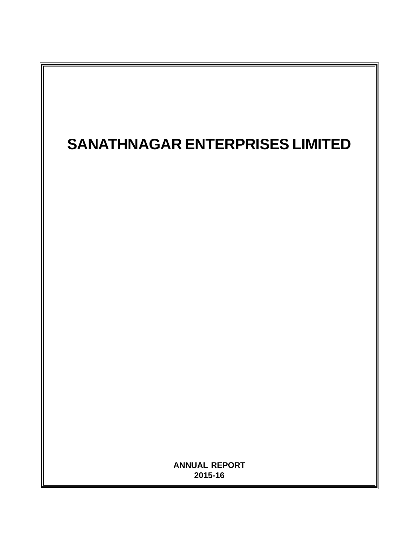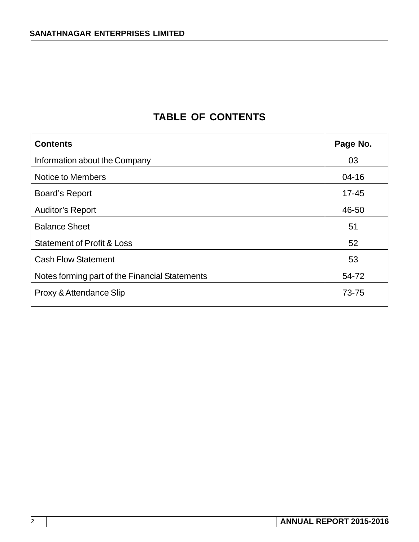# **TABLE OF CONTENTS**

| <b>Contents</b>                                | Page No.  |
|------------------------------------------------|-----------|
| Information about the Company                  | 03        |
| Notice to Members                              | $04 - 16$ |
| <b>Board's Report</b>                          | $17 - 45$ |
| <b>Auditor's Report</b>                        | 46-50     |
| <b>Balance Sheet</b>                           | 51        |
| <b>Statement of Profit &amp; Loss</b>          | 52        |
| <b>Cash Flow Statement</b>                     | 53        |
| Notes forming part of the Financial Statements | 54-72     |
| Proxy & Attendance Slip                        | 73-75     |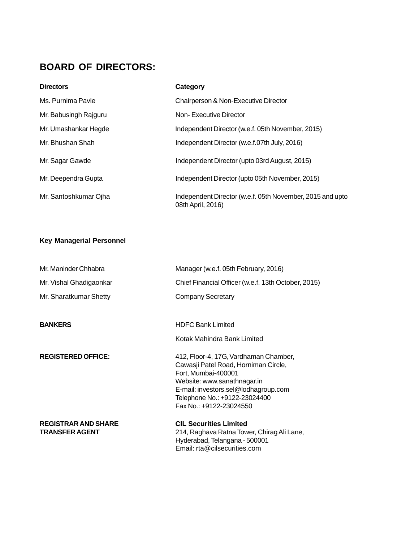# **BOARD OF DIRECTORS:**

| <b>Directors</b>      | Category                                                                       |
|-----------------------|--------------------------------------------------------------------------------|
| Ms. Purnima Pavle     | Chairperson & Non-Executive Director                                           |
| Mr. Babusingh Rajguru | Non-Executive Director                                                         |
| Mr. Umashankar Hegde  | Independent Director (w.e.f. 05th November, 2015)                              |
| Mr. Bhushan Shah      | Independent Director (w.e.f.07th July, 2016)                                   |
| Mr. Sagar Gawde       | Independent Director (upto 03rd August, 2015)                                  |
| Mr. Deependra Gupta   | Independent Director (upto 05th November, 2015)                                |
| Mr. Santoshkumar Ojha | Independent Director (w.e.f. 05th November, 2015 and upto<br>08th April, 2016) |

# **Key Managerial Personnel**

| Mr. Maninder Chhabra                                | Manager (w.e.f. 05th February, 2016)                                                                                                                                                                                                    |
|-----------------------------------------------------|-----------------------------------------------------------------------------------------------------------------------------------------------------------------------------------------------------------------------------------------|
| Mr. Vishal Ghadigaonkar                             | Chief Financial Officer (w.e.f. 13th October, 2015)                                                                                                                                                                                     |
| Mr. Sharatkumar Shetty                              | <b>Company Secretary</b>                                                                                                                                                                                                                |
|                                                     |                                                                                                                                                                                                                                         |
| <b>BANKERS</b>                                      | <b>HDFC Bank Limited</b>                                                                                                                                                                                                                |
|                                                     | Kotak Mahindra Bank Limited                                                                                                                                                                                                             |
| <b>REGISTERED OFFICE:</b>                           | 412, Floor-4, 17G, Vardhaman Chamber,<br>Cawasji Patel Road, Horniman Circle,<br>Fort, Mumbai-400001<br>Website: www.sanathnagar.in<br>E-mail: investors.sel@lodhagroup.com<br>Telephone No.: +9122-23024400<br>Fax No.: +9122-23024550 |
| <b>REGISTRAR AND SHARE</b><br><b>TRANSFER AGENT</b> | <b>CIL Securities Limited</b><br>214, Raghava Ratna Tower, Chirag Ali Lane,<br>Hyderabad, Telangana - 500001<br>Email: rta@cilsecurities.com                                                                                            |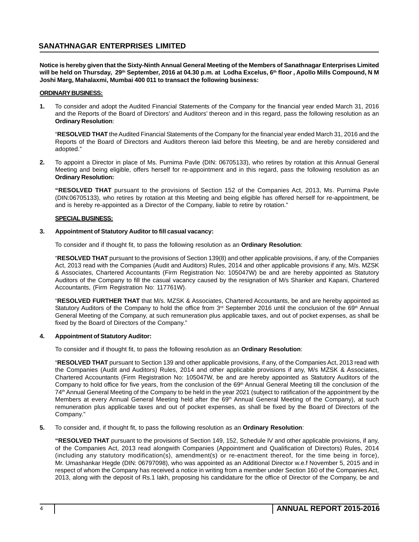**Notice is hereby given that the Sixty-Ninth Annual General Meeting of the Members of Sanathnagar Enterprises Limited** will be held on Thursday, 29<sup>th</sup> September, 2016 at 04.30 p.m. at Lodha Excelus, 6<sup>th</sup> floor, Apollo Mills Compound, N M **Joshi Marg, Mahalaxmi, Mumbai 400 011 to transact the following business:**

#### **ORDINARY BUSINESS:**

**1.** To consider and adopt the Audited Financial Statements of the Company for the financial year ended March 31, 2016 and the Reports of the Board of Directors' and Auditors' thereon and in this regard, pass the following resolution as an **Ordinary Resolution**:

"**RESOLVED THAT** the Audited Financial Statements of the Company for the financial year ended March 31, 2016 and the Reports of the Board of Directors and Auditors thereon laid before this Meeting, be and are hereby considered and adopted."

**2.** To appoint a Director in place of Ms. Purnima Pavle (DIN: 06705133), who retires by rotation at this Annual General Meeting and being eligible, offers herself for re-appointment and in this regard, pass the following resolution as an **Ordinary Resolution:**

**"RESOLVED THAT** pursuant to the provisions of Section 152 of the Companies Act, 2013, Ms. Purnima Pavle (DIN:06705133), who retires by rotation at this Meeting and being eligible has offered herself for re-appointment, be and is hereby re-appointed as a Director of the Company, liable to retire by rotation."

#### **SPECIAL BUSINESS:**

#### **3. Appointment of Statutory Auditor to fill casual vacancy:**

To consider and if thought fit, to pass the following resolution as an **Ordinary Resolution**:

"**RESOLVED THAT** pursuant to the provisions of Section 139(8) and other applicable provisions, if any, of the Companies Act, 2013 read with the Companies (Audit and Auditors) Rules, 2014 and other applicable provisions if any, M/s. MZSK & Associates, Chartered Accountants (Firm Registration No: 105047W) be and are hereby appointed as Statutory Auditors of the Company to fill the casual vacancy caused by the resignation of M/s Shanker and Kapani, Chartered Accountants, (Firm Registration No: 117761W).

"**RESOLVED FURTHER THAT** that M/s. MZSK & Associates, Chartered Accountants, be and are hereby appointed as Statutory Auditors of the Company to hold the office from 3<sup>rd</sup> September 2016 until the conclusion of the 69<sup>th</sup> Annual General Meeting of the Company, at such remuneration plus applicable taxes, and out of pocket expenses, as shall be fixed by the Board of Directors of the Company."

#### **4. Appointment of Statutory Auditor:**

To consider and if thought fit, to pass the following resolution as an **Ordinary Resolution**:

"**RESOLVED THAT** pursuant to Section 139 and other applicable provisions, if any, of the Companies Act, 2013 read with the Companies (Audit and Auditors) Rules, 2014 and other applicable provisions if any, M/s MZSK & Associates, Chartered Accountants (Firm Registration No: 105047W, be and are hereby appointed as Statutory Auditors of the Company to hold office for five years, from the conclusion of the 69<sup>th</sup> Annual General Meeting till the conclusion of the 74th Annual General Meeting of the Company to be held in the year 2021 (subject to ratification of the appointment by the Members at every Annual General Meeting held after the 69<sup>th</sup> Annual General Meeting of the Company), at such remuneration plus applicable taxes and out of pocket expenses, as shall be fixed by the Board of Directors of the Company."

**5.** To consider and, if thought fit, to pass the following resolution as an **Ordinary Resolution**:

**"RESOLVED THAT** pursuant to the provisions of Section 149, 152, Schedule IV and other applicable provisions, if any, of the Companies Act, 2013 read alongwith Companies (Appointment and Qualification of Directors) Rules, 2014 (including any statutory modification(s), amendment(s) or re-enactment thereof, for the time being in force), Mr. Umashankar Hegde (DIN: 06797098), who was appointed as an Additional Director w.e.f November 5, 2015 and in respect of whom the Company has received a notice in writing from a member under Section 160 of the Companies Act, 2013, along with the deposit of Rs.1 lakh, proposing his candidature for the office of Director of the Company, be and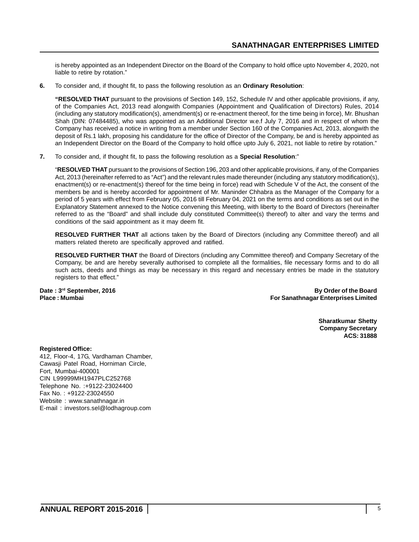is hereby appointed as an Independent Director on the Board of the Company to hold office upto November 4, 2020, not liable to retire by rotation."

**6.** To consider and, if thought fit, to pass the following resolution as an **Ordinary Resolution**:

**"RESOLVED THAT** pursuant to the provisions of Section 149, 152, Schedule IV and other applicable provisions, if any, of the Companies Act, 2013 read alongwith Companies (Appointment and Qualification of Directors) Rules, 2014 (including any statutory modification(s), amendment(s) or re-enactment thereof, for the time being in force), Mr. Bhushan Shah (DIN: 07484485), who was appointed as an Additional Director w.e.f July 7, 2016 and in respect of whom the Company has received a notice in writing from a member under Section 160 of the Companies Act, 2013, alongwith the deposit of Rs.1 lakh, proposing his candidature for the office of Director of the Company, be and is hereby appointed as an Independent Director on the Board of the Company to hold office upto July 6, 2021, not liable to retire by rotation."

**7.** To consider and, if thought fit, to pass the following resolution as a **Special Resolution**:"

"**RESOLVED THAT** pursuant to the provisions of Section 196, 203 and other applicable provisions, if any, of the Companies Act, 2013 (hereinafter referred to as "Act") and the relevant rules made thereunder (including any statutory modification(s), enactment(s) or re-enactment(s) thereof for the time being in force) read with Schedule V of the Act, the consent of the members be and is hereby accorded for appointment of Mr. Maninder Chhabra as the Manager of the Company for a period of 5 years with effect from February 05, 2016 till February 04, 2021 on the terms and conditions as set out in the Explanatory Statement annexed to the Notice convening this Meeting, with liberty to the Board of Directors (hereinafter referred to as the "Board" and shall include duly constituted Committee(s) thereof) to alter and vary the terms and conditions of the said appointment as it may deem fit.

**RESOLVED FURTHER THAT** all actions taken by the Board of Directors (including any Committee thereof) and all matters related thereto are specifically approved and ratified.

**RESOLVED FURTHER THAT** the Board of Directors (including any Committee thereof) and Company Secretary of the Company, be and are hereby severally authorised to complete all the formalities, file necessary forms and to do all such acts, deeds and things as may be necessary in this regard and necessary entries be made in the statutory registers to that effect."

**Date : 3rd September, 2016 By Order of the Board Place : Mumbai For Sanathnagar Enterprises Limited**

> **Sharatkumar Shetty Company Secretary ACS: 31888**

**Registered Office:**

412, Floor-4, 17G, Vardhaman Chamber, Cawasji Patel Road, Horniman Circle, Fort, Mumbai-400001 CIN L99999MH1947PLC252768 Telephone No. :+9122-23024400 Fax No. : +9122-23024550 Website : www.sanathnagar.in E-mail : investors.sel@lodhagroup.com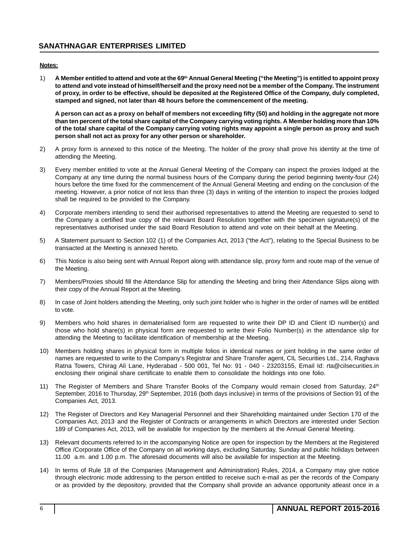#### **Notes:**

1) **A Member entitled to attend and vote at the 69th Annual General Meeting ("the Meeting") is entitled to appoint proxy to attend and vote instead of himself/herself and the proxy need not be a member of the Company. The instrument of proxy, in order to be effective, should be deposited at the Registered Office of the Company, duly completed, stamped and signed, not later than 48 hours before the commencement of the meeting.**

**A person can act as a proxy on behalf of members not exceeding fifty (50) and holding in the aggregate not more than ten percent of the total share capital of the Company carrying voting rights. A Member holding more than 10% of the total share capital of the Company carrying voting rights may appoint a single person as proxy and such person shall not act as proxy for any other person or shareholder.**

- 2) A proxy form is annexed to this notice of the Meeting. The holder of the proxy shall prove his identity at the time of attending the Meeting.
- 3) Every member entitled to vote at the Annual General Meeting of the Company can inspect the proxies lodged at the Company at any time during the normal business hours of the Company during the period beginning twenty-four (24) hours before the time fixed for the commencement of the Annual General Meeting and ending on the conclusion of the meeting. However, a prior notice of not less than three (3) days in writing of the intention to inspect the proxies lodged shall be required to be provided to the Company.
- 4) Corporate members intending to send their authorised representatives to attend the Meeting are requested to send to the Company a certified true copy of the relevant Board Resolution together with the specimen signature(s) of the representatives authorised under the said Board Resolution to attend and vote on their behalf at the Meeting.
- 5) A Statement pursuant to Section 102 (1) of the Companies Act, 2013 ("the Act"), relating to the Special Business to be transacted at the Meeting is annexed hereto.
- 6) This Notice is also being sent with Annual Report along with attendance slip, proxy form and route map of the venue of the Meeting.
- 7) Members/Proxies should fill the Attendance Slip for attending the Meeting and bring their Attendance Slips along with their copy of the Annual Report at the Meeting.
- 8) In case of Joint holders attending the Meeting, only such joint holder who is higher in the order of names will be entitled to vote.
- 9) Members who hold shares in dematerialised form are requested to write their DP ID and Client ID number(s) and those who hold share(s) in physical form are requested to write their Folio Number(s) in the attendance slip for attending the Meeting to facilitate identification of membership at the Meeting.
- 10) Members holding shares in physical form in multiple folios in identical names or joint holding in the same order of names are requested to write to the Company's Registrar and Share Transfer agent, CIL Securities Ltd., 214, Raghava Ratna Towers, Chirag Ali Lane, Hyderabad - 500 001, Tel No: 91 - 040 - 23203155, Email Id: rta@cilsecurities.in enclosing their original share certificate to enable them to consolidate the holdings into one folio.
- 11) The Register of Members and Share Transfer Books of the Company would remain closed from Saturday, 24<sup>th</sup> September, 2016 to Thursday, 29<sup>th</sup> September, 2016 (both days inclusive) in terms of the provisions of Section 91 of the Companies Act, 2013.
- 12) The Register of Directors and Key Managerial Personnel and their Shareholding maintained under Section 170 of the Companies Act, 2013 and the Register of Contracts or arrangements in which Directors are interested under Section 189 of Companies Act, 2013, will be available for inspection by the members at the Annual General Meeting.
- 13) Relevant documents referred to in the accompanying Notice are open for inspection by the Members at the Registered Office /Corporate Office of the Company on all working days, excluding Saturday, Sunday and public holidays between 11.00 a.m. and 1.00 p.m. The aforesaid documents will also be available for inspection at the Meeting.
- 14) In terms of Rule 18 of the Companies (Management and Administration) Rules, 2014, a Company may give notice through electronic mode addressing to the person entitled to receive such e-mail as per the records of the Company or as provided by the depository, provided that the Company shall provide an advance opportunity atleast once in a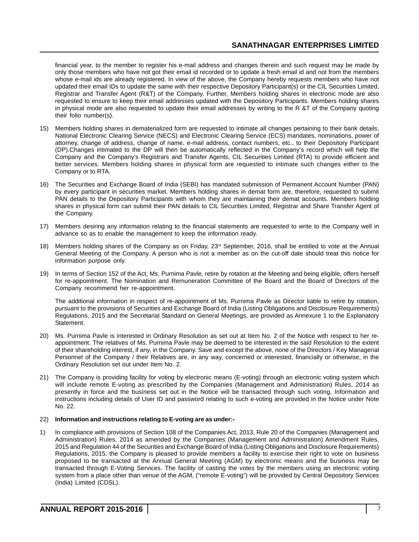financial year, to the member to register his e-mail address and changes therein and such request may be made by only those members who have not got their email id recorded or to update a fresh email id and not from the members whose e-mail ids are already registered. In view of the above, the Company hereby requests members who have not updated their email IDs to update the same with their respective Depository Participant(s) or the CIL Securities Limited, Registrar and Transfer Agent (R&T) of the Company. Further, Members holding shares in electronic mode are also requested to ensure to keep their email addresses updated with the Depository Participants. Members holding shares in physical mode are also requested to update their email addresses by writing to the R &T of the Company quoting their folio number(s).

- 15) Members holding shares in dematerialized form are requested to intimate all changes pertaining to their bank details, National Electronic Clearing Service (NECS) and Electronic Clearing Service (ECS) mandates, nominations, power of attorney, change of address, change of name, e-mail address, contact numbers, etc., to their Depository Participant (DP).Changes intimated to the DP will then be automatically reflected in the Company's record which will help the Company and the Company's Registrars and Transfer Agents, CIL Securities Limited (RTA) to provide efficient and better services. Members holding shares in physical form are requested to intimate such changes either to the Company or to RTA.
- 16) The Securities and Exchange Board of India (SEBI) has mandated submission of Permanent Account Number (PAN) by every participant in securities market. Members holding shares in demat form are, therefore, requested to submit PAN details to the Depository Participants with whom they are maintaining their demat accounts. Members holding shares in physical form can submit their PAN details to CIL Securities Limited, Registrar and Share Transfer Agent of the Company.
- 17) Members desiring any information relating to the financial statements are requested to write to the Company well in advance so as to enable the management to keep the information ready.
- 18) Members holding shares of the Company as on Friday, 23rd September, 2016, shall be entitled to vote at the Annual General Meeting of the Company. A person who is not a member as on the cut-off date should treat this notice for information purpose only.
- 19) In terms of Section 152 of the Act, Ms. Purnima Pavle, retire by rotation at the Meeting and being eligible, offers herself for re-appointment. The Nomination and Remuneration Committee of the Board and the Board of Directors of the Company recommend her re-appointment.

The additional information in respect of re-appointment of Ms. Purnima Pavle as Director liable to retire by rotation, pursuant to the provisions of Securities and Exchange Board of India (Listing Obligations and Disclosure Requirements) Regulations, 2015 and the Secretarial Standard on General Meetings, are provided as Annexure 1 to the Explanatory Statement.

- 20) Ms. Purnima Pavle is interested in Ordinary Resolution as set out at Item No. 2 of the Notice with respect to her reappointment. The relatives of Ms. Purnima Pavle may be deemed to be interested in the said Resolution to the extent of their shareholding interest, if any, in the Company. Save and except the above, none of the Directors / Key Managerial Personnel of the Company / their Relatives are, in any way, concerned or interested, financially or otherwise, in the Ordinary Resolution set out under Item No. 2.
- 21) The Company is providing facility for voting by electronic means (E-voting) through an electronic voting system which will include remote E-voting as prescribed by the Companies (Management and Administration) Rules, 2014 as presently in force and the business set out in the Notice will be transacted through such voting. Information and instructions including details of User ID and password relating to such e-voting are provided in the Notice under Note No. 22.

#### 22) **Information and instructions relating to E-voting are as under:-**

1) In compliance with provisions of Section 108 of the Companies Act, 2013, Rule 20 of the Companies (Management and Administration) Rules, 2014 as amended by the Companies (Management and Administration) Amendment Rules, 2015 and Regulation 44 of the Securities and Exchange Board of India (Listing Obligations and Disclosure Requirements) Regulations, 2015, the Company is pleased to provide members a facility to exercise their right to vote on business proposed to be transacted at the Annual General Meeting (AGM) by electronic means and the business may be transacted through E-Voting Services. The facility of casting the votes by the members using an electronic voting system from a place other than venue of the AGM, ("remote E-voting") will be provided by Central Depository Services (India) Limited (CDSL).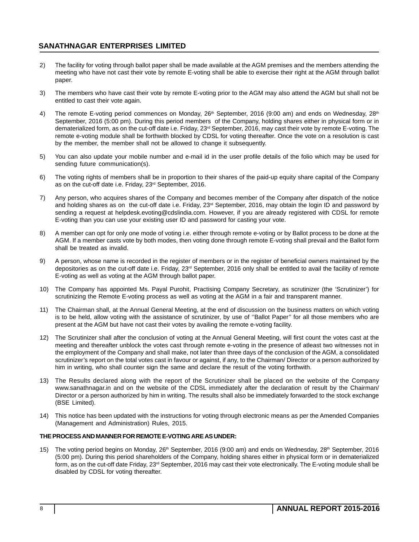- 2) The facility for voting through ballot paper shall be made available at the AGM premises and the members attending the meeting who have not cast their vote by remote E-voting shall be able to exercise their right at the AGM through ballot paper.
- 3) The members who have cast their vote by remote E-voting prior to the AGM may also attend the AGM but shall not be entitled to cast their vote again.
- 4) The remote E-voting period commences on Monday, 26<sup>th</sup> September, 2016 (9:00 am) and ends on Wednesday, 28<sup>th</sup> September, 2016 (5:00 pm). During this period members of the Company, holding shares either in physical form or in dematerialized form, as on the cut-off date i.e. Friday, 23rd September, 2016, may cast their vote by remote E-voting. The remote e-voting module shall be forthwith blocked by CDSL for voting thereafter. Once the vote on a resolution is cast by the member, the member shall not be allowed to change it subsequently.
- 5) You can also update your mobile number and e-mail id in the user profile details of the folio which may be used for sending future communication(s).
- 6) The voting rights of members shall be in proportion to their shares of the paid-up equity share capital of the Company as on the cut-off date i.e. Friday, 23<sup>rd</sup> September, 2016.
- 7) Any person, who acquires shares of the Company and becomes member of the Company after dispatch of the notice and holding shares as on the cut-off date i.e. Friday, 23<sup>rd</sup> September, 2016, may obtain the login ID and password by sending a request at helpdesk.evoting@cdslindia.com. However, if you are already registered with CDSL for remote E-voting than you can use your existing user ID and password for casting your vote.
- 8) A member can opt for only one mode of voting i.e. either through remote e-voting or by Ballot process to be done at the AGM. If a member casts vote by both modes, then voting done through remote E-voting shall prevail and the Ballot form shall be treated as invalid.
- 9) A person, whose name is recorded in the register of members or in the register of beneficial owners maintained by the depositories as on the cut-off date i.e. Friday, 23<sup>rd</sup> September, 2016 only shall be entitled to avail the facility of remote E-voting as well as voting at the AGM through ballot paper.
- 10) The Company has appointed Ms. Payal Purohit, Practising Company Secretary, as scrutinizer (the 'Scrutinizer') for scrutinizing the Remote E-voting process as well as voting at the AGM in a fair and transparent manner.
- 11) The Chairman shall, at the Annual General Meeting, at the end of discussion on the business matters on which voting is to be held, allow voting with the assistance of scrutinizer, by use of ''Ballot Paper'' for all those members who are present at the AGM but have not cast their votes by availing the remote e-voting facility.
- 12) The Scrutinizer shall after the conclusion of voting at the Annual General Meeting, will first count the votes cast at the meeting and thereafter unblock the votes cast through remote e-voting in the presence of atleast two witnesses not in the employment of the Company and shall make, not later than three days of the conclusion of the AGM, a consolidated scrutinizer's report on the total votes cast in favour or against, if any, to the Chairman/ Director or a person authorized by him in writing, who shall counter sign the same and declare the result of the voting forthwith.
- 13) The Results declared along with the report of the Scrutinizer shall be placed on the website of the Company www.sanathnagar.in and on the website of the CDSL immediately after the declaration of result by the Chairman/ Director or a person authorized by him in writing. The results shall also be immediately forwarded to the stock exchange (BSE Limited).
- 14) This notice has been updated with the instructions for voting through electronic means as per the Amended Companies (Management and Administration) Rules, 2015.

#### **THE PROCESS AND MANNER FOR REMOTE E-VOTING ARE AS UNDER:**

15) The voting period begins on Monday, 26<sup>th</sup> September, 2016 (9:00 am) and ends on Wednesday, 28<sup>th</sup> September, 2016 (5:00 pm). During this period shareholders of the Company, holding shares either in physical form or in dematerialized form, as on the cut-off date Friday, 23<sup>rd</sup> September, 2016 may cast their vote electronically. The E-voting module shall be disabled by CDSL for voting thereafter.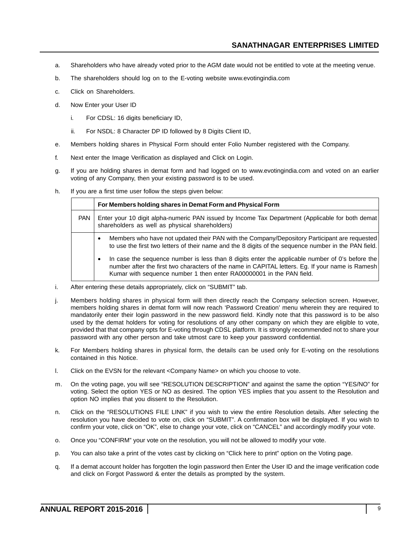- a. Shareholders who have already voted prior to the AGM date would not be entitled to vote at the meeting venue.
- b. The shareholders should log on to the E-voting website www.evotingindia.com
- c. Click on Shareholders.
- d. Now Enter your User ID
	- i. For CDSL: 16 digits beneficiary ID,
	- ii. For NSDL: 8 Character DP ID followed by 8 Digits Client ID,
- e. Members holding shares in Physical Form should enter Folio Number registered with the Company.
- f. Next enter the Image Verification as displayed and Click on Login.
- g. If you are holding shares in demat form and had logged on to www.evotingindia.com and voted on an earlier voting of any Company, then your existing password is to be used.
- h. If you are a first time user follow the steps given below:

|            | For Members holding shares in Demat Form and Physical Form                                                                                                                                                                                                                               |
|------------|------------------------------------------------------------------------------------------------------------------------------------------------------------------------------------------------------------------------------------------------------------------------------------------|
| <b>PAN</b> | Enter your 10 digit alpha-numeric PAN issued by Income Tax Department (Applicable for both demat<br>shareholders as well as physical shareholders)                                                                                                                                       |
|            | Members who have not updated their PAN with the Company/Depository Participant are requested<br>$\bullet$<br>to use the first two letters of their name and the 8 digits of the sequence number in the PAN field.                                                                        |
|            | In case the sequence number is less than 8 digits enter the applicable number of 0's before the<br>$\bullet$<br>number after the first two characters of the name in CAPITAL letters. Eq. If your name is Ramesh<br>Kumar with sequence number 1 then enter RA00000001 in the PAN field. |

- i. After entering these details appropriately, click on "SUBMIT" tab.
- j. Members holding shares in physical form will then directly reach the Company selection screen. However, members holding shares in demat form will now reach 'Password Creation' menu wherein they are required to mandatorily enter their login password in the new password field. Kindly note that this password is to be also used by the demat holders for voting for resolutions of any other company on which they are eligible to vote, provided that that company opts for E-voting through CDSL platform. It is strongly recommended not to share your password with any other person and take utmost care to keep your password confidential.
- k. For Members holding shares in physical form, the details can be used only for E-voting on the resolutions contained in this Notice.
- l. Click on the EVSN for the relevant <Company Name> on which you choose to vote.
- m. On the voting page, you will see "RESOLUTION DESCRIPTION" and against the same the option "YES/NO" for voting. Select the option YES or NO as desired. The option YES implies that you assent to the Resolution and option NO implies that you dissent to the Resolution.
- n. Click on the "RESOLUTIONS FILE LINK" if you wish to view the entire Resolution details. After selecting the resolution you have decided to vote on, click on "SUBMIT". A confirmation box will be displayed. If you wish to confirm your vote, click on "OK", else to change your vote, click on "CANCEL" and accordingly modify your vote.
- o. Once you "CONFIRM" your vote on the resolution, you will not be allowed to modify your vote.
- p. You can also take a print of the votes cast by clicking on "Click here to print" option on the Voting page.
- q. If a demat account holder has forgotten the login password then Enter the User ID and the image verification code and click on Forgot Password & enter the details as prompted by the system.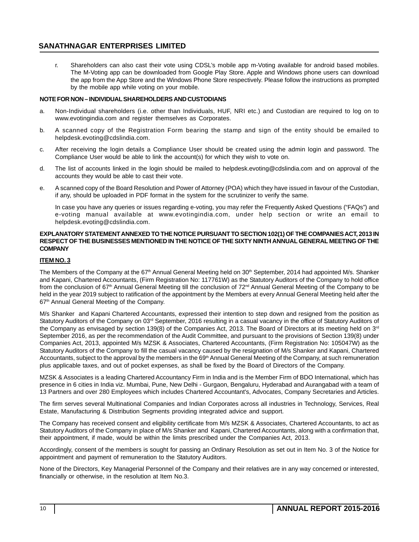r. Shareholders can also cast their vote using CDSL's mobile app m-Voting available for android based mobiles. The M-Voting app can be downloaded from Google Play Store. Apple and Windows phone users can download the app from the App Store and the Windows Phone Store respectively. Please follow the instructions as prompted by the mobile app while voting on your mobile.

#### **NOTE FOR NON – INDIVIDUAL SHAREHOLDERS AND CUSTODIANS**

- a. Non-Individual shareholders (i.e. other than Individuals, HUF, NRI etc.) and Custodian are required to log on to www.evotingindia.com and register themselves as Corporates.
- b. A scanned copy of the Registration Form bearing the stamp and sign of the entity should be emailed to helpdesk.evoting@cdslindia.com.
- c. After receiving the login details a Compliance User should be created using the admin login and password. The Compliance User would be able to link the account(s) for which they wish to vote on.
- d. The list of accounts linked in the login should be mailed to helpdesk.evoting@cdslindia.com and on approval of the accounts they would be able to cast their vote.
- e. A scanned copy of the Board Resolution and Power of Attorney (POA) which they have issued in favour of the Custodian, if any, should be uploaded in PDF format in the system for the scrutinizer to verify the same.

In case you have any queries or issues regarding e-voting, you may refer the Frequently Asked Questions ("FAQs") and e-voting manual available at www.evotingindia.com, under help section or write an email to helpdesk.evoting@cdslindia.com.

#### **EXPLANATORY STATEMENT ANNEXED TO THE NOTICE PURSUANT TO SECTION 102(1) OF THE COMPANIES ACT, 2013 IN RESPECT OF THE BUSINESSES MENTIONED IN THE NOTICE OF THE SIXTY NINTH ANNUAL GENERAL MEETING OF THE COMPANY**

#### **ITEM NO. 3**

The Members of the Company at the 67<sup>th</sup> Annual General Meeting held on 30<sup>th</sup> September, 2014 had appointed M/s. Shanker and Kapani, Chartered Accountants, (Firm Registration No: 117761W) as the Statutory Auditors of the Company to hold office from the conclusion of 67<sup>th</sup> Annual General Meeting till the conclusion of 72<sup>nd</sup> Annual General Meeting of the Company to be held in the year 2019 subject to ratification of the appointment by the Members at every Annual General Meeting held after the 67<sup>th</sup> Annual General Meeting of the Company.

M/s Shanker and Kapani Chartered Accountants, expressed their intention to step down and resigned from the position as Statutory Auditors of the Company on 03<sup>rd</sup> September, 2016 resulting in a casual vacancy in the office of Statutory Auditors of the Company as envisaged by section 139(8) of the Companies Act, 2013. The Board of Directors at its meeting held on 3<sup>rd</sup> September 2016, as per the recommendation of the Audit Committee, and pursuant to the provisions of Section 139(8) under Companies Act, 2013, appointed M/s MZSK & Associates, Chartered Accountants, (Firm Registration No: 105047W) as the Statutory Auditors of the Company to fill the casual vacancy caused by the resignation of M/s Shanker and Kapani, Chartered Accountants, subject to the approval by the members in the 69<sup>th</sup> Annual General Meeting of the Company, at such remuneration plus applicable taxes, and out of pocket expenses, as shall be fixed by the Board of Directors of the Company.

MZSK & Associates is a leading Chartered Accountancy Firm in India and is the Member Firm of BDO International, which has presence in 6 cities in India viz. Mumbai, Pune, New Delhi - Gurgaon, Bengaluru, Hyderabad and Aurangabad with a team of 13 Partners and over 280 Employees which includes Chartered Accountant's, Advocates, Company Secretaries and Articles.

The firm serves several Multinational Companies and Indian Corporates across all industries in Technology, Services, Real Estate, Manufacturing & Distribution Segments providing integrated advice and support.

The Company has received consent and eligibility certificate from M/s MZSK & Associates, Chartered Accountants, to act as Statutory Auditors of the Company in place of M/s Shanker and Kapani, Chartered Accountants, along with a confirmation that, their appointment, if made, would be within the limits prescribed under the Companies Act, 2013.

Accordingly, consent of the members is sought for passing an Ordinary Resolution as set out in Item No. 3 of the Notice for appointment and payment of remuneration to the Statutory Auditors.

None of the Directors, Key Managerial Personnel of the Company and their relatives are in any way concerned or interested, financially or otherwise, in the resolution at Item No.3.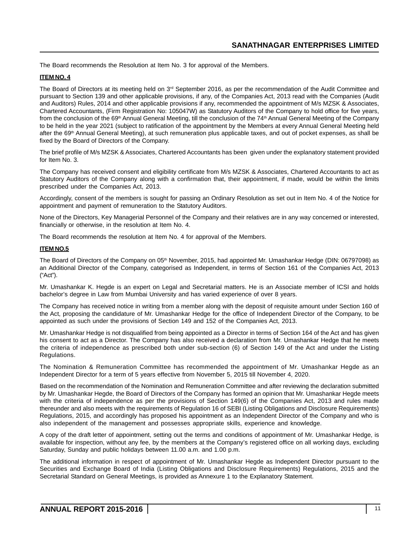The Board recommends the Resolution at Item No. 3 for approval of the Members.

#### **ITEM NO. 4**

The Board of Directors at its meeting held on  $3^{rd}$  September 2016, as per the recommendation of the Audit Committee and pursuant to Section 139 and other applicable provisions, if any, of the Companies Act, 2013 read with the Companies (Audit and Auditors) Rules, 2014 and other applicable provisions if any, recommended the appointment of M/s MZSK & Associates, Chartered Accountants, (Firm Registration No: 105047W) as Statutory Auditors of the Company to hold office for five years, from the conclusion of the 69<sup>th</sup> Annual General Meeting, till the conclusion of the 74<sup>th</sup> Annual General Meeting of the Company to be held in the year 2021 (subject to ratification of the appointment by the Members at every Annual General Meeting held after the 69<sup>th</sup> Annual General Meeting), at such remuneration plus applicable taxes, and out of pocket expenses, as shall be fixed by the Board of Directors of the Company.

The brief profile of M/s MZSK & Associates, Chartered Accountants has been given under the explanatory statement provided for Item No. 3.

The Company has received consent and eligibility certificate from M/s MZSK & Associates, Chartered Accountants to act as Statutory Auditors of the Company along with a confirmation that, their appointment, if made, would be within the limits prescribed under the Companies Act, 2013.

Accordingly, consent of the members is sought for passing an Ordinary Resolution as set out in Item No. 4 of the Notice for appointment and payment of remuneration to the Statutory Auditors.

None of the Directors, Key Managerial Personnel of the Company and their relatives are in any way concerned or interested, financially or otherwise, in the resolution at Item No. 4.

The Board recommends the resolution at Item No. 4 for approval of the Members.

#### **ITEM NO.5**

The Board of Directors of the Company on 05<sup>th</sup> November, 2015, had appointed Mr. Umashankar Hedge (DIN: 06797098) as an Additional Director of the Company, categorised as Independent, in terms of Section 161 of the Companies Act, 2013 ("Act").

Mr. Umashankar K. Hegde is an expert on Legal and Secretarial matters. He is an Associate member of ICSI and holds bachelor's degree in Law from Mumbai University and has varied experience of over 8 years.

The Company has received notice in writing from a member along with the deposit of requisite amount under Section 160 of the Act, proposing the candidature of Mr. Umashankar Hedge for the office of Independent Director of the Company, to be appointed as such under the provisions of Section 149 and 152 of the Companies Act, 2013.

Mr. Umashankar Hedge is not disqualified from being appointed as a Director in terms of Section 164 of the Act and has given his consent to act as a Director. The Company has also received a declaration from Mr. Umashankar Hedge that he meets the criteria of independence as prescribed both under sub-section (6) of Section 149 of the Act and under the Listing Regulations.

The Nomination & Remuneration Committee has recommended the appointment of Mr. Umashankar Hegde as an Independent Director for a term of 5 years effective from November 5, 2015 till November 4, 2020.

Based on the recommendation of the Nomination and Remuneration Committee and after reviewing the declaration submitted by Mr. Umashankar Hegde, the Board of Directors of the Company has formed an opinion that Mr. Umashankar Hegde meets with the criteria of independence as per the provisions of Section 149(6) of the Companies Act, 2013 and rules made thereunder and also meets with the requirements of Regulation 16 of SEBI (Listing Obligations and Disclosure Requirements) Regulations, 2015, and accordingly has proposed his appointment as an Independent Director of the Company and who is also independent of the management and possesses appropriate skills, experience and knowledge.

A copy of the draft letter of appointment, setting out the terms and conditions of appointment of Mr. Umashankar Hedge, is available for inspection, without any fee, by the members at the Company's registered office on all working days, excluding Saturday, Sunday and public holidays between 11.00 a.m. and 1.00 p.m.

The additional information in respect of appointment of Mr. Umashankar Hegde as Independent Director pursuant to the Securities and Exchange Board of India (Listing Obligations and Disclosure Requirements) Regulations, 2015 and the Secretarial Standard on General Meetings, is provided as Annexure 1 to the Explanatory Statement.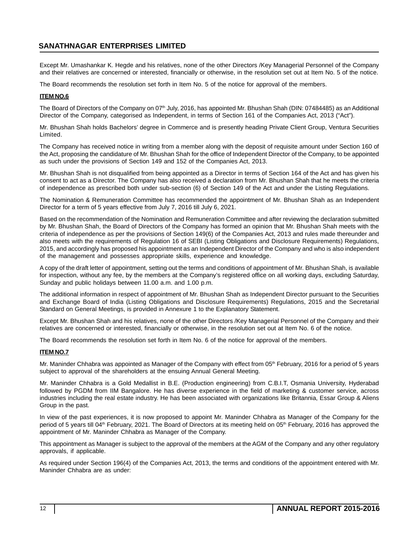Except Mr. Umashankar K. Hegde and his relatives, none of the other Directors /Key Managerial Personnel of the Company and their relatives are concerned or interested, financially or otherwise, in the resolution set out at Item No. 5 of the notice.

The Board recommends the resolution set forth in Item No. 5 of the notice for approval of the members.

#### **ITEM NO.6**

The Board of Directors of the Company on 07<sup>th</sup> July, 2016, has appointed Mr. Bhushan Shah (DIN: 07484485) as an Additional Director of the Company, categorised as Independent, in terms of Section 161 of the Companies Act, 2013 ("Act").

Mr. Bhushan Shah holds Bachelors' degree in Commerce and is presently heading Private Client Group, Ventura Securities Limited.

The Company has received notice in writing from a member along with the deposit of requisite amount under Section 160 of the Act, proposing the candidature of Mr. Bhushan Shah for the office of Independent Director of the Company, to be appointed as such under the provisions of Section 149 and 152 of the Companies Act, 2013.

Mr. Bhushan Shah is not disqualified from being appointed as a Director in terms of Section 164 of the Act and has given his consent to act as a Director. The Company has also received a declaration from Mr. Bhushan Shah that he meets the criteria of independence as prescribed both under sub-section (6) of Section 149 of the Act and under the Listing Regulations.

The Nomination & Remuneration Committee has recommended the appointment of Mr. Bhushan Shah as an Independent Director for a term of 5 years effective from July 7, 2016 till July 6, 2021.

Based on the recommendation of the Nomination and Remuneration Committee and after reviewing the declaration submitted by Mr. Bhushan Shah, the Board of Directors of the Company has formed an opinion that Mr. Bhushan Shah meets with the criteria of independence as per the provisions of Section 149(6) of the Companies Act, 2013 and rules made thereunder and also meets with the requirements of Regulation 16 of SEBI (Listing Obligations and Disclosure Requirements) Regulations, 2015, and accordingly has proposed his appointment as an Independent Director of the Company and who is also independent of the management and possesses appropriate skills, experience and knowledge.

A copy of the draft letter of appointment, setting out the terms and conditions of appointment of Mr. Bhushan Shah, is available for inspection, without any fee, by the members at the Company's registered office on all working days, excluding Saturday, Sunday and public holidays between 11.00 a.m. and 1.00 p.m.

The additional information in respect of appointment of Mr. Bhushan Shah as Independent Director pursuant to the Securities and Exchange Board of India (Listing Obligations and Disclosure Requirements) Regulations, 2015 and the Secretarial Standard on General Meetings, is provided in Annexure 1 to the Explanatory Statement.

Except Mr. Bhushan Shah and his relatives, none of the other Directors /Key Managerial Personnel of the Company and their relatives are concerned or interested, financially or otherwise, in the resolution set out at Item No. 6 of the notice.

The Board recommends the resolution set forth in Item No. 6 of the notice for approval of the members.

#### **ITEM NO.7**

Mr. Maninder Chhabra was appointed as Manager of the Company with effect from 05<sup>th</sup> February, 2016 for a period of 5 years subject to approval of the shareholders at the ensuing Annual General Meeting.

Mr. Maninder Chhabra is a Gold Medallist in B.E. (Production engineering) from C.B.I.T, Osmania University, Hyderabad followed by PGDM from IIM Bangalore. He has diverse experience in the field of marketing & customer service, across industries including the real estate industry. He has been associated with organizations like Britannia, Essar Group & Aliens Group in the past.

In view of the past experiences, it is now proposed to appoint Mr. Maninder Chhabra as Manager of the Company for the period of 5 years till 04<sup>th</sup> February, 2021. The Board of Directors at its meeting held on 05<sup>th</sup> February, 2016 has approved the appointment of Mr. Maninder Chhabra as Manager of the Company.

This appointment as Manager is subject to the approval of the members at the AGM of the Company and any other regulatory approvals, if applicable.

As required under Section 196(4) of the Companies Act, 2013, the terms and conditions of the appointment entered with Mr. Maninder Chhabra are as under: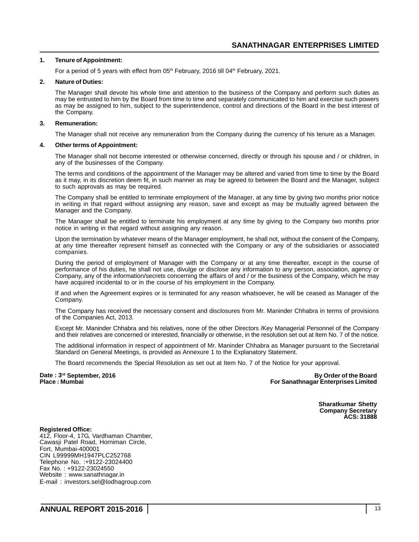#### **1. Tenure of Appointment:**

For a period of 5 years with effect from  $05<sup>th</sup>$  February, 2016 till 04 $<sup>th</sup>$  February, 2021.</sup>

#### **2. Nature of Duties:**

The Manager shall devote his whole time and attention to the business of the Company and perform such duties as may be entrusted to him by the Board from time to time and separately communicated to him and exercise such powers as may be assigned to him, subject to the superintendence, control and directions of the Board in the best interest of the Company.

#### **3. Remuneration:**

The Manager shall not receive any remuneration from the Company during the currency of his tenure as a Manager.

#### **4. Other terms of Appointment:**

The Manager shall not become interested or otherwise concerned, directly or through his spouse and / or children, in any of the businesses of the Company.

The terms and conditions of the appointment of the Manager may be altered and varied from time to time by the Board as it may, in its discretion deem fit, in such manner as may be agreed to between the Board and the Manager, subject to such approvals as may be required.

The Company shall be entitled to terminate employment of the Manager, at any time by giving two months prior notice in writing in that regard without assigning any reason, save and except as may be mutually agreed between the Manager and the Company.

The Manager shall be entitled to terminate his employment at any time by giving to the Company two months prior notice in writing in that regard without assigning any reason.

Upon the termination by whatever means of the Manager employment, he shall not, without the consent of the Company, at any time thereafter represent himself as connected with the Company or any of the subsidiaries or associated companies.

During the period of employment of Manager with the Company or at any time thereafter, except in the course of performance of his duties, he shall not use, divulge or disclose any information to any person, association, agency or Company, any of the information/secrets concerning the affairs of and / or the business of the Company, which he may have acquired incidental to or in the course of his employment in the Company.

If and when the Agreement expires or is terminated for any reason whatsoever, he will be ceased as Manager of the Company.

The Company has received the necessary consent and disclosures from Mr. Maninder Chhabra in terms of provisions of the Companies Act, 2013.

Except Mr. Maninder Chhabra and his relatives, none of the other Directors /Key Managerial Personnel of the Company and their relatives are concerned or interested, financially or otherwise, in the resolution set out at Item No. 7 of the notice.

The additional information in respect of appointment of Mr. Maninder Chhabra as Manager pursuant to the Secretarial Standard on General Meetings, is provided as Annexure 1 to the Explanatory Statement.

The Board recommends the Special Resolution as set out at Item No. 7 of the Notice for your approval.

**Date : 3rd September, 2016 By Order of the Board For Sanathnagar Enterprises Limited** 

> **Sharatkumar Shetty Company Secretary ACS: 31888**

**Registered Office:** 412, Floor-4, 17G, Vardhaman Chamber, Cawasji Patel Road, Horniman Circle, Fort, Mumbai-400001 CIN L99999MH1947PLC252768 Telephone No. :+9122-23024400 Fax No. : +9122-23024550 Website : www.sanathnagar.in E-mail : investors.sel@lodhagroup.com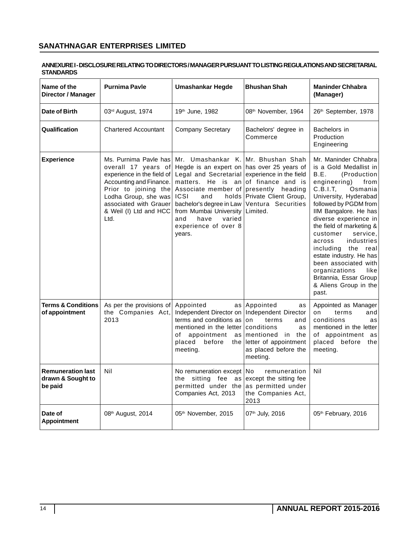#### **ANNEXURE I - DISCLOSURE RELATING TO DIRECTORS / MANAGER PURSUANT TO LISTING REGULATIONS AND SECRETARIAL STANDARDS**

| Name of the<br>Director / Manager                        | <b>Purnima Pavle</b>                                                                                                                                                                                              | Umashankar Hegde                                                                                                                                                                                                                                                                                           | <b>Bhushan Shah</b>                                                                                                                                            | <b>Maninder Chhabra</b><br>(Manager)                                                                                                                                                                                                                                                                                                                                                                                                                                      |
|----------------------------------------------------------|-------------------------------------------------------------------------------------------------------------------------------------------------------------------------------------------------------------------|------------------------------------------------------------------------------------------------------------------------------------------------------------------------------------------------------------------------------------------------------------------------------------------------------------|----------------------------------------------------------------------------------------------------------------------------------------------------------------|---------------------------------------------------------------------------------------------------------------------------------------------------------------------------------------------------------------------------------------------------------------------------------------------------------------------------------------------------------------------------------------------------------------------------------------------------------------------------|
| Date of Birth                                            | 03 <sup>rd</sup> August, 1974                                                                                                                                                                                     | 19th June, 1982                                                                                                                                                                                                                                                                                            | 08 <sup>th</sup> November, 1964                                                                                                                                | 26th September, 1978                                                                                                                                                                                                                                                                                                                                                                                                                                                      |
| Qualification                                            | <b>Chartered Accountant</b>                                                                                                                                                                                       | <b>Company Secretary</b>                                                                                                                                                                                                                                                                                   | Bachelors' degree in<br>Commerce                                                                                                                               | Bachelors in<br>Production<br>Engineering                                                                                                                                                                                                                                                                                                                                                                                                                                 |
| <b>Experience</b>                                        | Ms. Purnima Pavle has<br>overall 17 years of<br>experience in the field of<br>Accounting and Finance.<br>Prior to joining the<br>Lodha Group, she was<br>associated with Grauer<br>& Weil (I) Ltd and HCC<br>Ltd. | Mr. Umashankar K.   Mr. Bhushan Shah<br>Hegde is an expert on<br>Legal and Secretarial<br>matters. He is<br>anl<br>Associate member of presently heading<br><b>ICSI</b><br>holds  <br>and<br>bachelor's degree in Law<br>from Mumbai University<br>have<br>and<br>varied<br>experience of over 8<br>years. | has over 25 years of<br>experience in the field<br>of finance and is<br>Private Client Group,<br>Ventura Securities<br>Limited.                                | Mr. Maninder Chhabra<br>is a Gold Medallist in<br>B.E.<br>(Production)<br>engineering)<br>from<br>C.B.I.T.<br>Osmania<br>University, Hyderabad<br>followed by PGDM from<br>IIM Bangalore. He has<br>diverse experience in<br>the field of marketing &<br>customer<br>service,<br>industries<br>across<br>including<br>the<br>real<br>estate industry. He has<br>been associated with<br>organizations<br>like<br>Britannia, Essar Group<br>& Aliens Group in the<br>past. |
| <b>Terms &amp; Conditions</b><br>of appointment          | As per the provisions of<br>the Companies Act,<br>2013                                                                                                                                                            | Appointed<br>as l<br>Independent Director on<br>terms and conditions as<br>mentioned in the letter conditions<br>of<br>appointment<br>placed<br>before<br>meeting.                                                                                                                                         | Appointed<br>as<br>Independent Director<br>terms<br>on<br>and<br>as<br>as mentioned in<br>the<br>the letter of appointment<br>as placed before the<br>meeting. | Appointed as Manager<br>and<br>on<br>terms<br>conditions<br>as<br>mentioned in the letter<br>of appointment<br>as<br>placed before<br>the<br>meeting.                                                                                                                                                                                                                                                                                                                     |
| <b>Remuneration last</b><br>drawn & Sought to<br>be paid | Nil                                                                                                                                                                                                               | No remuneration except<br>the sitting fee<br>permitted under the<br>Companies Act, 2013                                                                                                                                                                                                                    | No.<br>remuneration<br>as except the sitting fee<br>as permitted under<br>the Companies Act,<br>2013                                                           | Nil                                                                                                                                                                                                                                                                                                                                                                                                                                                                       |
| Date of<br><b>Appointment</b>                            | 08 <sup>th</sup> August, 2014                                                                                                                                                                                     | 05 <sup>th</sup> November, 2015                                                                                                                                                                                                                                                                            | 07th July, 2016                                                                                                                                                | 05th February, 2016                                                                                                                                                                                                                                                                                                                                                                                                                                                       |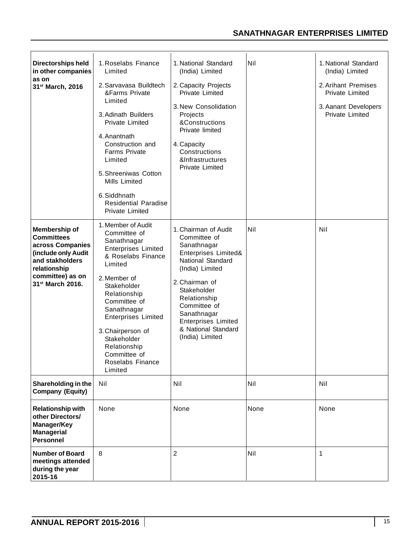| <b>Directorships held</b><br>in other companies<br>as on<br>31 <sup>st</sup> March, 2016                                                                             | 1. Roselabs Finance<br>Limited<br>2. Sarvavasa Buildtech<br>&Farms Private<br>Limited<br>3. Adinath Builders<br><b>Private Limited</b><br>4. Anantnath<br>Construction and<br><b>Farms Private</b><br>Limited<br>5. Shreeniwas Cotton<br>Mills Limited<br>6. Siddhnath<br><b>Residential Paradise</b><br>Private Limited        | 1. National Standard<br>(India) Limited<br>2. Capacity Projects<br>Private Limited<br>3. New Consolidation<br>Projects<br>&Constructions<br>Private limited<br>4. Capacity<br>Constructions<br>&Infrastructures<br>Private Limited                                          | Nil  | 1. National Standard<br>(India) Limited<br>2. Arihant Premises<br><b>Private Limited</b><br>3. Aanant Developers<br><b>Private Limited</b> |
|----------------------------------------------------------------------------------------------------------------------------------------------------------------------|---------------------------------------------------------------------------------------------------------------------------------------------------------------------------------------------------------------------------------------------------------------------------------------------------------------------------------|-----------------------------------------------------------------------------------------------------------------------------------------------------------------------------------------------------------------------------------------------------------------------------|------|--------------------------------------------------------------------------------------------------------------------------------------------|
| Membership of<br><b>Committees</b><br>across Companies<br>(include only Audit<br>and stakholders<br>relationship<br>committee) as on<br>31 <sup>st</sup> March 2016. | 1. Member of Audit<br>Committee of<br>Sanathnagar<br><b>Enterprises Limited</b><br>& Roselabs Finance<br>Limited<br>2. Member of<br>Stakeholder<br>Relationship<br>Committee of<br>Sanathnagar<br><b>Enterprises Limited</b><br>3. Chairperson of<br>Stakeholder<br>Relationship<br>Committee of<br>Roselabs Finance<br>Limited | 1. Chairman of Audit<br>Committee of<br>Sanathnagar<br>Enterprises Limited&<br>National Standard<br>(India) Limited<br>2. Chairman of<br>Stakeholder<br>Relationship<br>Committee of<br>Sanathnagar<br><b>Enterprises Limited</b><br>& National Standard<br>(India) Limited | Nil  | Nil                                                                                                                                        |
| Shareholding in the<br><b>Company (Equity)</b>                                                                                                                       | Nil                                                                                                                                                                                                                                                                                                                             | Nil                                                                                                                                                                                                                                                                         | Nil  | Nil                                                                                                                                        |
| <b>Relationship with</b><br>other Directors/<br>Manager/Key<br><b>Managerial</b><br><b>Personnel</b>                                                                 | None                                                                                                                                                                                                                                                                                                                            | None                                                                                                                                                                                                                                                                        | None | None                                                                                                                                       |
| <b>Number of Board</b><br>meetings attended<br>during the year<br>2015-16                                                                                            | 8                                                                                                                                                                                                                                                                                                                               | $\overline{c}$                                                                                                                                                                                                                                                              | Nil  | 1                                                                                                                                          |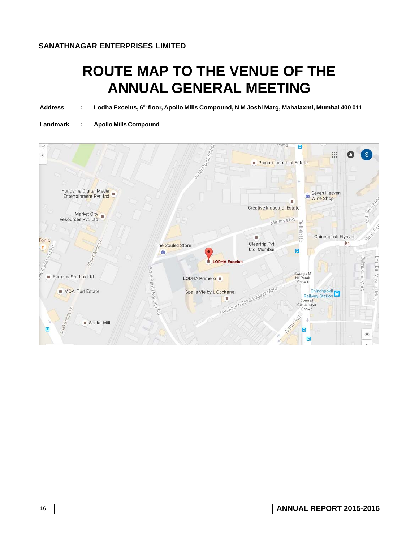# **ROUTE MAP TO THE VENUE OF THE ANNUAL GENERAL MEETING**

Address : Lodha Excelus, 6<sup>th</sup> floor, Apollo Mills Compound, N M Joshi Marg, Mahalaxmi, Mumbai 400 011

**Landmark : Apollo Mills Compound**

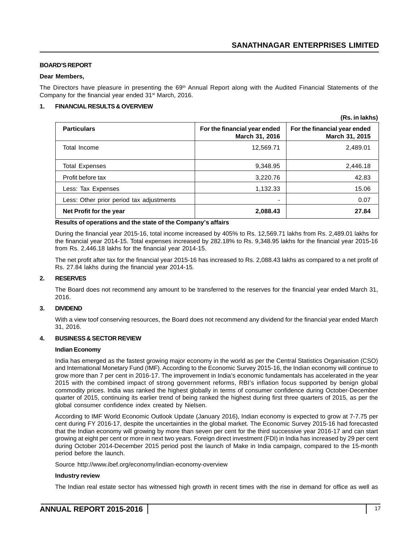**(Rs. in lakhs)**

#### **BOARD'S REPORT**

#### **Dear Members,**

The Directors have pleasure in presenting the 69<sup>th</sup> Annual Report along with the Audited Financial Statements of the Company for the financial year ended 31<sup>st</sup> March, 2016.

#### **1. FINANCIAL RESULTS & OVERVIEW**

|                                          |                                                | (10.1111111110)                                |
|------------------------------------------|------------------------------------------------|------------------------------------------------|
| <b>Particulars</b>                       | For the financial year ended<br>March 31, 2016 | For the financial year ended<br>March 31, 2015 |
| Total Income                             | 12,569.71                                      | 2,489.01                                       |
| <b>Total Expenses</b>                    | 9,348.95                                       | 2,446.18                                       |
| Profit before tax                        | 3,220.76                                       | 42.83                                          |
| Less: Tax Expenses                       | 1,132.33                                       | 15.06                                          |
| Less: Other prior period tax adjustments | $\overline{\phantom{0}}$                       | 0.07                                           |
| Net Profit for the year                  | 2,088.43                                       | 27.84                                          |

#### **Results of operations and the state of the Company's affairs**

During the financial year 2015-16, total income increased by 405% to Rs. 12,569.71 lakhs from Rs. 2,489.01 lakhs for the financial year 2014-15. Total expenses increased by 282.18% to Rs. 9,348.95 lakhs for the financial year 2015-16 from Rs. 2,446.18 lakhs for the financial year 2014-15.

The net profit after tax for the financial year 2015-16 has increased to Rs. 2,088.43 lakhs as compared to a net profit of Rs. 27.84 lakhs during the financial year 2014-15.

#### **2. RESERVES**

The Board does not recommend any amount to be transferred to the reserves for the financial year ended March 31, 2016.

#### **3. DIVIDEND**

With a view toof conserving resources, the Board does not recommend any dividend for the financial year ended March 31, 2016.

#### **4. BUSINESS & SECTOR REVIEW**

#### **Indian Economy**

India has emerged as the fastest growing major economy in the world as per the Central Statistics Organisation (CSO) and International Monetary Fund (IMF). According to the Economic Survey 2015-16, the Indian economy will continue to grow more than 7 per cent in 2016-17. The improvement in India's economic fundamentals has accelerated in the year 2015 with the combined impact of strong government reforms, RBI's inflation focus supported by benign global commodity prices. India was ranked the highest globally in terms of consumer confidence during October-December quarter of 2015, continuing its earlier trend of being ranked the highest during first three quarters of 2015, as per the global consumer confidence index created by Nielsen.

According to IMF World Economic Outlook Update (January 2016), Indian economy is expected to grow at 7-7.75 per cent during FY 2016-17, despite the uncertainties in the global market. The Economic Survey 2015-16 had forecasted that the Indian economy will growing by more than seven per cent for the third successive year 2016-17 and can start growing at eight per cent or more in next two years. Foreign direct investment (FDI) in India has increased by 29 per cent during October 2014-December 2015 period post the launch of Make in India campaign, compared to the 15-month period before the launch.

Source http://www.ibef.org/economy/indian-economy-overview

#### **Industry review**

The Indian real estate sector has witnessed high growth in recent times with the rise in demand for office as well as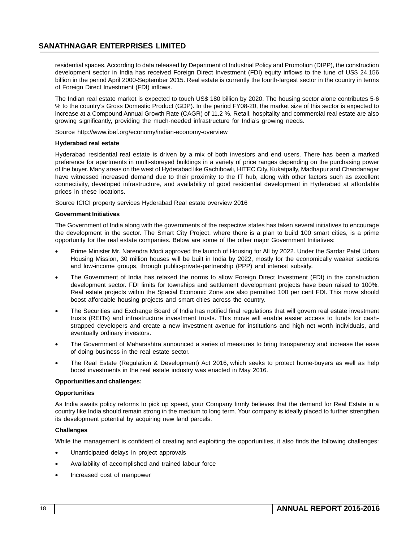residential spaces. According to data released by Department of Industrial Policy and Promotion (DIPP), the construction development sector in India has received Foreign Direct Investment (FDI) equity inflows to the tune of US\$ 24.156 billion in the period April 2000-September 2015. Real estate is currently the fourth-largest sector in the country in terms of Foreign Direct Investment (FDI) inflows.

The Indian real estate market is expected to touch US\$ 180 billion by 2020. The housing sector alone contributes 5-6 % to the country's Gross Domestic Product (GDP). In the period FY08-20, the market size of this sector is expected to increase at a Compound Annual Growth Rate (CAGR) of 11.2 %. Retail, hospitality and commercial real estate are also growing significantly, providing the much-needed infrastructure for India's growing needs.

Source http://www.ibef.org/economy/indian-economy-overview

#### **Hyderabad real estate**

Hyderabad residential real estate is driven by a mix of both investors and end users. There has been a marked preference for apartments in multi-storeyed buildings in a variety of price ranges depending on the purchasing power of the buyer. Many areas on the west of Hyderabad like Gachibowli, HITEC City, Kukatpally, Madhapur and Chandanagar have witnessed increased demand due to their proximity to the IT hub, along with other factors such as excellent connectivity, developed infrastructure, and availability of good residential development in Hyderabad at affordable prices in these locations.

Source ICICI property services Hyderabad Real estate overview 2016

#### **Government Initiatives**

The Government of India along with the governments of the respective states has taken several initiatives to encourage the development in the sector. The Smart City Project, where there is a plan to build 100 smart cities, is a prime opportunity for the real estate companies. Below are some of the other major Government Initiatives:

- Prime Minister Mr. Narendra Modi approved the launch of Housing for All by 2022. Under the Sardar Patel Urban Housing Mission, 30 million houses will be built in India by 2022, mostly for the economically weaker sections and low-income groups, through public-private-partnership (PPP) and interest subsidy.
- The Government of India has relaxed the norms to allow Foreign Direct Investment (FDI) in the construction development sector. FDI limits for townships and settlement development projects have been raised to 100%. Real estate projects within the Special Economic Zone are also permitted 100 per cent FDI. This move should boost affordable housing projects and smart cities across the country.
- The Securities and Exchange Board of India has notified final regulations that will govern real estate investment trusts (REITs) and infrastructure investment trusts. This move will enable easier access to funds for cashstrapped developers and create a new investment avenue for institutions and high net worth individuals, and eventually ordinary investors.
- The Government of Maharashtra announced a series of measures to bring transparency and increase the ease of doing business in the real estate sector.
- The Real Estate (Regulation & Development) Act 2016, which seeks to protect home-buyers as well as help boost investments in the real estate industry was enacted in May 2016.

#### **Opportunities and challenges:**

#### **Opportunities**

As India awaits policy reforms to pick up speed, your Company firmly believes that the demand for Real Estate in a country like India should remain strong in the medium to long term. Your company is ideally placed to further strengthen its development potential by acquiring new land parcels.

#### **Challenges**

While the management is confident of creating and exploiting the opportunities, it also finds the following challenges:

- Unanticipated delays in project approvals
- Availability of accomplished and trained labour force
- Increased cost of manpower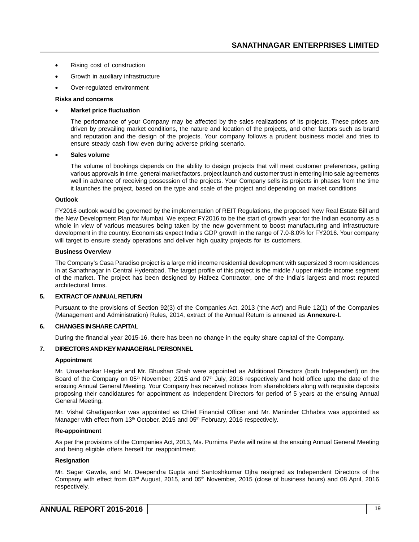- Rising cost of construction
- Growth in auxiliary infrastructure
- Over-regulated environment

#### **Risks and concerns**

#### • **Market price fluctuation**

The performance of your Company may be affected by the sales realizations of its projects. These prices are driven by prevailing market conditions, the nature and location of the projects, and other factors such as brand and reputation and the design of the projects. Your company follows a prudent business model and tries to ensure steady cash flow even during adverse pricing scenario.

#### • **Sales volume**

The volume of bookings depends on the ability to design projects that will meet customer preferences, getting various approvals in time, general market factors, project launch and customer trust in entering into sale agreements well in advance of receiving possession of the projects. Your Company sells its projects in phases from the time it launches the project, based on the type and scale of the project and depending on market conditions

#### **Outlook**

FY2016 outlook would be governed by the implementation of REIT Regulations, the proposed New Real Estate Bill and the New Development Plan for Mumbai. We expect FY2016 to be the start of growth year for the Indian economy as a whole in view of various measures being taken by the new government to boost manufacturing and infrastructure development in the country. Economists expect India's GDP growth in the range of 7.0-8.0% for FY2016. Your company will target to ensure steady operations and deliver high quality projects for its customers.

#### **Business Overview**

The Company's Casa Paradiso project is a large mid income residential development with supersized 3 room residences in at Sanathnagar in Central Hyderabad. The target profile of this project is the middle / upper middle income segment of the market. The project has been designed by Hafeez Contractor, one of the India's largest and most reputed architectural firms.

#### **5. EXTRACT OF ANNUAL RETURN**

Pursuant to the provisions of Section 92(3) of the Companies Act, 2013 ('the Act') and Rule 12(1) of the Companies (Management and Administration) Rules, 2014, extract of the Annual Return is annexed as **Annexure-I.**

#### **6. CHANGES IN SHARE CAPITAL**

During the financial year 2015-16, there has been no change in the equity share capital of the Company.

#### **7. DIRECTORS AND KEY MANAGERIAL PERSONNEL**

#### **Appointment**

Mr. Umashankar Hegde and Mr. Bhushan Shah were appointed as Additional Directors (both Independent) on the Board of the Company on 05<sup>th</sup> November, 2015 and 07<sup>th</sup> July, 2016 respectively and hold office upto the date of the ensuing Annual General Meeting. Your Company has received notices from shareholders along with requisite deposits proposing their candidatures for appointment as Independent Directors for period of 5 years at the ensuing Annual General Meeting.

Mr. Vishal Ghadigaonkar was appointed as Chief Financial Officer and Mr. Maninder Chhabra was appointed as Manager with effect from 13<sup>th</sup> October, 2015 and 05<sup>th</sup> February, 2016 respectively.

#### **Re-appointment**

As per the provisions of the Companies Act, 2013, Ms. Purnima Pavle will retire at the ensuing Annual General Meeting and being eligible offers herself for reappointment.

#### **Resignation**

Mr. Sagar Gawde, and Mr. Deependra Gupta and Santoshkumar Ojha resigned as Independent Directors of the Company with effect from 03rd August, 2015, and 05th November, 2015 (close of business hours) and 08 April, 2016 respectively.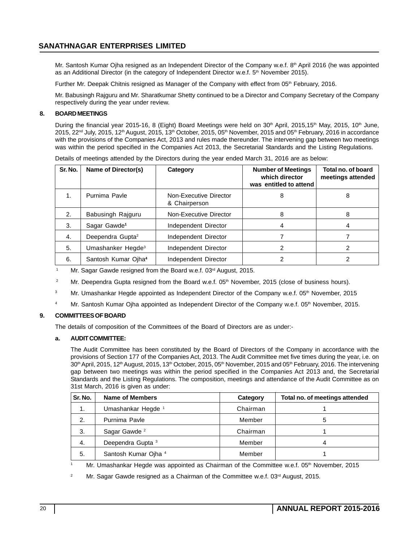Mr. Santosh Kumar Ojha resigned as an Independent Director of the Company w.e.f. 8<sup>th</sup> April 2016 (he was appointed as an Additional Director (in the category of Independent Director w.e.f. 5<sup>th</sup> November 2015).

Further Mr. Deepak Chitnis resigned as Manager of the Company with effect from 05<sup>th</sup> February, 2016.

Mr. Babusingh Rajguru and Mr. Sharatkumar Shetty continued to be a Director and Company Secretary of the Company respectively during the year under review.

#### **8. BOARD MEETINGS**

During the financial year 2015-16, 8 (Eight) Board Meetings were held on  $30<sup>th</sup>$  April, 2015,15<sup>th</sup> May, 2015, 10<sup>th</sup> June,  $2015$ ,  $22^{nd}$  July, 2015, 12<sup>th</sup> August, 2015, 13<sup>th</sup> October, 2015, 05<sup>th</sup> November, 2015 and 05<sup>th</sup> February, 2016 in accordance with the provisions of the Companies Act, 2013 and rules made thereunder. The intervening gap between two meetings was within the period specified in the Companies Act 2013, the Secretarial Standards and the Listing Regulations.

| Sr. No. | Name of Director(s)             | Category                                | <b>Number of Meetings</b><br>which director<br>was entitled to attend | Total no. of board<br>meetings attended |
|---------|---------------------------------|-----------------------------------------|-----------------------------------------------------------------------|-----------------------------------------|
| 1.      | Purnima Pavle                   | Non-Executive Director<br>& Chairperson | 8                                                                     | 8                                       |
| 2.      | Babusingh Rajguru               | Non-Executive Director                  | 8                                                                     | 8                                       |
| 3.      | Sagar Gawde <sup>1</sup>        | Independent Director                    | 4                                                                     | 4                                       |
| 4.      | Deependra Gupta <sup>2</sup>    | Independent Director                    |                                                                       |                                         |
| 5.      | Umashanker Hegde <sup>3</sup>   | Independent Director                    | 2                                                                     | 2                                       |
| 6.      | Santosh Kumar Ojha <sup>4</sup> | Independent Director                    |                                                                       | 2                                       |

Details of meetings attended by the Directors during the year ended March 31, 2016 are as below:

<sup>1</sup> Mr. Sagar Gawde resigned from the Board w.e.f. 03<sup>rd</sup> August, 2015.

- <sup>2</sup> Mr. Deependra Gupta resigned from the Board w.e.f. 05<sup>th</sup> November, 2015 (close of business hours).
- <sup>3</sup> Mr. Umashankar Hegde appointed as Independent Director of the Company w.e.f. 05<sup>th</sup> November, 2015
- <sup>4</sup> Mr. Santosh Kumar Ojha appointed as Independent Director of the Company w.e.f. 05<sup>th</sup> November, 2015.

#### **9. COMMITTEES OF BOARD**

The details of composition of the Committees of the Board of Directors are as under:-

#### **a. AUDIT COMMITTEE:**

The Audit Committee has been constituted by the Board of Directors of the Company in accordance with the provisions of Section 177 of the Companies Act, 2013. The Audit Committee met five times during the year, i.e. on 30<sup>th</sup> April, 2015, 12<sup>th</sup> August, 2015, 13<sup>th</sup> October, 2015, 05<sup>th</sup> November, 2015 and 05<sup>th</sup> February, 2016. The intervening gap between two meetings was within the period specified in the Companies Act 2013 and, the Secretarial Standards and the Listing Regulations. The composition, meetings and attendance of the Audit Committee as on 31st March, 2016 is given as under:

| Sr. No.          | Name of Members               | Category | Total no. of meetings attended |
|------------------|-------------------------------|----------|--------------------------------|
| 1.               | Umashankar Hegde <sup>1</sup> | Chairman |                                |
| $\overline{2}$ . | Purnima Pavle                 | Member   | 5                              |
| 3.               | Sagar Gawde <sup>2</sup>      | Chairman |                                |
| 4.               | Deependra Gupta <sup>3</sup>  | Member   | Δ                              |
| -5.              | Santosh Kumar Ojha 4          | Member   |                                |

<sup>1</sup> Mr. Umashankar Hegde was appointed as Chairman of the Committee w.e.f. 05th November, 2015

Mr. Sagar Gawde resigned as a Chairman of the Committee w.e.f.  $03<sup>rd</sup>$  August, 2015.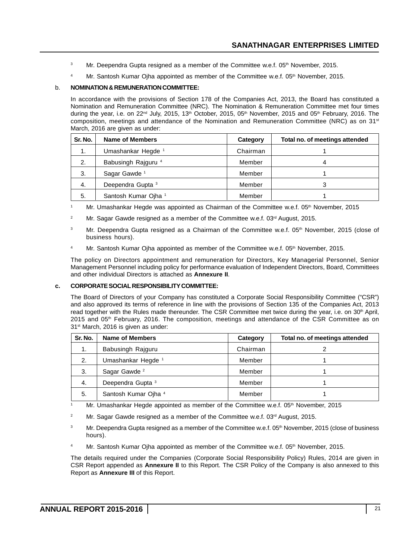- <sup>3</sup> Mr. Deependra Gupta resigned as a member of the Committee w.e.f. 05<sup>th</sup> November, 2015.
- <sup>4</sup> Mr. Santosh Kumar Ojha appointed as member of the Committee w.e.f.  $05<sup>th</sup>$  November, 2015.

#### b. **NOMINATION & REMUNERATION COMMITTEE:**

In accordance with the provisions of Section 178 of the Companies Act, 2013, the Board has constituted a Nomination and Remuneration Committee (NRC). The Nomination & Remuneration Committee met four times during the year, i.e. on 22<sup>nd</sup> July, 2015, 13<sup>th</sup> October, 2015, 05<sup>th</sup> November, 2015 and 05<sup>th</sup> February, 2016. The composition, meetings and attendance of the Nomination and Remuneration Committee (NRC) as on 31<sup>st</sup> March, 2016 are given as under:

| Sr. No. | Name of Members                 | Category | Total no. of meetings attended |
|---------|---------------------------------|----------|--------------------------------|
| 1.      | Umashankar Hegde <sup>1</sup>   | Chairman |                                |
| 2.      | Babusingh Rajguru <sup>4</sup>  | Member   | 4                              |
| 3.      | Sagar Gawde <sup>1</sup>        | Member   |                                |
| 4.      | Deependra Gupta <sup>3</sup>    | Member   | 3                              |
| 5.      | Santosh Kumar Ojha <sup>1</sup> | Member   |                                |

- <sup>1</sup> Mr. Umashankar Hegde was appointed as Chairman of the Committee w.e.f.  $05<sup>th</sup>$  November, 2015
- <sup>2</sup> Mr. Sagar Gawde resigned as a member of the Committee w.e.f.  $03<sup>rd</sup>$  August, 2015.
- <sup>3</sup> Mr. Deependra Gupta resigned as a Chairman of the Committee w.e.f. 05<sup>th</sup> November, 2015 (close of business hours).
- <sup>4</sup> Mr. Santosh Kumar Ojha appointed as member of the Committee w.e.f.  $05<sup>th</sup>$  November, 2015.

The policy on Directors appointment and remuneration for Directors, Key Managerial Personnel, Senior Management Personnel including policy for performance evaluation of Independent Directors, Board, Committees and other individual Directors is attached as **Annexure II**.

#### **c. CORPORATE SOCIAL RESPONSIBILITY COMMITTEE:**

The Board of Directors of your Company has constituted a Corporate Social Responsibility Committee ("CSR") and also approved its terms of reference in line with the provisions of Section 135 of the Companies Act, 2013 read together with the Rules made thereunder. The CSR Committee met twice during the year, i.e. on 30<sup>th</sup> April, 2015 and 05<sup>th</sup> February, 2016. The composition, meetings and attendance of the CSR Committee as on 31<sup>st</sup> March, 2016 is given as under:

| Sr. No. | Name of Members               | Category | Total no. of meetings attended |
|---------|-------------------------------|----------|--------------------------------|
| 1.      | Babusingh Rajguru             | Chairman | າ                              |
| 2.      | Umashankar Hegde <sup>1</sup> | Member   |                                |
| 3.      | Sagar Gawde <sup>2</sup>      | Member   |                                |
| 4.      | Deependra Gupta <sup>3</sup>  | Member   |                                |
| 5.      | Santosh Kumar Ojha 4          | Member   |                                |

Mr. Umashankar Hegde appointed as member of the Committee w.e.f. 05<sup>th</sup> November, 2015

- <sup>2</sup> Mr. Sagar Gawde resigned as a member of the Committee w.e.f.  $03<sup>rd</sup>$  August, 2015.
- <sup>3</sup> Mr. Deependra Gupta resigned as a member of the Committee w.e.f.  $05<sup>th</sup>$  November, 2015 (close of business hours).
- Mr. Santosh Kumar Ojha appointed as member of the Committee w.e.f. 05<sup>th</sup> November, 2015.

The details required under the Companies (Corporate Social Responsibility Policy) Rules, 2014 are given in CSR Report appended as **Annexure II** to this Report. The CSR Policy of the Company is also annexed to this Report as **Annexure III** of this Report.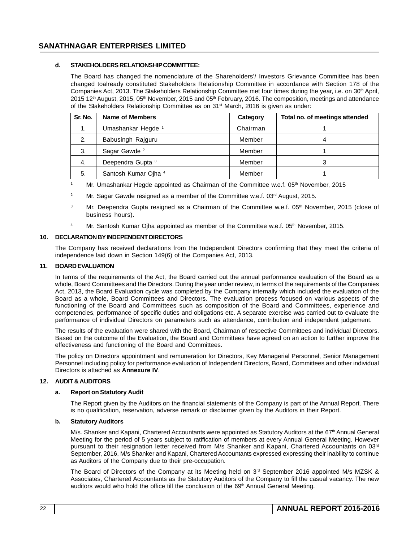#### **d. STAKEHOLDERS RELATIONSHIP COMMITTEE:**

The Board has changed the nomenclature of the Shareholders'/ Investors Grievance Committee has been changed toalready constituted Stakeholders Relationship Committee in accordance with Section 178 of the Companies Act, 2013. The Stakeholders Relationship Committee met four times during the year, i.e. on 30<sup>th</sup> April, 2015 12<sup>th</sup> August, 2015, 05<sup>th</sup> November, 2015 and 05<sup>th</sup> February, 2016. The composition, meetings and attendance of the Stakeholders Relationship Committee as on  $31<sup>st</sup>$  March, 2016 is given as under:

| Sr. No. | Name of Members               | Category | Total no. of meetings attended |
|---------|-------------------------------|----------|--------------------------------|
| 1.      | Umashankar Hegde <sup>1</sup> | Chairman |                                |
| 2.      | Babusingh Rajguru             | Member   | 4                              |
| 3.      | Sagar Gawde <sup>2</sup>      | Member   |                                |
| 4.      | Deependra Gupta <sup>3</sup>  | Member   |                                |
| 5.      | Santosh Kumar Ojha 4          | Member   |                                |

Mr. Umashankar Hegde appointed as Chairman of the Committee w.e.f. 05th November, 2015

- <sup>2</sup> Mr. Sagar Gawde resigned as a member of the Committee w.e.f.  $03<sup>rd</sup>$  August, 2015.
- Mr. Deependra Gupta resigned as a Chairman of the Committee w.e.f. 05<sup>th</sup> November, 2015 (close of business hours).
- <sup>4</sup> Mr. Santosh Kumar Ojha appointed as member of the Committee w.e.f.  $05<sup>th</sup>$  November, 2015.

#### **10. DECLARATION BY INDEPENDENT DIRECTORS**

The Company has received declarations from the Independent Directors confirming that they meet the criteria of independence laid down in Section 149(6) of the Companies Act, 2013.

#### **11. BOARD EVALUATION**

In terms of the requirements of the Act, the Board carried out the annual performance evaluation of the Board as a whole, Board Committees and the Directors. During the year under review, in terms of the requirements of the Companies Act, 2013, the Board Evaluation cycle was completed by the Company internally which included the evaluation of the Board as a whole, Board Committees and Directors. The evaluation process focused on various aspects of the functioning of the Board and Committees such as composition of the Board and Committees, experience and competencies, performance of specific duties and obligations etc. A separate exercise was carried out to evaluate the performance of individual Directors on parameters such as attendance, contribution and independent judgement.

The results of the evaluation were shared with the Board, Chairman of respective Committees and individual Directors. Based on the outcome of the Evaluation, the Board and Committees have agreed on an action to further improve the effectiveness and functioning of the Board and Committees.

The policy on Directors appointment and remuneration for Directors, Key Managerial Personnel, Senior Management Personnel including policy for performance evaluation of Independent Directors, Board, Committees and other individual Directors is attached as **Annexure IV**.

#### **12. AUDIT & AUDITORS**

#### **a. Report on Statutory Audit**

The Report given by the Auditors on the financial statements of the Company is part of the Annual Report. There is no qualification, reservation, adverse remark or disclaimer given by the Auditors in their Report.

#### **b. Statutory Auditors**

M/s. Shanker and Kapani, Chartered Accountants were appointed as Statutory Auditors at the 67th Annual General Meeting for the period of 5 years subject to ratification of members at every Annual General Meeting. However pursuant to their resignation letter received from M/s Shanker and Kapani, Chartered Accountants on 03rd September, 2016, M/s Shanker and Kapani, Chartered Accountants expressed expressing their inability to continue as Auditors of the Company due to their pre-occupation.

The Board of Directors of the Company at its Meeting held on  $3<sup>rd</sup>$  September 2016 appointed M/s MZSK & Associates, Chartered Accountants as the Statutory Auditors of the Company to fill the casual vacancy. The new auditors would who hold the office till the conclusion of the 69<sup>th</sup> Annual General Meeting.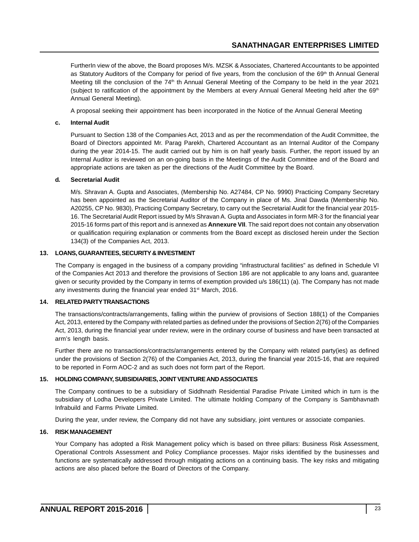FurtherIn view of the above, the Board proposes M/s. MZSK & Associates, Chartered Accountants to be appointed as Statutory Auditors of the Company for period of five years, from the conclusion of the  $69<sup>th</sup>$  th Annual General Meeting till the conclusion of the 74<sup>th</sup> th Annual General Meeting of the Company to be held in the year 2021 (subject to ratification of the appointment by the Members at every Annual General Meeting held after the  $69<sup>th</sup>$ Annual General Meeting).

A proposal seeking their appointment has been incorporated in the Notice of the Annual General Meeting

#### **c. Internal Audit**

Pursuant to Section 138 of the Companies Act, 2013 and as per the recommendation of the Audit Committee, the Board of Directors appointed Mr. Parag Parekh, Chartered Accountant as an Internal Auditor of the Company during the year 2014-15. The audit carried out by him is on half yearly basis. Further, the report issued by an Internal Auditor is reviewed on an on-going basis in the Meetings of the Audit Committee and of the Board and appropriate actions are taken as per the directions of the Audit Committee by the Board.

#### **d. Secretarial Audit**

M/s. Shravan A. Gupta and Associates, (Membership No. A27484, CP No. 9990) Practicing Company Secretary has been appointed as the Secretarial Auditor of the Company in place of Ms. Jinal Dawda (Membership No. A20255, CP No. 9830), Practicing Company Secretary, to carry out the Secretarial Audit for the financial year 2015- 16. The Secretarial Audit Report issued by M/s Shravan A. Gupta and Associates in form MR-3 for the financial year 2015-16 forms part of this report and is annexed as **Annexure VII**. The said report does not contain any observation or qualification requiring explanation or comments from the Board except as disclosed herein under the Section 134(3) of the Companies Act, 2013.

#### **13. LOANS, GUARANTEES, SECURITY & INVESTMENT**

The Company is engaged in the business of a company providing "infrastructural facilities" as defined in Schedule VI of the Companies Act 2013 and therefore the provisions of Section 186 are not applicable to any loans and, guarantee given or security provided by the Company in terms of exemption provided u/s 186(11) (a). The Company has not made any investments during the financial year ended 31<sup>st</sup> March, 2016.

#### **14. RELATED PARTY TRANSACTIONS**

The transactions/contracts/arrangements, falling within the purview of provisions of Section 188(1) of the Companies Act, 2013, entered by the Company with related parties as defined under the provisions of Section 2(76) of the Companies Act, 2013, during the financial year under review, were in the ordinary course of business and have been transacted at arm's length basis.

Further there are no transactions/contracts/arrangements entered by the Company with related party(ies) as defined under the provisions of Section 2(76) of the Companies Act, 2013, during the financial year 2015-16, that are required to be reported in Form AOC-2 and as such does not form part of the Report.

#### **15. HOLDING COMPANY, SUBSIDIARIES, JOINT VENTURE AND ASSOCIATES**

The Company continues to be a subsidiary of Siddhnath Residential Paradise Private Limited which in turn is the subsidiary of Lodha Developers Private Limited. The ultimate holding Company of the Company is Sambhavnath Infrabuild and Farms Private Limited.

During the year, under review, the Company did not have any subsidiary, joint ventures or associate companies.

#### **16. RISK MANAGEMENT**

Your Company has adopted a Risk Management policy which is based on three pillars: Business Risk Assessment, Operational Controls Assessment and Policy Compliance processes. Major risks identified by the businesses and functions are systematically addressed through mitigating actions on a continuing basis. The key risks and mitigating actions are also placed before the Board of Directors of the Company.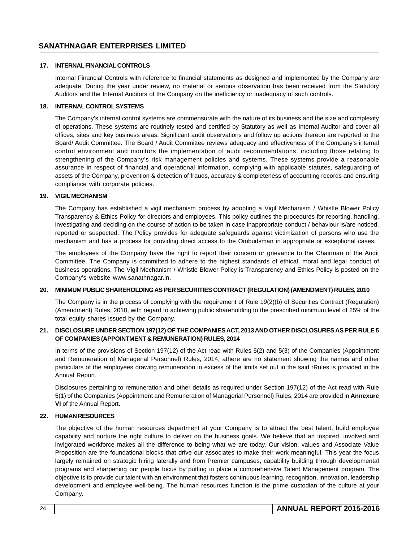#### **17. INTERNAL FINANCIAL CONTROLS**

Internal Financial Controls with reference to financial statements as designed and implemented by the Company are adequate. During the year under review, no material or serious observation has been received from the Statutory Auditors and the Internal Auditors of the Company on the inefficiency or inadequacy of such controls.

#### **18. INTERNAL CONTROL SYSTEMS**

The Company's internal control systems are commensurate with the nature of its business and the size and complexity of operations. These systems are routinely tested and certified by Statutory as well as Internal Auditor and cover all offices, sites and key business areas. Significant audit observations and follow up actions thereon are reported to the Board/ Audit Committee. The Board / Audit Committee reviews adequacy and effectiveness of the Company's internal control environment and monitors the implementation of audit recommendations, including those relating to strengthening of the Company's risk management policies and systems. These systems provide a reasonable assurance in respect of financial and operational information, complying with applicable statutes, safeguarding of assets of the Company, prevention & detection of frauds, accuracy & completeness of accounting records and ensuring compliance with corporate policies.

#### **19. VIGIL MECHANISM**

The Company has established a vigil mechanism process by adopting a Vigil Mechanism / Whistle Blower Policy Transparency & Ethics Policy for directors and employees. This policy outlines the procedures for reporting, handling, investigating and deciding on the course of action to be taken in case inappropriate conduct / behaviour is/are noticed, reported or suspected. The Policy provides for adequate safeguards against victimization of persons who use the mechanism and has a process for providing direct access to the Ombudsman in appropriate or exceptional cases.

The employees of the Company have the right to report their concern or grievance to the Chairman of the Audit Committee. The Company is committed to adhere to the highest standards of ethical, moral and legal conduct of business operations. The Vigil Mechanism / Whistle Blower Policy is Transparency and Ethics Policy is posted on the Company's website www.sanathnagar.in.

#### **20. MINIMUM PUBLIC SHAREHOLDING AS PER SECURITIES CONTRACT (REGULATION) (AMENDMENT) RULES, 2010**

The Company is in the process of complying with the requirement of Rule 19(2)(b) of Securities Contract (Regulation) (Amendment) Rules, 2010, with regard to achieving public shareholding to the prescribed minimum level of 25% of the total equity shares issued by the Company.

#### **21. DISCLOSURE UNDER SECTION 197(12) OF THE COMPANIES ACT, 2013 AND OTHER DISCLOSURES AS PER RULE 5 OF COMPANIES (APPOINTMENT & REMUNERATION) RULES, 2014**

In terms of the provisions of Section 197(12) of the Act read with Rules 5(2) and 5(3) of the Companies (Appointment and Remuneration of Managerial Personnel) Rules, 2014, athere are no statement showing the names and other particulars of the employees drawing remuneration in excess of the limits set out in the said rRules is provided in the Annual Report.

Disclosures pertaining to remuneration and other details as required under Section 197(12) of the Act read with Rule 5(1) of the Companies (Appointment and Remuneration of Managerial Personnel) Rules, 2014 are provided in **Annexure VI** of the Annual Report.

#### **22. HUMAN RESOURCES**

The objective of the human resources department at your Company is to attract the best talent, build employee capability and nurture the right culture to deliver on the business goals. We believe that an inspired, involved and invigorated workforce makes all the difference to being what we are today. Our vision, values and Associate Value Proposition are the foundational blocks that drive our associates to make their work meaningful. This year the focus largely remained on strategic hiring laterally and from Premier campuses, capability building through developmental programs and sharpening our people focus by putting in place a comprehensive Talent Management program. The objective is to provide our talent with an environment that fosters continuous learning, recognition, innovation, leadership development and employee well-being. The human resources function is the prime custodian of the culture at your Company.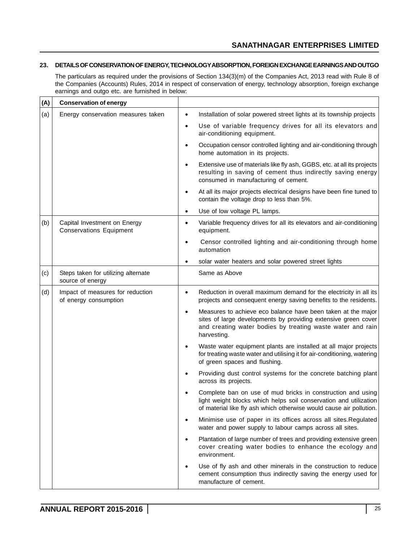#### **23. DETAILS OF CONSERVATION OF ENERGY, TECHNOLOGY ABSORPTION, FOREIGN EXCHANGE EARNINGS AND OUTGO**

The particulars as required under the provisions of Section 134(3)(m) of the Companies Act, 2013 read with Rule 8 of the Companies (Accounts) Rules, 2014 in respect of conservation of energy, technology absorption, foreign exchange earnings and outgo etc. are furnished in below:

| (A) | <b>Conservation of energy</b>                                  |           |                                                                                                                                                                                                             |
|-----|----------------------------------------------------------------|-----------|-------------------------------------------------------------------------------------------------------------------------------------------------------------------------------------------------------------|
| (a) | Energy conservation measures taken                             | $\bullet$ | Installation of solar powered street lights at its township projects                                                                                                                                        |
|     |                                                                | ٠         | Use of variable frequency drives for all its elevators and<br>air-conditioning equipment.                                                                                                                   |
|     |                                                                | $\bullet$ | Occupation censor controlled lighting and air-conditioning through<br>home automation in its projects.                                                                                                      |
|     |                                                                | $\bullet$ | Extensive use of materials like fly ash, GGBS, etc. at all its projects<br>resulting in saving of cement thus indirectly saving energy<br>consumed in manufacturing of cement.                              |
|     |                                                                | ٠         | At all its major projects electrical designs have been fine tuned to<br>contain the voltage drop to less than 5%.                                                                                           |
|     |                                                                | $\bullet$ | Use of low voltage PL lamps.                                                                                                                                                                                |
| (b) | Capital Investment on Energy<br><b>Conservations Equipment</b> | $\bullet$ | Variable frequency drives for all its elevators and air-conditioning<br>equipment.                                                                                                                          |
|     |                                                                | ٠         | Censor controlled lighting and air-conditioning through home<br>automation                                                                                                                                  |
|     |                                                                |           | solar water heaters and solar powered street lights                                                                                                                                                         |
| (c) | Steps taken for utilizing alternate<br>source of energy        |           | Same as Above                                                                                                                                                                                               |
| (d) | Impact of measures for reduction<br>of energy consumption      | $\bullet$ | Reduction in overall maximum demand for the electricity in all its<br>projects and consequent energy saving benefits to the residents.                                                                      |
|     |                                                                | $\bullet$ | Measures to achieve eco balance have been taken at the major<br>sites of large developments by providing extensive green cover<br>and creating water bodies by treating waste water and rain<br>harvesting. |
|     |                                                                | $\bullet$ | Waste water equipment plants are installed at all major projects<br>for treating waste water and utilising it for air-conditioning, watering<br>of green spaces and flushing.                               |
|     |                                                                |           | Providing dust control systems for the concrete batching plant<br>across its projects.                                                                                                                      |
|     |                                                                |           | Complete ban on use of mud bricks in construction and using<br>light weight blocks which helps soil conservation and utilization<br>of material like fly ash which otherwise would cause air pollution.     |
|     |                                                                | $\bullet$ | Minimise use of paper in its offices across all sites. Regulated<br>water and power supply to labour camps across all sites.                                                                                |
|     |                                                                | $\bullet$ | Plantation of large number of trees and providing extensive green<br>cover creating water bodies to enhance the ecology and<br>environment.                                                                 |
|     |                                                                | ٠         | Use of fly ash and other minerals in the construction to reduce<br>cement consumption thus indirectly saving the energy used for<br>manufacture of cement.                                                  |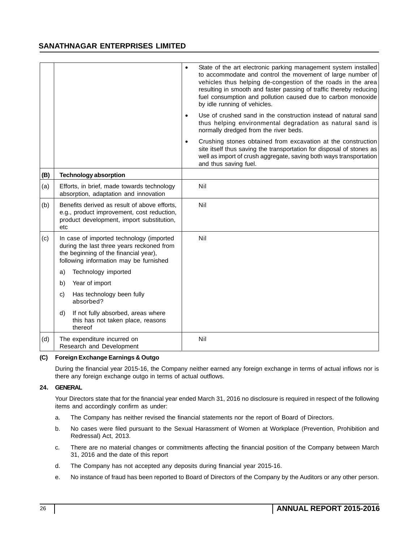|     |                                                                                                                                                                          | $\bullet$ | State of the art electronic parking management system installed<br>to accommodate and control the movement of large number of<br>vehicles thus helping de-congestion of the roads in the area<br>resulting in smooth and faster passing of traffic thereby reducing<br>fuel consumption and pollution caused due to carbon monoxide<br>by idle running of vehicles. |
|-----|--------------------------------------------------------------------------------------------------------------------------------------------------------------------------|-----------|---------------------------------------------------------------------------------------------------------------------------------------------------------------------------------------------------------------------------------------------------------------------------------------------------------------------------------------------------------------------|
|     |                                                                                                                                                                          | $\bullet$ | Use of crushed sand in the construction instead of natural sand<br>thus helping environmental degradation as natural sand is<br>normally dredged from the river beds.                                                                                                                                                                                               |
|     |                                                                                                                                                                          | $\bullet$ | Crushing stones obtained from excavation at the construction<br>site itself thus saving the transportation for disposal of stones as<br>well as import of crush aggregate, saving both ways transportation<br>and thus saving fuel.                                                                                                                                 |
| (B) | <b>Technology absorption</b>                                                                                                                                             |           |                                                                                                                                                                                                                                                                                                                                                                     |
| (a) | Efforts, in brief, made towards technology<br>absorption, adaptation and innovation                                                                                      |           | Nil                                                                                                                                                                                                                                                                                                                                                                 |
| (b) | Benefits derived as result of above efforts,<br>e.g., product improvement, cost reduction,<br>product development, import substitution,<br>etc                           |           | Nil                                                                                                                                                                                                                                                                                                                                                                 |
| (c) | In case of imported technology (imported<br>during the last three years reckoned from<br>the beginning of the financial year),<br>following information may be furnished |           | Nil                                                                                                                                                                                                                                                                                                                                                                 |
|     | Technology imported<br>a)                                                                                                                                                |           |                                                                                                                                                                                                                                                                                                                                                                     |
|     | Year of import<br>b)                                                                                                                                                     |           |                                                                                                                                                                                                                                                                                                                                                                     |
|     | Has technology been fully<br>C)<br>absorbed?                                                                                                                             |           |                                                                                                                                                                                                                                                                                                                                                                     |
|     | If not fully absorbed, areas where<br>d)<br>this has not taken place, reasons<br>thereof                                                                                 |           |                                                                                                                                                                                                                                                                                                                                                                     |
| (d) | The expenditure incurred on<br>Research and Development                                                                                                                  |           | Nil                                                                                                                                                                                                                                                                                                                                                                 |

#### **(C) Foreign Exchange Earnings & Outgo**

During the financial year 2015-16, the Company neither earned any foreign exchange in terms of actual inflows nor is there any foreign exchange outgo in terms of actual outflows.

#### **24. GENERAL**

Your Directors state that for the financial year ended March 31, 2016 no disclosure is required in respect of the following items and accordingly confirm as under:

- a. The Company has neither revised the financial statements nor the report of Board of Directors.
- b. No cases were filed pursuant to the Sexual Harassment of Women at Workplace (Prevention, Prohibition and Redressal) Act, 2013.
- c. There are no material changes or commitments affecting the financial position of the Company between March 31, 2016 and the date of this report
- d. The Company has not accepted any deposits during financial year 2015-16.
- e. No instance of fraud has been reported to Board of Directors of the Company by the Auditors or any other person.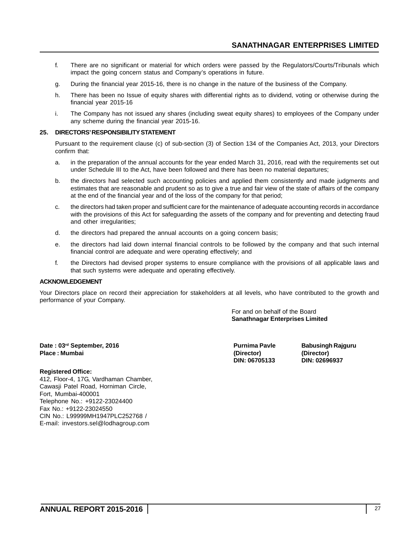- f. There are no significant or material for which orders were passed by the Regulators/Courts/Tribunals which impact the going concern status and Company's operations in future.
- g. During the financial year 2015-16, there is no change in the nature of the business of the Company.
- h. There has been no Issue of equity shares with differential rights as to dividend, voting or otherwise during the financial year 2015-16
- i. The Company has not issued any shares (including sweat equity shares) to employees of the Company under any scheme during the financial year 2015-16.

#### **25. DIRECTORS' RESPONSIBILITY STATEMENT**

Pursuant to the requirement clause (c) of sub-section (3) of Section 134 of the Companies Act, 2013, your Directors confirm that:

- a. in the preparation of the annual accounts for the year ended March 31, 2016, read with the requirements set out under Schedule III to the Act, have been followed and there has been no material departures;
- b. the directors had selected such accounting policies and applied them consistently and made judgments and estimates that are reasonable and prudent so as to give a true and fair view of the state of affairs of the company at the end of the financial year and of the loss of the company for that period;
- c. the directors had taken proper and sufficient care for the maintenance of adequate accounting records in accordance with the provisions of this Act for safeguarding the assets of the company and for preventing and detecting fraud and other irregularities;
- d. the directors had prepared the annual accounts on a going concern basis;
- e. the directors had laid down internal financial controls to be followed by the company and that such internal financial control are adequate and were operating effectively; and
- f. the Directors had devised proper systems to ensure compliance with the provisions of all applicable laws and that such systems were adequate and operating effectively.

#### **ACKNOWLEDGEMENT**

Your Directors place on record their appreciation for stakeholders at all levels, who have contributed to the growth and performance of your Company.

> For and on behalf of the Board **Sanathnagar Enterprises Limited**

**Date : 03rd September, 2016 Purnima Pavle Babusingh Rajguru Place : Mumbai (Director) (Director)**

#### **Registered Office:**

412, Floor-4, 17G, Vardhaman Chamber, Cawasji Patel Road, Horniman Circle, Fort, Mumbai-400001 Telephone No.: +9122-23024400 Fax No.: +9122-23024550 CIN No.: L99999MH1947PLC252768 / E-mail: investors.sel@lodhagroup.com

**DIN: 06705133 DIN: 02696937**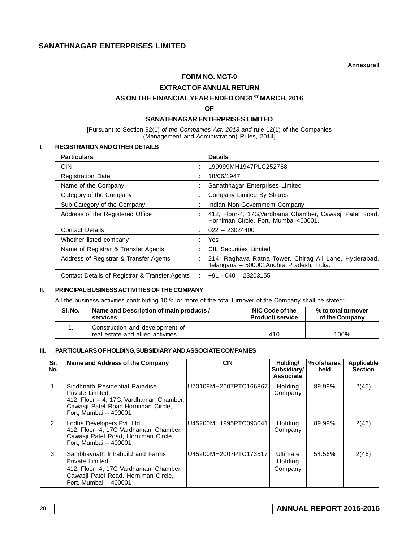**Annexure I**

## **FORM NO. MGT-9**

**EXTRACT OF ANNUAL RETURN**

AS ON THE FINANCIAL YEAR ENDED ON 31<sup>ST</sup> MARCH, 2016

**OF**

#### **SANATHNAGAR ENTERPRISES LIMITED**

[Pursuant to Section 92(1) *of the Companies Act, 2013 and* rule 12(1) of the Companies (Management and Administration) Rules, 2014]

#### **I. REGISTRATION AND OTHER DETAILS**

| <b>Particulars</b>                             |           | <b>Details</b>                                                                                     |
|------------------------------------------------|-----------|----------------------------------------------------------------------------------------------------|
| <b>CIN</b>                                     | ٠         | L99999MH1947PLC252768                                                                              |
| <b>Registration Date</b>                       | ٠         | 18/06/1947                                                                                         |
| Name of the Company                            | ٠         | Sanathnagar Enterprises Limited                                                                    |
| Category of the Company                        | ٠         | Company Limited By Shares                                                                          |
| Sub-Category of the Company                    | ٠         | Indian Non-Government Company                                                                      |
| Address of the Registered Office               | ٠         | 412, Floor-4, 17G, Vardhama Chamber, Cawasji Patel Road,<br>Horniman Circle, Fort, Mumbai-400001.  |
| <b>Contact Details</b>                         | ٠         | $022 - 23024400$                                                                                   |
| Whether listed company                         | ٠         | Yes                                                                                                |
| Name of Registrar & Transfer Agents            | $\bullet$ | <b>CIL Securities Limited</b>                                                                      |
| Address of Registrar & Transfer Agents         |           | 214, Raghava Ratna Tower, Chirag Ali Lane, Hyderabad,<br>Telangana - 500001 Andhra Pradesh, India. |
| Contact Details of Registrar & Transfer Agents |           | $+91 - 040 - 23203155$                                                                             |

#### **II. PRINCIPAL BUSINESS ACTIVITIES OF THE COMPANY**

All the business activities contributing 10 % or more of the total turnover of the Company shall be stated:-

| SI. No. | Name and Description of main products /                              | NIC Code of the        | % to total turnover |
|---------|----------------------------------------------------------------------|------------------------|---------------------|
|         | services                                                             | <b>Product/service</b> | of the Company      |
|         | Construction and development of<br>real estate and allied activities | 410                    | 100%                |

#### **III. PARTICULARS OF HOLDING, SUBSIDIARY AND ASSOCIATE COMPANIES**

| Sr.<br>No.     | Name and Address of the Company                                                                                                                                 | <b>CIN</b>            | Holding/<br>Subsidiary/<br>Associate | % of shares<br>held | Applicable<br><b>Section</b> |
|----------------|-----------------------------------------------------------------------------------------------------------------------------------------------------------------|-----------------------|--------------------------------------|---------------------|------------------------------|
| 1 <sub>1</sub> | Siddhnath Residential Paradise<br>Private Limited<br>412, Floor - 4, 17G, Vardhaman Chamber,<br>Cawasji Patel Road, Horniman Circle,<br>Fort, Mumbai - 400001   | U70109MH2007PTC166867 | Holding<br>Company                   | 89.99%              | 2(46)                        |
| 2.             | Lodha Developers Pvt. Ltd.<br>412, Floor- 4, 17G Vardhaman, Chamber,<br>Cawasji Patel Road, Horniman Circle,<br>Fort, Mumbai - 400001                           | U45200MH1995PTC093041 | <b>Holding</b><br>Company            | 89.99%              | 2(46)                        |
| 3.             | Sambhavnath Infrabuild and Farms<br>Private Limited.<br>412, Floor- 4, 17G Vardhaman, Chamber,<br>Cawasji Patel Road, Horniman Circle,<br>Fort, Mumbai - 400001 | U45200MH2007PTC173517 | Ultimate<br>Holding<br>Company       | 54.56%              | 2(46)                        |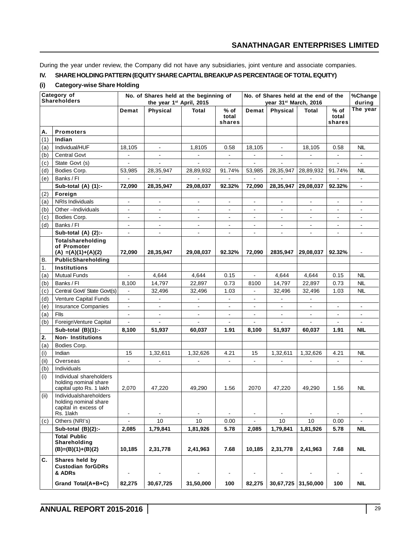During the year under review, the Company did not have any subsidiaries, joint venture and associate companies.

## **IV. SHARE HOLDING PATTERN (EQUITY SHARE CAPITAL BREAKUP AS PERCENTAGE OF TOTAL EQUITY)**

#### **(i) Category-wise Share Holding**

|            | Category of<br><b>Shareholders</b>                                                   | No. of Shares held at the beginning of<br>the year 1st April, 2015 |                 |                |                           | No. of Shares held at the end of the<br>year 31st March, 2016 |                |                | %Change<br>during         |                          |
|------------|--------------------------------------------------------------------------------------|--------------------------------------------------------------------|-----------------|----------------|---------------------------|---------------------------------------------------------------|----------------|----------------|---------------------------|--------------------------|
|            |                                                                                      | Demat                                                              | <b>Physical</b> | <b>Total</b>   | $%$ of<br>total<br>shares | Demat                                                         | Physical       | <b>Total</b>   | $%$ of<br>total<br>shares | The year                 |
| Α.         | <b>Promoters</b>                                                                     |                                                                    |                 |                |                           |                                                               |                |                |                           |                          |
| (1)        | Indian                                                                               |                                                                    |                 |                |                           |                                                               |                |                |                           |                          |
| (a)        | Individual/HUF                                                                       | 18,105                                                             | $\blacksquare$  | 1,8105         | 0.58                      | 18,105                                                        | $\blacksquare$ | 18,105         | 0.58                      | NIL                      |
| (b)        | <b>Central Govt</b>                                                                  | $\blacksquare$                                                     | $\blacksquare$  | $\blacksquare$ | $\blacksquare$            | $\blacksquare$                                                | $\blacksquare$ | $\blacksquare$ | $\blacksquare$            | $\blacksquare$           |
| (c)        | State Govt (s)                                                                       | $\blacksquare$                                                     | $\blacksquare$  | $\blacksquare$ | $\blacksquare$            | $\blacksquare$                                                | $\blacksquare$ | $\blacksquare$ | $\blacksquare$            | $\blacksquare$           |
| (d)        | Bodies Corp.                                                                         | 53,985                                                             | 28,35,947       | 28,89,932      | 91.74%                    | 53,985                                                        | 28,35,947      | 28,89,932      | 91.74%                    | NIL                      |
| (e)        | Banks / FI                                                                           | $\mathbf{r}$                                                       | $\overline{a}$  | $\blacksquare$ |                           | $\mathbf{r}$                                                  | $\mathbf{r}$   | L.             | $\overline{a}$            | $\blacksquare$           |
|            | Sub-total (A) (1):-                                                                  | 72,090                                                             | 28,35,947       | 29,08,037      | 92.32%                    | 72,090                                                        | 28,35,947      | 29,08,037      | 92.32%                    | $\blacksquare$           |
| (2)        | Foreign                                                                              |                                                                    |                 |                |                           |                                                               |                |                |                           |                          |
| (a)        | <b>NRIs Individuals</b>                                                              |                                                                    |                 |                | $\overline{\phantom{0}}$  | ۰                                                             |                |                |                           |                          |
| (b)        | Other-Individuals                                                                    |                                                                    |                 |                |                           |                                                               |                |                |                           |                          |
| (c)        | Bodies Corp.                                                                         | $\blacksquare$                                                     | $\blacksquare$  | $\blacksquare$ | $\blacksquare$            | $\blacksquare$                                                | $\blacksquare$ | $\blacksquare$ | $\blacksquare$            | $\overline{\phantom{a}}$ |
| (d)        | Banks / FI                                                                           | $\blacksquare$                                                     | $\blacksquare$  | $\blacksquare$ | $\blacksquare$            | $\blacksquare$                                                | $\blacksquare$ | $\blacksquare$ | $\blacksquare$            | $\blacksquare$           |
|            | Sub-total (A) (2):-                                                                  | $\blacksquare$                                                     | $\blacksquare$  | $\blacksquare$ | $\blacksquare$            | $\blacksquare$                                                | $\blacksquare$ | ÷.             | $\blacksquare$            | $\blacksquare$           |
|            | Totalshareholding<br>of Promoter                                                     |                                                                    |                 |                | 92.32%                    |                                                               |                |                |                           |                          |
| В.         | $(A) = (A)(1)+(A)(2)$<br>PublicShareholding                                          | 72,090                                                             | 28,35,947       | 29,08,037      |                           | 72,090                                                        | 2835,947       | 29,08,037      | 92.32%                    | $\blacksquare$           |
|            | <b>Institutions</b>                                                                  |                                                                    |                 |                |                           |                                                               |                |                |                           |                          |
| 1.         | <b>Mutual Funds</b>                                                                  |                                                                    | 4,644           | 4,644          | 0.15                      | $\blacksquare$                                                | 4,644          | 4,644          | 0.15                      | <b>NIL</b>               |
| (a)<br>(b) | Banks / FI                                                                           | 8,100                                                              | 14,797          | 22,897         | 0.73                      | 8100                                                          | 14,797         | 22,897         | 0.73                      | <b>NIL</b>               |
| (c)        | Central Govt/ State Govt(s)                                                          | $\mathbb{Z}^2$                                                     | 32,496          | 32,496         | 1.03                      | $\blacksquare$                                                | 32,496         | 32,496         | 1.03                      | <b>NIL</b>               |
| (d)        | Venture Capital Funds                                                                | $\blacksquare$                                                     | $\Box$          | $\blacksquare$ | $\blacksquare$            | $\blacksquare$                                                | $\blacksquare$ | ä,             |                           |                          |
| (e)        | Insurance Companies                                                                  | $\blacksquare$                                                     | $\blacksquare$  | $\blacksquare$ | $\overline{\phantom{a}}$  | $\blacksquare$                                                | $\blacksquare$ | $\blacksquare$ | $\blacksquare$            | $\blacksquare$           |
| (a)        | Flls                                                                                 |                                                                    | $\blacksquare$  | $\frac{1}{2}$  | $\overline{\phantom{a}}$  | $\blacksquare$                                                | $\blacksquare$ | $\frac{1}{2}$  | $\blacksquare$            | $\blacksquare$           |
| (b)        | ForeignVenture Capital                                                               |                                                                    | $\blacksquare$  | $\blacksquare$ | $\blacksquare$            | ä,                                                            | $\blacksquare$ | $\overline{a}$ | $\blacksquare$            | $\blacksquare$           |
|            | Sub-total $(B)(1)$ :-                                                                | 8,100                                                              | 51,937          | 60,037         | 1.91                      | 8,100                                                         | 51,937         | 60,037         | 1.91                      | NIL                      |
| 2.         | <b>Non-Institutions</b>                                                              |                                                                    |                 |                |                           |                                                               |                |                |                           |                          |
| (a)        | Bodies Corp.                                                                         |                                                                    |                 |                |                           |                                                               |                |                |                           |                          |
| (i)        | Indian                                                                               | 15                                                                 | 1,32,611        | 1,32,626       | 4.21                      | 15                                                            | 1,32,611       | 1,32,626       | 4.21                      | <b>NIL</b>               |
| (ii)       | Overseas                                                                             | $\mathbb{Z}^{\mathbb{Z}}$                                          | $\mathbf{r}$    | $\blacksquare$ | цÚ.                       | $\mathbf{r}$                                                  | $\mathbf{r}$   | ä,             | $\mathbf{r}$              | $\blacksquare$           |
| (b)        | Individuals                                                                          |                                                                    |                 |                |                           |                                                               |                |                |                           |                          |
| (i)        | Individual shareholders<br>holding nominal share<br>capital upto Rs. 1 lakh          | 2,070                                                              | 47,220          | 49,290         | 1.56                      | 2070                                                          | 47,220         | 49,290         | 1.56                      | <b>NIL</b>               |
| (ii)       | Individualshareholders<br>holding nominal share<br>capital in excess of<br>Rs. 1lakh | $\blacksquare$                                                     | $\blacksquare$  | $\blacksquare$ | $\blacksquare$            | $\qquad \qquad \blacksquare$                                  | $\blacksquare$ | $\frac{1}{2}$  |                           | $\blacksquare$           |
| (c)        | Others (NRI's)                                                                       | $\qquad \qquad \blacksquare$                                       | 10              | 10             | 0.00                      |                                                               | 10             | 10             | 0.00                      |                          |
|            | Sub-total $(B)(2)$ :-                                                                | 2,085                                                              | 1,79,841        | 1,81,926       | 5.78                      | 2,085                                                         | 1,79,841       | 1,81,926       | 5.78                      | NIL                      |
|            | <b>Total Public</b><br>Shareholding<br>$(B)=(B)(1)+(B)(2)$                           | 10,185                                                             | 2,31,778        | 2,41,963       | 7.68                      | 10,185                                                        | 2,31,778       | 2,41,963       | 7.68                      | <b>NIL</b>               |
| C.         | Shares held by<br><b>Custodian forGDRs</b><br>& ADRs                                 |                                                                    |                 |                |                           |                                                               |                |                |                           |                          |
|            | Grand Total(A+B+C)                                                                   | 82,275                                                             | 30,67,725       | 31,50,000      | 100                       | 82,275                                                        | 30,67,725      | 31,50,000      | 100                       | <b>NIL</b>               |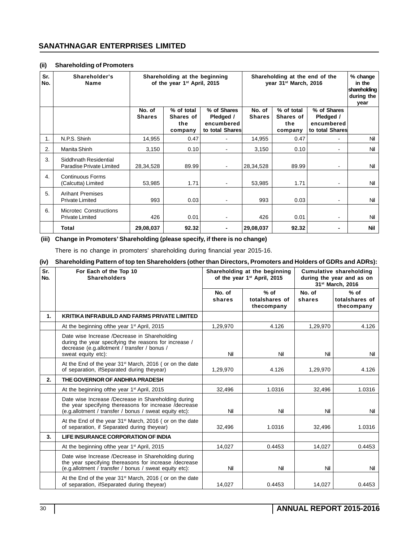#### **(ii) Shareholding of Promoters**

| Sr.<br>No. | Shareholder's<br><b>Name</b>                            | Shareholding at the beginning<br>of the year 1 <sup>st</sup> April, 2015 |                                           |                                                           | Shareholding at the end of the<br>year 31 <sup>st</sup> March, 2016 | % change<br>in the<br>shareholding<br>during the<br>year |                                                           |     |
|------------|---------------------------------------------------------|--------------------------------------------------------------------------|-------------------------------------------|-----------------------------------------------------------|---------------------------------------------------------------------|----------------------------------------------------------|-----------------------------------------------------------|-----|
|            |                                                         | No. of<br><b>Shares</b>                                                  | % of total<br>Shares of<br>the<br>company | % of Shares<br>Pledged /<br>encumbered<br>to total Shares | No. of<br><b>Shares</b>                                             | % of total<br>Shares of<br>the<br>company                | % of Shares<br>Pledged /<br>encumbered<br>to total Shares |     |
| 1.         | N.P.S. Shinh                                            | 14,955                                                                   | 0.47                                      | ٠                                                         | 14,955                                                              | 0.47                                                     | $\overline{\phantom{0}}$                                  | Nil |
| 2.         | Manita Shinh                                            | 3,150                                                                    | 0.10                                      | ۰                                                         | 3,150                                                               | 0.10                                                     | $\overline{\phantom{0}}$                                  | Nil |
| 3.         | Siddhnath Residential<br>Paradise Private Limited       | 28,34,528                                                                | 89.99                                     | ٠                                                         | 28,34,528                                                           | 89.99                                                    | ۰.                                                        | Nil |
| 4.         | <b>Continuous Forms</b><br>(Calcutta) Limited           | 53,985                                                                   | 1.71                                      |                                                           | 53,985                                                              | 1.71                                                     | $\overline{\phantom{0}}$                                  | Nil |
| 5.         | <b>Arihant Premises</b><br><b>Private Limited</b>       | 993                                                                      | 0.03                                      | ۰                                                         | 993                                                                 | 0.03                                                     | $\blacksquare$                                            | Nil |
| 6.         | <b>Microtec Constructions</b><br><b>Private Limited</b> | 426                                                                      | 0.01                                      |                                                           | 426                                                                 | 0.01                                                     | $\overline{\phantom{0}}$                                  | Nil |
|            | Total                                                   | 29,08,037                                                                | 92.32                                     |                                                           | 29,08,037                                                           | 92.32                                                    | ٠                                                         | Nil |

#### **(iii) Change in Promoters' Shareholding (please specify, if there is no change)**

There is no change in promoters' shareholding during financial year 2015-16.

#### **(iv) Shareholding Pattern of top ten Shareholders (other than Directors, Promoters and Holders of GDRs and ADRs):**

| Sr.<br>No. | For Each of the Top 10<br><b>Shareholders</b>                                                                                                                               |                  | Shareholding at the beginning<br>of the year 1 <sup>st</sup> April, 2015 | <b>Cumulative shareholding</b><br>during the year and as on<br>31 <sup>st</sup> March. 2016 |                                        |  |
|------------|-----------------------------------------------------------------------------------------------------------------------------------------------------------------------------|------------------|--------------------------------------------------------------------------|---------------------------------------------------------------------------------------------|----------------------------------------|--|
|            |                                                                                                                                                                             | No. of<br>shares | $%$ of<br>totalshares of<br>thecompany                                   | No. of<br>shares                                                                            | $%$ of<br>totalshares of<br>thecompany |  |
| 1.         | <b>KRITIKA INFRABUILD AND FARMS PRIVATE LIMITED</b>                                                                                                                         |                  |                                                                          |                                                                                             |                                        |  |
|            | At the beginning of the year 1 <sup>st</sup> April, 2015                                                                                                                    | 1,29,970         | 4.126                                                                    | 1,29,970                                                                                    | 4.126                                  |  |
|            | Date wise Increase /Decrease in Shareholding<br>during the year specifying the reasons for increase /<br>decrease (e.g.allotment / transfer / bonus /<br>sweat equity etc): | Nil              | Nil                                                                      | Nil                                                                                         | Nil                                    |  |
|            | At the End of the year 31 <sup>st</sup> March, 2016 (or on the date<br>of separation, ifSeparated during theyear)                                                           | 1,29,970         | 4.126                                                                    | 1,29,970                                                                                    | 4.126                                  |  |
| 2.         | THE GOVERNOR OF ANDHRA PRADESH                                                                                                                                              |                  |                                                                          |                                                                                             |                                        |  |
|            | At the beginning of the year 1 <sup>st</sup> April, 2015                                                                                                                    | 32,496           | 1.0316                                                                   | 32,496                                                                                      | 1.0316                                 |  |
|            | Date wise Increase /Decrease in Shareholding during<br>the year specifying thereasons for increase /decrease<br>(e.g.allotment / transfer / bonus / sweat equity etc):      | Nil              | Nil                                                                      | Nil                                                                                         | Nil                                    |  |
|            | At the End of the year 31 <sup>st</sup> March, 2016 (or on the date<br>of separation, if Separated during theyear)                                                          | 32,496           | 1.0316                                                                   | 32,496                                                                                      | 1.0316                                 |  |
| 3.         | LIFE INSURANCE CORPORATION OF INDIA                                                                                                                                         |                  |                                                                          |                                                                                             |                                        |  |
|            | At the beginning of the year 1 <sup>st</sup> April, 2015                                                                                                                    | 14,027           | 0.4453                                                                   | 14,027                                                                                      | 0.4453                                 |  |
|            | Date wise Increase /Decrease in Shareholding during<br>the year specifying thereasons for increase /decrease<br>(e.g.allotment / transfer / bonus / sweat equity etc):      | Nil              | Nil                                                                      | Nil                                                                                         | Nil                                    |  |
|            | At the End of the year 31 <sup>st</sup> March, 2016 (or on the date<br>of separation, ifSeparated during theyear)                                                           | 14,027           | 0.4453                                                                   | 14,027                                                                                      | 0.4453                                 |  |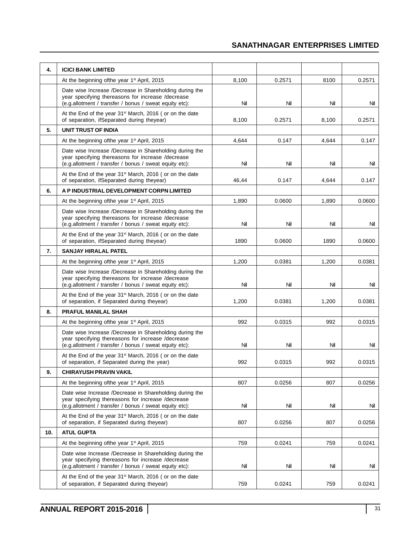| 4.  | <b>ICICI BANK LIMITED</b>                                                                                                                                              |       |        |       |        |
|-----|------------------------------------------------------------------------------------------------------------------------------------------------------------------------|-------|--------|-------|--------|
|     | At the beginning ofthe year 1 <sup>st</sup> April, 2015                                                                                                                | 8.100 | 0.2571 | 8100  | 0.2571 |
|     | Date wise Increase /Decrease in Shareholding during the<br>year specifying thereasons for increase /decrease<br>(e.g.allotment / transfer / bonus / sweat equity etc): | Nil   | Nil    | Nil   | Nil    |
|     | At the End of the year 31 <sup>st</sup> March, 2016 (or on the date<br>of separation, ifSeparated during theyear)                                                      | 8,100 | 0.2571 | 8,100 | 0.2571 |
| 5.  | <b>UNIT TRUST OF INDIA</b>                                                                                                                                             |       |        |       |        |
|     | At the beginning of the year 1 <sup>st</sup> April, 2015                                                                                                               | 4,644 | 0.147  | 4,644 | 0.147  |
|     | Date wise Increase /Decrease in Shareholding during the<br>year specifying thereasons for increase /decrease<br>(e.g.allotment / transfer / bonus / sweat equity etc): | Nil   | Nil    | Nil   | Nil    |
|     | At the End of the year 31 <sup>st</sup> March, 2016 (or on the date<br>of separation, ifSeparated during theyear)                                                      | 46,44 | 0.147  | 4,644 | 0.147  |
| 6.  | A P INDUSTRIAL DEVELOPMENT CORPN LIMITED                                                                                                                               |       |        |       |        |
|     | At the beginning of the year 1 <sup>st</sup> April, 2015                                                                                                               | 1,890 | 0.0600 | 1,890 | 0.0600 |
|     | Date wise Increase /Decrease in Shareholding during the<br>year specifying thereasons for increase /decrease<br>(e.g.allotment / transfer / bonus / sweat equity etc): | Nil   | Nil    | Nil   | Nil    |
|     | At the End of the year 31 <sup>st</sup> March, 2016 (or on the date<br>of separation, ifSeparated during theyear)                                                      | 1890  | 0.0600 | 1890  | 0.0600 |
| 7.  | <b>SANJAY HIRALAL PATEL</b>                                                                                                                                            |       |        |       |        |
|     | At the beginning of the year 1 <sup>st</sup> April, 2015                                                                                                               | 1,200 | 0.0381 | 1,200 | 0.0381 |
|     | Date wise Increase /Decrease in Shareholding during the<br>year specifying thereasons for increase /decrease<br>(e.g.allotment / transfer / bonus / sweat equity etc): | Nil   | Nil    | Nil   | Nil    |
|     | At the End of the year 31 <sup>st</sup> March, 2016 (or on the date<br>of separation, if Separated during theyear)                                                     | 1,200 | 0.0381 | 1,200 | 0.0381 |
| 8.  | <b>PRAFUL MANILAL SHAH</b>                                                                                                                                             |       |        |       |        |
|     | At the beginning of the year 1 <sup>st</sup> April, 2015                                                                                                               | 992   | 0.0315 | 992   | 0.0315 |
|     | Date wise Increase /Decrease in Shareholding during the<br>year specifying thereasons for increase /decrease<br>(e.g.allotment / transfer / bonus / sweat equity etc): | Nil   | Nil    | Nil   | Nil    |
|     | At the End of the year 31 <sup>st</sup> March, 2016 (or on the date<br>of separation, if Separated during the year)                                                    | 992   | 0.0315 | 992   | 0.0315 |
| 9.  | <b>CHIRAYUSH PRAVIN VAKIL</b>                                                                                                                                          |       |        |       |        |
|     | At the beginning of the year 1 <sup>st</sup> April, 2015                                                                                                               | 807   | 0.0256 | 807   | 0.0256 |
|     | Date wise Increase /Decrease in Shareholding during the<br>year specifying thereasons for increase /decrease<br>(e.g.allotment / transfer / bonus / sweat equity etc): | Nil   | Nil    | Nil   | Nil    |
|     | At the End of the year 31 <sup>st</sup> March, 2016 (or on the date<br>of separation, if Separated during theyear)                                                     | 807   | 0.0256 | 807   | 0.0256 |
| 10. | <b>ATUL GUPTA</b>                                                                                                                                                      |       |        |       |        |
|     | At the beginning of the year 1 <sup>st</sup> April, 2015                                                                                                               | 759   | 0.0241 | 759   | 0.0241 |
|     | Date wise Increase /Decrease in Shareholding during the<br>year specifying thereasons for increase /decrease<br>(e.g.allotment / transfer / bonus / sweat equity etc): | Nil   | Nil    | Nil   | Nil    |
|     | At the End of the year 31 <sup>st</sup> March, 2016 (or on the date<br>of separation, if Separated during theyear)                                                     | 759   | 0.0241 | 759   | 0.0241 |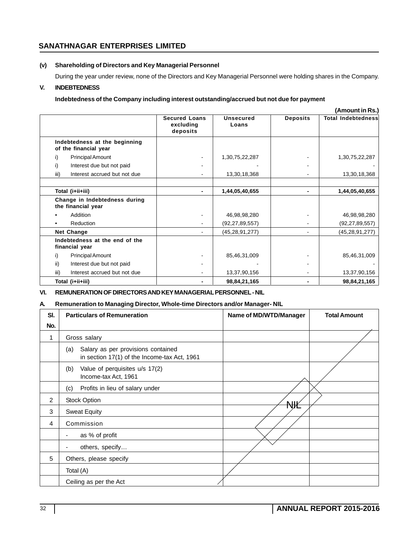#### **(v) Shareholding of Directors and Key Managerial Personnel**

During the year under review, none of the Directors and Key Managerial Personnel were holding shares in the Company.

## **V. INDEBTEDNESS**

#### **Indebtedness of the Company including interest outstanding/accrued but not due for payment**

|                                                        |                                               |                           |                 | (Amount in Rs.)           |
|--------------------------------------------------------|-----------------------------------------------|---------------------------|-----------------|---------------------------|
|                                                        | <b>Secured Loans</b><br>excluding<br>deposits | <b>Unsecured</b><br>Loans | <b>Deposits</b> | <b>Total Indebtedness</b> |
| Indebtedness at the beginning<br>of the financial year |                                               |                           |                 |                           |
| Principal Amount<br>i)                                 |                                               | 1,30,75,22,287            |                 | 1,30,75,22,287            |
| Interest due but not paid<br>i)                        |                                               |                           |                 |                           |
| iii)<br>Interest accrued but not due                   |                                               | 13,30,18,368              |                 | 13,30,18,368              |
| Total (i+ii+iii)                                       |                                               | 1,44,05,40,655            |                 | 1,44,05,40,655            |
| Change in Indebtedness during<br>the financial year    |                                               |                           |                 |                           |
| Addition                                               |                                               | 46,98,98,280              |                 | 46,98,98,280              |
| Reduction                                              |                                               | (92, 27, 89, 557)         |                 | (92, 27, 89, 557)         |
| Net Change                                             |                                               | (45, 28, 91, 277)         |                 | (45, 28, 91, 277)         |
| Indebtedness at the end of the<br>financial year       |                                               |                           |                 |                           |
| <b>Principal Amount</b><br>i)                          |                                               | 85,46,31,009              |                 | 85,46,31,009              |
| ii)<br>Interest due but not paid                       |                                               |                           |                 |                           |
| Interest accrued but not due<br>iii)                   |                                               | 13,37,90,156              |                 | 13,37,90,156              |
| Total (i+ii+iii)                                       |                                               | 98,84,21,165              |                 | 98,84,21,165              |

#### **VI. REMUNERATION OF DIRECTORS AND KEY MANAGERIAL PERSONNEL - NIL**

#### **A. Remuneration to Managing Director, Whole-time Directors and/or Manager- NIL**

| SI. | <b>Particulars of Remuneration</b>                                                        | Name of MD/WTD/Manager | <b>Total Amount</b> |
|-----|-------------------------------------------------------------------------------------------|------------------------|---------------------|
| No. |                                                                                           |                        |                     |
| 1   | Gross salary                                                                              |                        |                     |
|     | Salary as per provisions contained<br>(a)<br>in section 17(1) of the Income-tax Act, 1961 |                        |                     |
|     | Value of perquisites u/s 17(2)<br>(b)<br>Income-tax Act, 1961                             |                        |                     |
|     | Profits in lieu of salary under<br>(c)                                                    |                        |                     |
| 2   | <b>Stock Option</b>                                                                       | ₩                      |                     |
| 3   | <b>Sweat Equity</b>                                                                       |                        |                     |
| 4   | Commission                                                                                |                        |                     |
|     | as % of profit<br>۰.                                                                      |                        |                     |
|     | others, specify<br>۰                                                                      |                        |                     |
| 5   | Others, please specify                                                                    |                        |                     |
|     | Total (A)                                                                                 |                        |                     |
|     | Ceiling as per the Act                                                                    |                        |                     |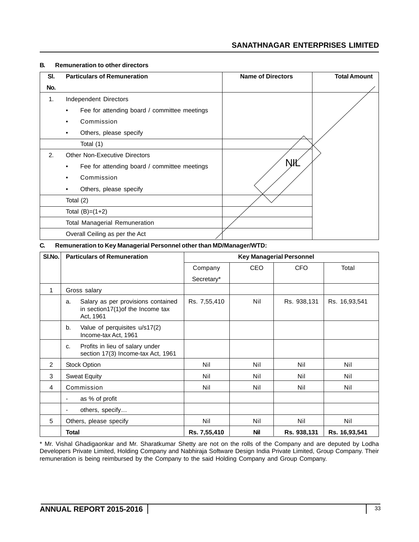| SI. | <b>Particulars of Remuneration</b>                | <b>Name of Directors</b> | <b>Total Amount</b> |
|-----|---------------------------------------------------|--------------------------|---------------------|
| No. |                                                   |                          |                     |
| 1.  | Independent Directors                             |                          |                     |
|     | Fee for attending board / committee meetings<br>٠ |                          |                     |
|     | Commission                                        |                          |                     |
|     | Others, please specify<br>٠                       |                          |                     |
|     | Total (1)                                         |                          |                     |
| 2.  | <b>Other Non-Executive Directors</b>              |                          |                     |
|     | Fee for attending board / committee meetings<br>٠ | NИ                       |                     |
|     | Commission                                        |                          |                     |
|     | Others, please specify<br>٠                       |                          |                     |
|     | Total (2)                                         |                          |                     |
|     | Total $(B)=(1+2)$                                 |                          |                     |
|     | <b>Total Managerial Remuneration</b>              |                          |                     |
|     | Overall Ceiling as per the Act                    |                          |                     |

#### **B. Remuneration to other directors**

**C. Remuneration to Key Managerial Personnel other than MD/Manager/WTD:**

| SI.No.         | <b>Particulars of Remuneration</b>                                                         | <b>Key Managerial Personnel</b> |            |             |               |
|----------------|--------------------------------------------------------------------------------------------|---------------------------------|------------|-------------|---------------|
|                |                                                                                            | Company                         | CEO        | <b>CFO</b>  | Total         |
|                |                                                                                            | Secretary*                      |            |             |               |
| $\mathbf{1}$   | Gross salary                                                                               |                                 |            |             |               |
|                | Salary as per provisions contained<br>a.<br>in section17(1) of the Income tax<br>Act, 1961 | Rs. 7,55,410                    | Nil        | Rs. 938,131 | Rs. 16,93,541 |
|                | Value of perquisites u/s17(2)<br>b.<br>Income-tax Act, 1961                                |                                 |            |             |               |
|                | Profits in lieu of salary under<br>C.<br>section 17(3) Income-tax Act, 1961                |                                 |            |             |               |
| $\overline{2}$ | <b>Stock Option</b>                                                                        | Nil                             | Nil        | Nil         | Nil           |
| 3              | <b>Sweat Equity</b>                                                                        | Nil                             | Nil        | Nil         | Nil           |
| 4              | Commission                                                                                 | Nil                             | Nil        | Nil         | Nil           |
|                | as % of profit<br>$\overline{\phantom{a}}$                                                 |                                 |            |             |               |
|                | others, specify                                                                            |                                 |            |             |               |
| 5              | Others, please specify                                                                     | Nil                             | Nil        | Nil         | Nil           |
|                | <b>Total</b>                                                                               | Rs. 7,55,410                    | <b>Nil</b> | Rs. 938,131 | Rs. 16,93,541 |

\* Mr. Vishal Ghadigaonkar and Mr. Sharatkumar Shetty are not on the rolls of the Company and are deputed by Lodha Developers Private Limited, Holding Company and Nabhiraja Software Design India Private Limited, Group Company. Their remuneration is being reimbursed by the Company to the said Holding Company and Group Company.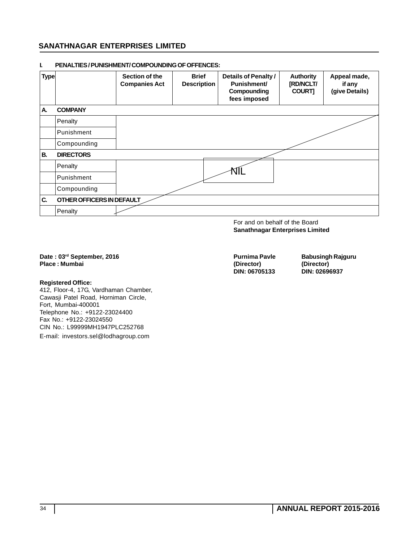| <b>Type</b> |                           | Section of the<br><b>Companies Act</b> | <b>Brief</b><br><b>Description</b> | <b>Details of Penalty /</b><br><b>Punishment/</b><br>Compounding<br>fees imposed | <b>Authority</b><br>[RD/NCLT/<br><b>COURT]</b> | Appeal made,<br>if any<br>(give Details) |
|-------------|---------------------------|----------------------------------------|------------------------------------|----------------------------------------------------------------------------------|------------------------------------------------|------------------------------------------|
| А.          | <b>COMPANY</b>            |                                        |                                    |                                                                                  |                                                |                                          |
|             | Penalty                   |                                        |                                    |                                                                                  |                                                |                                          |
|             | Punishment                |                                        |                                    |                                                                                  |                                                |                                          |
|             | Compounding               |                                        |                                    |                                                                                  |                                                |                                          |
| В.          | <b>DIRECTORS</b>          |                                        |                                    |                                                                                  |                                                |                                          |
|             | Penalty                   |                                        |                                    |                                                                                  |                                                |                                          |
|             | Punishment                |                                        |                                    |                                                                                  |                                                |                                          |
|             | Compounding               |                                        |                                    |                                                                                  |                                                |                                          |
| C.          | OTHER OFFICERS IN DEFAULT |                                        |                                    |                                                                                  |                                                |                                          |
|             | Penalty                   |                                        |                                    |                                                                                  |                                                |                                          |

#### **I. PENALTIES / PUNISHMENT/ COMPOUNDING OF OFFENCES:**

For and on behalf of the Board **Sanathnagar Enterprises Limited**

# Date : 03<sup>rd</sup> September, 2016 **Purnima Pavle Babusingh Rajguru**<br>
Purnima Pavle Babusingh Rajguru<br>
(Director) (Director) **Place : Mumbai (Director) (Director)**

#### **Registered Office:**

412, Floor-4, 17G, Vardhaman Chamber, Cawasji Patel Road, Horniman Circle, Fort, Mumbai-400001 Telephone No.: +9122-23024400 Fax No.: +9122-23024550 CIN No.: L99999MH1947PLC252768

E-mail: investors.sel@lodhagroup.com

**DIN: 06705133 DIN: 02696937**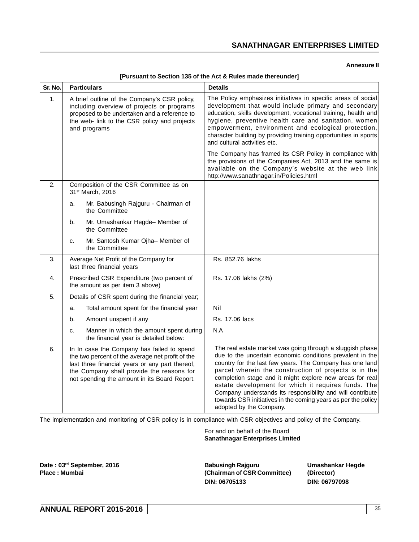#### **Annexure II**

| Sr. No. | <b>Particulars</b>                                                                                                                                                                                                                             | <b>Details</b>                                                                                                                                                                                                                                                                                                                                                                                                                                                                                                           |
|---------|------------------------------------------------------------------------------------------------------------------------------------------------------------------------------------------------------------------------------------------------|--------------------------------------------------------------------------------------------------------------------------------------------------------------------------------------------------------------------------------------------------------------------------------------------------------------------------------------------------------------------------------------------------------------------------------------------------------------------------------------------------------------------------|
| 1.      | A brief outline of the Company's CSR policy,<br>including overview of projects or programs<br>proposed to be undertaken and a reference to<br>the web- link to the CSR policy and projects<br>and programs                                     | The Policy emphasizes initiatives in specific areas of social<br>development that would include primary and secondary<br>education, skills development, vocational training, health and<br>hygiene, preventive health care and sanitation, women<br>empowerment, environment and ecological protection,<br>character building by providing training opportunities in sports<br>and cultural activities etc.                                                                                                              |
|         |                                                                                                                                                                                                                                                | The Company has framed its CSR Policy in compliance with<br>the provisions of the Companies Act, 2013 and the same is<br>available on the Company's website at the web link<br>http://www.sanathnagar.in/Policies.html                                                                                                                                                                                                                                                                                                   |
| 2.      | Composition of the CSR Committee as on<br>31st March, 2016                                                                                                                                                                                     |                                                                                                                                                                                                                                                                                                                                                                                                                                                                                                                          |
|         | Mr. Babusingh Rajguru - Chairman of<br>a.<br>the Committee                                                                                                                                                                                     |                                                                                                                                                                                                                                                                                                                                                                                                                                                                                                                          |
|         | Mr. Umashankar Hegde- Member of<br>b.<br>the Committee                                                                                                                                                                                         |                                                                                                                                                                                                                                                                                                                                                                                                                                                                                                                          |
|         | Mr. Santosh Kumar Ojha- Member of<br>C.<br>the Committee                                                                                                                                                                                       |                                                                                                                                                                                                                                                                                                                                                                                                                                                                                                                          |
| 3.      | Average Net Profit of the Company for<br>last three financial years                                                                                                                                                                            | Rs. 852.76 lakhs                                                                                                                                                                                                                                                                                                                                                                                                                                                                                                         |
| 4.      | Prescribed CSR Expenditure (two percent of<br>the amount as per item 3 above)                                                                                                                                                                  | Rs. 17.06 lakhs (2%)                                                                                                                                                                                                                                                                                                                                                                                                                                                                                                     |
| 5.      | Details of CSR spent during the financial year;                                                                                                                                                                                                |                                                                                                                                                                                                                                                                                                                                                                                                                                                                                                                          |
|         | Total amount spent for the financial year<br>a.                                                                                                                                                                                                | Nil                                                                                                                                                                                                                                                                                                                                                                                                                                                                                                                      |
|         | Amount unspent if any<br>b.                                                                                                                                                                                                                    | Rs. 17.06 lacs                                                                                                                                                                                                                                                                                                                                                                                                                                                                                                           |
|         | Manner in which the amount spent during<br>C.<br>the financial year is detailed below:                                                                                                                                                         | N.A                                                                                                                                                                                                                                                                                                                                                                                                                                                                                                                      |
| 6.      | In In case the Company has failed to spend<br>the two percent of the average net profit of the<br>last three financial years or any part thereof,<br>the Company shall provide the reasons for<br>not spending the amount in its Board Report. | The real estate market was going through a sluggish phase<br>due to the uncertain economic conditions prevalent in the<br>country for the last few years. The Company has one land<br>parcel wherein the construction of projects is in the<br>completion stage and it might explore new areas for real<br>estate development for which it requires funds. The<br>Company understands its responsibility and will contribute<br>towards CSR initiatives in the coming years as per the policy<br>adopted by the Company. |

#### **[Pursuant to Section 135 of the Act & Rules made thereunder]**

The implementation and monitoring of CSR policy is in compliance with CSR objectives and policy of the Company.

For and on behalf of the Board **Sanathnagar Enterprises Limited**

**Date : 03rd September, 2016 Babusingh Rajguru Umashankar Hegde** (Chairman of CSR Committee) (Director) **DIN: 06705133 DIN: 06797098**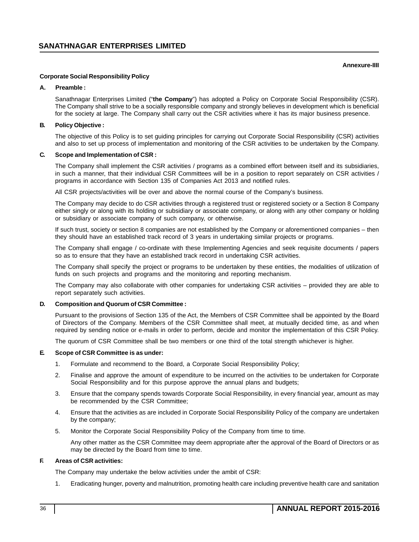### **Annexure-IIII**

### **Corporate Social Responsibility Policy**

### **A. Preamble :**

Sanathnagar Enterprises Limited ("**the Company**") has adopted a Policy on Corporate Social Responsibility (CSR). The Company shall strive to be a socially responsible company and strongly believes in development which is beneficial for the society at large. The Company shall carry out the CSR activities where it has its major business presence.

### **B. Policy Objective :**

The objective of this Policy is to set guiding principles for carrying out Corporate Social Responsibility (CSR) activities and also to set up process of implementation and monitoring of the CSR activities to be undertaken by the Company.

### **C. Scope and Implementation of CSR :**

The Company shall implement the CSR activities / programs as a combined effort between itself and its subsidiaries, in such a manner, that their individual CSR Committees will be in a position to report separately on CSR activities / programs in accordance with Section 135 of Companies Act 2013 and notified rules.

All CSR projects/activities will be over and above the normal course of the Company's business.

The Company may decide to do CSR activities through a registered trust or registered society or a Section 8 Company either singly or along with its holding or subsidiary or associate company, or along with any other company or holding or subsidiary or associate company of such company, or otherwise.

If such trust, society or section 8 companies are not established by the Company or aforementioned companies – then they should have an established track record of 3 years in undertaking similar projects or programs.

The Company shall engage / co-ordinate with these Implementing Agencies and seek requisite documents / papers so as to ensure that they have an established track record in undertaking CSR activities.

The Company shall specify the project or programs to be undertaken by these entities, the modalities of utilization of funds on such projects and programs and the monitoring and reporting mechanism.

The Company may also collaborate with other companies for undertaking CSR activities – provided they are able to report separately such activities.

### **D. Composition and Quorum of CSR Committee :**

Pursuant to the provisions of Section 135 of the Act, the Members of CSR Committee shall be appointed by the Board of Directors of the Company. Members of the CSR Committee shall meet, at mutually decided time, as and when required by sending notice or e-mails in order to perform, decide and monitor the implementation of this CSR Policy.

The quorum of CSR Committee shall be two members or one third of the total strength whichever is higher.

### **E. Scope of CSR Committee is as under:**

- 1. Formulate and recommend to the Board, a Corporate Social Responsibility Policy;
- 2. Finalise and approve the amount of expenditure to be incurred on the activities to be undertaken for Corporate Social Responsibility and for this purpose approve the annual plans and budgets;
- 3. Ensure that the company spends towards Corporate Social Responsibility, in every financial year, amount as may be recommended by the CSR Committee;
- 4. Ensure that the activities as are included in Corporate Social Responsibility Policy of the company are undertaken by the company;
- 5. Monitor the Corporate Social Responsibility Policy of the Company from time to time.

Any other matter as the CSR Committee may deem appropriate after the approval of the Board of Directors or as may be directed by the Board from time to time.

### **F. Areas of CSR activities:**

The Company may undertake the below activities under the ambit of CSR:

1. Eradicating hunger, poverty and malnutrition, promoting health care including preventive health care and sanitation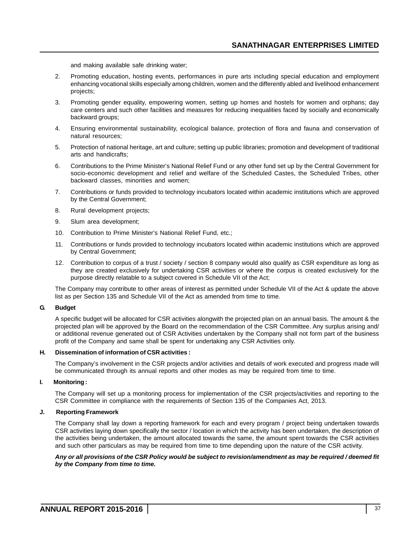and making available safe drinking water;

- 2. Promoting education, hosting events, performances in pure arts including special education and employment enhancing vocational skills especially among children, women and the differently abled and livelihood enhancement projects;
- 3. Promoting gender equality, empowering women, setting up homes and hostels for women and orphans; day care centers and such other facilities and measures for reducing inequalities faced by socially and economically backward groups;
- 4. Ensuring environmental sustainability, ecological balance, protection of flora and fauna and conservation of natural resources;
- 5. Protection of national heritage, art and culture; setting up public libraries; promotion and development of traditional arts and handicrafts;
- 6. Contributions to the Prime Minister's National Relief Fund or any other fund set up by the Central Government for socio-economic development and relief and welfare of the Scheduled Castes, the Scheduled Tribes, other backward classes, minorities and women;
- 7. Contributions or funds provided to technology incubators located within academic institutions which are approved by the Central Government;
- 8. Rural development projects;
- 9. Slum area development;
- 10. Contribution to Prime Minister's National Relief Fund, etc.;
- 11. Contributions or funds provided to technology incubators located within academic institutions which are approved by Central Government;
- 12. Contribution to corpus of a trust / society / section 8 company would also qualify as CSR expenditure as long as they are created exclusively for undertaking CSR activities or where the corpus is created exclusively for the purpose directly relatable to a subject covered in Schedule VII of the Act;

The Company may contribute to other areas of interest as permitted under Schedule VII of the Act & update the above list as per Section 135 and Schedule VII of the Act as amended from time to time.

### **G. Budget**

A specific budget will be allocated for CSR activities alongwith the projected plan on an annual basis. The amount & the projected plan will be approved by the Board on the recommendation of the CSR Committee. Any surplus arising and/ or additional revenue generated out of CSR Activities undertaken by the Company shall not form part of the business profit of the Company and same shall be spent for undertaking any CSR Activities only.

### **H. Dissemination of information of CSR activities :**

The Company's involvement in the CSR projects and/or activities and details of work executed and progress made will be communicated through its annual reports and other modes as may be required from time to time.

## **I. Monitoring :**

The Company will set up a monitoring process for implementation of the CSR projects/activities and reporting to the CSR Committee in compliance with the requirements of Section 135 of the Companies Act, 2013.

### **J. Reporting Framework**

The Company shall lay down a reporting framework for each and every program / project being undertaken towards CSR activities laying down specifically the sector / location in which the activity has been undertaken, the description of the activities being undertaken, the amount allocated towards the same, the amount spent towards the CSR activities and such other particulars as may be required from time to time depending upon the nature of the CSR activity.

### *Any or all provisions of the CSR Policy would be subject to revision/amendment as may be required / deemed fit by the Company from time to time.*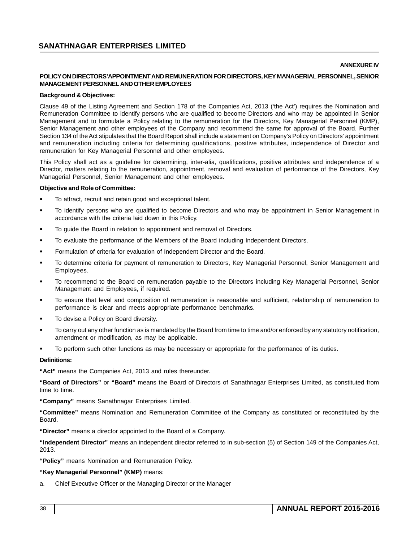### **ANNEXURE IV**

## **POLICY ON DIRECTORS'APPOINTMENT AND REMUNERATION FOR DIRECTORS, KEY MANAGERIAL PERSONNEL, SENIOR MANAGEMENT PERSONNEL AND OTHER EMPLOYEES**

### **Background & Objectives:**

Clause 49 of the Listing Agreement and Section 178 of the Companies Act, 2013 ('the Act') requires the Nomination and Remuneration Committee to identify persons who are qualified to become Directors and who may be appointed in Senior Management and to formulate a Policy relating to the remuneration for the Directors, Key Managerial Personnel (KMP), Senior Management and other employees of the Company and recommend the same for approval of the Board. Further Section 134 of the Act stipulates that the Board Report shall include a statement on Company's Policy on Directors' appointment and remuneration including criteria for determining qualifications, positive attributes, independence of Director and remuneration for Key Managerial Personnel and other employees.

This Policy shall act as a guideline for determining, inter-alia, qualifications, positive attributes and independence of a Director, matters relating to the remuneration, appointment, removal and evaluation of performance of the Directors, Key Managerial Personnel, Senior Management and other employees.

### **Objective and Role of Committee:**

- To attract, recruit and retain good and exceptional talent.
- To identify persons who are qualified to become Directors and who may be appointment in Senior Management in accordance with the criteria laid down in this Policy.
- To guide the Board in relation to appointment and removal of Directors.
- To evaluate the performance of the Members of the Board including Independent Directors.
- Formulation of criteria for evaluation of Independent Director and the Board.
- To determine criteria for payment of remuneration to Directors, Key Managerial Personnel, Senior Management and Employees.
- To recommend to the Board on remuneration payable to the Directors including Key Managerial Personnel, Senior Management and Employees, if required.
- To ensure that level and composition of remuneration is reasonable and sufficient, relationship of remuneration to performance is clear and meets appropriate performance benchmarks.
- To devise a Policy on Board diversity.
- To carry out any other function as is mandated by the Board from time to time and/or enforced by any statutory notification, amendment or modification, as may be applicable.
- To perform such other functions as may be necessary or appropriate for the performance of its duties.

### **Definitions:**

**"Act"** means the Companies Act, 2013 and rules thereunder.

**"Board of Directors"** or **"Board"** means the Board of Directors of Sanathnagar Enterprises Limited, as constituted from time to time.

**"Company"** means Sanathnagar Enterprises Limited.

**"Committee"** means Nomination and Remuneration Committee of the Company as constituted or reconstituted by the Board.

**"Director"** means a director appointed to the Board of a Company.

**"Independent Director"** means an independent director referred to in sub-section (5) of Section 149 of the Companies Act, 2013.

**"Policy"** means Nomination and Remuneration Policy.

### **"Key Managerial Personnel" (KMP)** means:

a. Chief Executive Officer or the Managing Director or the Manager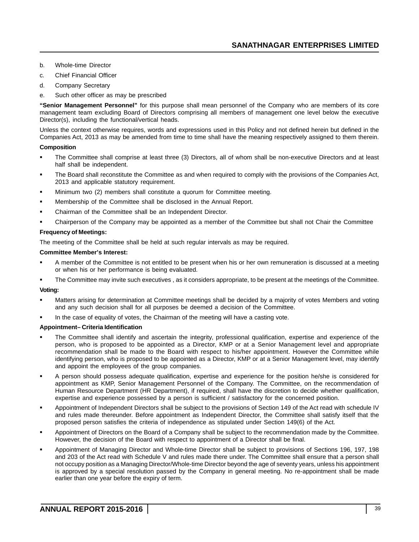- b. Whole-time Director
- c. Chief Financial Officer
- d. Company Secretary
- e. Such other officer as may be prescribed

**"Senior Management Personnel"** for this purpose shall mean personnel of the Company who are members of its core management team excluding Board of Directors comprising all members of management one level below the executive Director(s), including the functional/vertical heads.

Unless the context otherwise requires, words and expressions used in this Policy and not defined herein but defined in the Companies Act, 2013 as may be amended from time to time shall have the meaning respectively assigned to them therein.

### **Composition**

- The Committee shall comprise at least three (3) Directors, all of whom shall be non-executive Directors and at least half shall be independent.
- The Board shall reconstitute the Committee as and when required to comply with the provisions of the Companies Act, 2013 and applicable statutory requirement.
- Minimum two (2) members shall constitute a quorum for Committee meeting.
- Membership of the Committee shall be disclosed in the Annual Report.
- Chairman of the Committee shall be an Independent Director.
- Chairperson of the Company may be appointed as a member of the Committee but shall not Chair the Committee

## **Frequency of Meetings:**

The meeting of the Committee shall be held at such regular intervals as may be required.

## **Committee Member's Interest:**

- A member of the Committee is not entitled to be present when his or her own remuneration is discussed at a meeting or when his or her performance is being evaluated.
- The Committee may invite such executives , as it considers appropriate, to be present at the meetings of the Committee.

### **Voting:**

- Matters arising for determination at Committee meetings shall be decided by a majority of votes Members and voting and any such decision shall for all purposes be deemed a decision of the Committee.
- In the case of equality of votes, the Chairman of the meeting will have a casting vote.

### **Appointment– Criteria Identification**

- The Committee shall identify and ascertain the integrity, professional qualification, expertise and experience of the person, who is proposed to be appointed as a Director, KMP or at a Senior Management level and appropriate recommendation shall be made to the Board with respect to his/her appointment. However the Committee while identifying person, who is proposed to be appointed as a Director, KMP or at a Senior Management level, may identify and appoint the employees of the group companies.
- A person should possess adequate qualification, expertise and experience for the position he/she is considered for appointment as KMP, Senior Management Personnel of the Company. The Committee, on the recommendation of Human Resource Department (HR Department), if required, shall have the discretion to decide whether qualification, expertise and experience possessed by a person is sufficient / satisfactory for the concerned position.
- Appointment of Independent Directors shall be subject to the provisions of Section 149 of the Act read with schedule IV and rules made thereunder. Before appointment as Independent Director, the Committee shall satisfy itself that the proposed person satisfies the criteria of independence as stipulated under Section 149(6) of the Act.
- Appointment of Directors on the Board of a Company shall be subject to the recommendation made by the Committee. However, the decision of the Board with respect to appointment of a Director shall be final.
- Appointment of Managing Director and Whole-time Director shall be subject to provisions of Sections 196, 197, 198 and 203 of the Act read with Schedule V and rules made there under. The Committee shall ensure that a person shall not occupy position as a Managing Director/Whole-time Director beyond the age of seventy years, unless his appointment is approved by a special resolution passed by the Company in general meeting. No re-appointment shall be made earlier than one year before the expiry of term.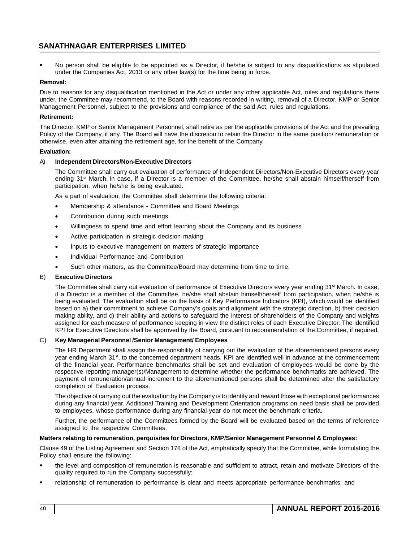No person shall be eligible to be appointed as a Director, if he/she is subject to any disqualifications as stipulated under the Companies Act, 2013 or any other law(s) for the time being in force.

### **Removal:**

Due to reasons for any disqualification mentioned in the Act or under any other applicable Act, rules and regulations there under, the Committee may recommend, to the Board with reasons recorded in writing, removal of a Director, KMP or Senior Management Personnel, subject to the provisions and compliance of the said Act, rules and regulations.

### **Retirement:**

The Director, KMP or Senior Management Personnel, shall retire as per the applicable provisions of the Act and the prevailing Policy of the Company, if any. The Board will have the discretion to retain the Director in the same position/ remuneration or otherwise, even after attaining the retirement age, for the benefit of the Company.

### **Evaluation:**

### A) **Independent Directors/Non-Executive Directors**

The Committee shall carry out evaluation of performance of Independent Directors/Non-Executive Directors every year ending 31<sup>st</sup> March. In case, if a Director is a member of the Committee, he/she shall abstain himself/herself from participation, when he/she is being evaluated.

As a part of evaluation, the Committee shall determine the following criteria:

- Membership & attendance Committee and Board Meetings
- Contribution during such meetings
- Willingness to spend time and effort learning about the Company and its business
- Active participation in strategic decision making
- Inputs to executive management on matters of strategic importance
- Individual Performance and Contribution
- Such other matters, as the Committee/Board may determine from time to time.

### B) **Executive Directors**

The Committee shall carry out evaluation of performance of Executive Directors every year ending 31<sup>st</sup> March. In case, if a Director is a member of the Committee, he/she shall abstain himself/herself from participation, when he/she is being evaluated. The evaluation shall be on the basis of Key Performance Indicators (KPI), which would be identified based on a) their commitment to achieve Company's goals and alignment with the strategic direction, b) their decision making ability, and c) their ability and actions to safeguard the interest of shareholders of the Company and weights assigned for each measure of performance keeping in view the distinct roles of each Executive Director. The identified KPI for Executive Directors shall be approved by the Board, pursuant to recommendation of the Committee, if required.

## C) **Key Managerial Personnel /Senior Management/ Employees**

The HR Department shall assign the responsibility of carrying out the evaluation of the aforementioned persons every year ending March 31<sup>st</sup>, to the concerned department heads. KPI are identified well in advance at the commencement of the financial year. Performance benchmarks shall be set and evaluation of employees would be done by the respective reporting manager(s)/Management to determine whether the performance benchmarks are achieved. The payment of remuneration/annual increment to the aforementioned persons shall be determined after the satisfactory completion of Evaluation process.

The objective of carrying out the evaluation by the Company is to identify and reward those with exceptional performances during any financial year. Additional Training and Development Orientation programs on need basis shall be provided to employees, whose performance during any financial year do not meet the benchmark criteria.

Further, the performance of the Committees formed by the Board will be evaluated based on the terms of reference assigned to the respective Committees.

### **Matters relating to remuneration, perquisites for Directors, KMP/Senior Management Personnel & Employees:**

Clause 49 of the Listing Agreement and Section 178 of the Act, emphatically specify that the Committee, while formulating the Policy shall ensure the following:

- the level and composition of remuneration is reasonable and sufficient to attract, retain and motivate Directors of the quality required to run the Company successfully;
- relationship of remuneration to performance is clear and meets appropriate performance benchmarks; and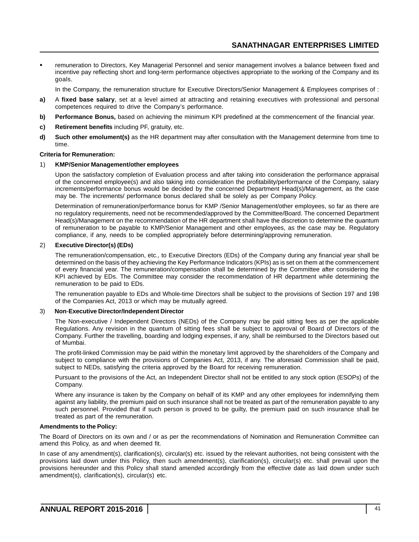remuneration to Directors, Key Managerial Personnel and senior management involves a balance between fixed and incentive pay reflecting short and long-term performance objectives appropriate to the working of the Company and its goals.

In the Company, the remuneration structure for Executive Directors/Senior Management & Employees comprises of :

- **a)** A **fixed base salary**, set at a level aimed at attracting and retaining executives with professional and personal competences required to drive the Company's performance.
- **b)** Performance Bonus, based on achieving the minimum KPI predefined at the commencement of the financial year.
- **c) Retirement benefits** including PF, gratuity, etc.
- **d) Such other emolument(s)** as the HR department may after consultation with the Management determine from time to time.

### **Criteria for Remuneration:**

### 1) **KMP/Senior Management/other employees**

Upon the satisfactory completion of Evaluation process and after taking into consideration the performance appraisal of the concerned employee(s) and also taking into consideration the profitability/performance of the Company, salary increments/performance bonus would be decided by the concerned Department Head(s)/Management, as the case may be. The increments/ performance bonus declared shall be solely as per Company Policy.

Determination of remuneration/performance bonus for KMP /Senior Management/other employees, so far as there are no regulatory requirements, need not be recommended/approved by the Committee/Board. The concerned Department Head(s)/Management on the recommendation of the HR department shall have the discretion to determine the quantum of remuneration to be payable to KMP/Senior Management and other employees, as the case may be. Regulatory compliance, if any, needs to be complied appropriately before determining/approving remuneration.

### 2) **Executive Director(s) (EDs)**

The remuneration/compensation, etc., to Executive Directors (EDs) of the Company during any financial year shall be determined on the basis of they achieving the Key Performance Indicators (KPIs) as is set on them at the commencement of every financial year. The remuneration/compensation shall be determined by the Committee after considering the KPI achieved by EDs. The Committee may consider the recommendation of HR department while determining the remuneration to be paid to EDs.

The remuneration payable to EDs and Whole-time Directors shall be subject to the provisions of Section 197 and 198 of the Companies Act, 2013 or which may be mutually agreed.

### 3) **Non**-**Executive Director/Independent Director**

The Non-executive / Independent Directors (NEDs) of the Company may be paid sitting fees as per the applicable Regulations. Any revision in the quantum of sitting fees shall be subject to approval of Board of Directors of the Company. Further the travelling, boarding and lodging expenses, if any, shall be reimbursed to the Directors based out of Mumbai.

The profit-linked Commission may be paid within the monetary limit approved by the shareholders of the Company and subject to compliance with the provisions of Companies Act, 2013, if any. The aforesaid Commission shall be paid, subject to NEDs, satisfying the criteria approved by the Board for receiving remuneration.

Pursuant to the provisions of the Act, an Independent Director shall not be entitled to any stock option (ESOPs) of the Company.

Where any insurance is taken by the Company on behalf of its KMP and any other employees for indemnifying them against any liability, the premium paid on such insurance shall not be treated as part of the remuneration payable to any such personnel. Provided that if such person is proved to be guilty, the premium paid on such insurance shall be treated as part of the remuneration.

### **Amendments to the Policy:**

The Board of Directors on its own and / or as per the recommendations of Nomination and Remuneration Committee can amend this Policy, as and when deemed fit.

In case of any amendment(s), clarification(s), circular(s) etc. issued by the relevant authorities, not being consistent with the provisions laid down under this Policy, then such amendment(s), clarification(s), circular(s) etc. shall prevail upon the provisions hereunder and this Policy shall stand amended accordingly from the effective date as laid down under such amendment(s), clarification(s), circular(s) etc.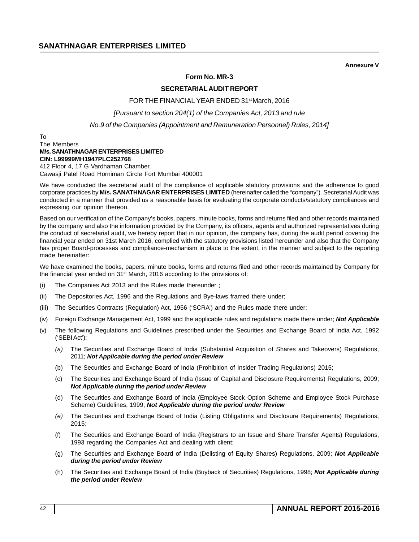**Annexure V**

## **Form No. MR-3**

## **SECRETARIAL AUDIT REPORT**

FOR THE FINANCIAL YEAR ENDED 31<sup>st</sup> March, 2016

*[Pursuant to section 204(1) of the Companies Act, 2013 and rule*

*No.9 of the Companies (Appointment and Remuneration Personnel) Rules, 2014]*

### To The Members **M/s. SANATHNAGAR ENTERPRISES LIMITED CIN: L99999MH1947PLC252768** 412 Floor 4, 17 G Vardhaman Chamber,

Cawasji Patel Road Horniman Circle Fort Mumbai 400001

We have conducted the secretarial audit of the compliance of applicable statutory provisions and the adherence to good corporate practices by **M/s. SANATHNAGAR ENTERPRISES LIMITED** (hereinafter called the "company"). Secretarial Audit was conducted in a manner that provided us a reasonable basis for evaluating the corporate conducts/statutory compliances and expressing our opinion thereon.

Based on our verification of the Company's books, papers, minute books, forms and returns filed and other records maintained by the company and also the information provided by the Company, its officers, agents and authorized representatives during the conduct of secretarial audit, we hereby report that in our opinion, the company has, during the audit period covering the financial year ended on 31st March 2016, complied with the statutory provisions listed hereunder and also that the Company has proper Board-processes and compliance-mechanism in place to the extent, in the manner and subject to the reporting made hereinafter:

We have examined the books, papers, minute books, forms and returns filed and other records maintained by Company for the financial year ended on 31<sup>st</sup> March, 2016 according to the provisions of:

- (i) The Companies Act 2013 and the Rules made thereunder ;
- (ii) The Depositories Act, 1996 and the Regulations and Bye-laws framed there under;
- (iii) The Securities Contracts (Regulation) Act, 1956 ('SCRA') and the Rules made there under;
- (iv) Foreign Exchange Management Act, 1999 and the applicable rules and regulations made there under; *Not Applicable*
- (v) The following Regulations and Guidelines prescribed under the Securities and Exchange Board of India Act, 1992 ('SEBI Act');
	- *(a)* The Securities and Exchange Board of India (Substantial Acquisition of Shares and Takeovers) Regulations, 2011; *Not Applicable during the period under Review*
	- (b) The Securities and Exchange Board of India (Prohibition of Insider Trading Regulations) 2015;
	- (c) The Securities and Exchange Board of India (Issue of Capital and Disclosure Requirements) Regulations, 2009; *Not Applicable during the period under Review*
	- (d) The Securities and Exchange Board of India (Employee Stock Option Scheme and Employee Stock Purchase Scheme) Guidelines, 1999; *Not Applicable during the period under Review*
	- *(e)* The Securities and Exchange Board of India (Listing Obligations and Disclosure Requirements) Regulations, 2015;
	- (f) The Securities and Exchange Board of India (Registrars to an Issue and Share Transfer Agents) Regulations, 1993 regarding the Companies Act and dealing with client;
	- (g) The Securities and Exchange Board of India (Delisting of Equity Shares) Regulations, 2009; *Not Applicable during the period under Review*
	- (h) The Securities and Exchange Board of India (Buyback of Securities) Regulations, 1998; *Not Applicable during the period under Review*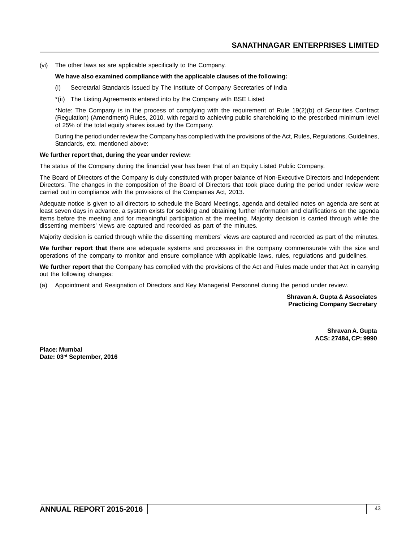(vi) The other laws as are applicable specifically to the Company.

### **We have also examined compliance with the applicable clauses of the following:**

- (i) Secretarial Standards issued by The Institute of Company Secretaries of India
- \*(ii) The Listing Agreements entered into by the Company with BSE Listed

\*Note: The Company is in the process of complying with the requirement of Rule 19(2)(b) of Securities Contract (Regulation) (Amendment) Rules, 2010, with regard to achieving public shareholding to the prescribed minimum level of 25% of the total equity shares issued by the Company.

During the period under review the Company has complied with the provisions of the Act, Rules, Regulations, Guidelines, Standards, etc. mentioned above:

### **We further report that, during the year under review:**

The status of the Company during the financial year has been that of an Equity Listed Public Company.

The Board of Directors of the Company is duly constituted with proper balance of Non-Executive Directors and Independent Directors. The changes in the composition of the Board of Directors that took place during the period under review were carried out in compliance with the provisions of the Companies Act, 2013.

Adequate notice is given to all directors to schedule the Board Meetings, agenda and detailed notes on agenda are sent at least seven days in advance, a system exists for seeking and obtaining further information and clarifications on the agenda items before the meeting and for meaningful participation at the meeting. Majority decision is carried through while the dissenting members' views are captured and recorded as part of the minutes.

Majority decision is carried through while the dissenting members' views are captured and recorded as part of the minutes.

**We further report that** there are adequate systems and processes in the company commensurate with the size and operations of the company to monitor and ensure compliance with applicable laws, rules, regulations and guidelines.

**We further report that** the Company has complied with the provisions of the Act and Rules made under that Act in carrying out the following changes:

(a) Appointment and Resignation of Directors and Key Managerial Personnel during the period under review.

**Shravan A. Gupta & Associates Practicing Company Secretary**

> **Shravan A. Gupta ACS: 27484, CP: 9990**

**Place: Mumbai Date: 03rd September, 2016**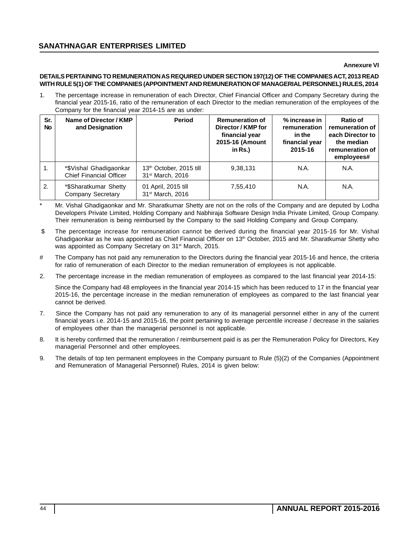### **Annexure VI**

## **DETAILS PERTAINING TO REMUNERATION AS REQUIRED UNDER SECTION 197(12) OF THE COMPANIES ACT, 2013 READ WITH RULE 5(1) OF THE COMPANIES (APPOINTMENT AND REMUNERATION OF MANAGERIAL PERSONNEL) RULES, 2014**

1. The percentage increase in remuneration of each Director, Chief Financial Officer and Company Secretary during the financial year 2015-16, ratio of the remuneration of each Director to the median remuneration of the employees of the Company for the financial year 2014-15 are as under:

| Sr.<br>No | Name of Director / KMP<br>and Designation                | <b>Period</b>                                                       | <b>Remuneration of</b><br>Director / KMP for<br>financial year<br>2015-16 (Amount<br>in $Rs.$ ) | % increase in<br>remuneration<br>in the<br>financial year<br>2015-16 | Ratio of<br>remuneration of<br>each Director to<br>the median<br>remuneration of<br>employees# |
|-----------|----------------------------------------------------------|---------------------------------------------------------------------|-------------------------------------------------------------------------------------------------|----------------------------------------------------------------------|------------------------------------------------------------------------------------------------|
| 1.        | *\$Vishal Ghadigaonkar<br><b>Chief Financial Officer</b> | 13 <sup>th</sup> October, 2015 till<br>31 <sup>st</sup> March, 2016 | 9,38,131                                                                                        | N.A.                                                                 | N.A.                                                                                           |
| 2.        | *\$Sharatkumar Shetty<br>Company Secretary               | 01 April, 2015 till<br>31 <sup>st</sup> March, 2016                 | 7,55,410                                                                                        | N.A.                                                                 | N.A.                                                                                           |

Mr. Vishal Ghadigaonkar and Mr. Sharatkumar Shetty are not on the rolls of the Company and are deputed by Lodha Developers Private Limited, Holding Company and Nabhiraja Software Design India Private Limited, Group Company. Their remuneration is being reimbursed by the Company to the said Holding Company and Group Company.

- \$ The percentage increase for remuneration cannot be derived during the financial year 2015-16 for Mr. Vishal Ghadigaonkar as he was appointed as Chief Financial Officer on 13<sup>th</sup> October, 2015 and Mr. Sharatkumar Shetty who was appointed as Company Secretary on 31<sup>st</sup> March, 2015.
- # The Company has not paid any remuneration to the Directors during the financial year 2015-16 and hence, the criteria for ratio of remuneration of each Director to the median remuneration of employees is not applicable.
- 2. The percentage increase in the median remuneration of employees as compared to the last financial year 2014-15:

Since the Company had 48 employees in the financial year 2014-15 which has been reduced to 17 in the financial year 2015-16, the percentage increase in the median remuneration of employees as compared to the last financial year cannot be derived.

- 7. Since the Company has not paid any remuneration to any of its managerial personnel either in any of the current financial years i.e. 2014-15 and 2015-16, the point pertaining to average percentile increase / decrease in the salaries of employees other than the managerial personnel is not applicable.
- 8. It is hereby confirmed that the remuneration / reimbursement paid is as per the Remuneration Policy for Directors, Key managerial Personnel and other employees.
- 9. The details of top ten permanent employees in the Company pursuant to Rule (5)(2) of the Companies (Appointment and Remuneration of Managerial Personnel) Rules, 2014 is given below: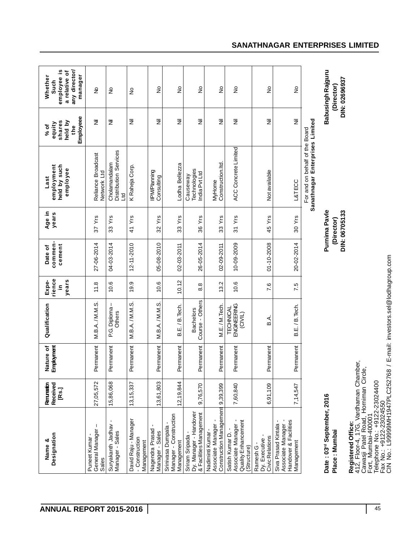| Designation<br>ళ<br>Name                                                                                                                                                               | Received<br>Remuneaton<br>[Rs.] | Nature of<br>Employment | Qualification                       | rience<br>years<br>Expe-<br>$\equiv$ | commen-<br>cement<br>Date of | Age in<br>years                              | employment<br>held by such<br>employee<br>Last                    | Employeee<br>shares<br>held by<br>equity<br>% of<br>the | any director/<br><u>ي</u><br>a relative of<br>manager<br>Whether<br>employee<br>Such |
|----------------------------------------------------------------------------------------------------------------------------------------------------------------------------------------|---------------------------------|-------------------------|-------------------------------------|--------------------------------------|------------------------------|----------------------------------------------|-------------------------------------------------------------------|---------------------------------------------------------|--------------------------------------------------------------------------------------|
| I<br>General Manager<br>Puneet Kumar-<br>Sales                                                                                                                                         | 27,05,572                       | Permanent               | M.B.A./M.M.S.                       | 11.8                                 | 27-06-2014                   | $37Y$ rs                                     | Reliance Broadcast<br>Network Ltd                                 | 医                                                       | $\epsilon$                                                                           |
| Suryakanth Jadhav<br>Manager - Sales                                                                                                                                                   | 15,86,068                       | Permanent               | P.G. Diploma-<br>Others             | 10.6                                 | 04-03-2014                   | 33 Yrs                                       | Distribution Services<br>Cholamandalam<br><b>DAT</b>              | 艺                                                       | $\tilde{\varepsilon}$                                                                |
| David Raju - Manager<br>- Construction<br>Management                                                                                                                                   | 13, 15, 337                     | Permanent               | MBA/MMS                             | 19.9                                 | 12-11-2010                   | 41 Yrs                                       | K Raheja Corp.                                                    | 戹                                                       | $\frac{1}{2}$                                                                        |
| Nagendra Prasad<br>Manager - Sales                                                                                                                                                     | 13,61,803                       | Permanent               | M.B.A./M.M.S.                       | 10.6                                 | 05-08-2010                   | $32Y$ rs                                     | IIPM/Planning<br>Consulting                                       | z                                                       | ş                                                                                    |
| Manager - Construction<br>Srinivasa Dumpala<br>Management                                                                                                                              | 12,19,844                       | Permanent               | B.E. / B. Tech.                     | 10.12                                | 02-03-2011                   | 33 Yrs                                       | Lodha Bellezza                                                    | ž                                                       | ş                                                                                    |
| Dy. Manager - Handover<br>& Facilities Management<br>Sriram Sripada                                                                                                                    | 9,76,570                        | Permanent               | Course - Others<br><b>Bachelors</b> | $\frac{8}{8}$                        | 26-05-2014                   | 36 Yrs                                       | Technologies<br>India Pvt Ltd<br>Causeway                         | 医                                                       | $\frac{1}{2}$                                                                        |
| Construction Management 9,39,399<br>Associate Manager -<br>Nadiminti Kumar-                                                                                                            |                                 | Permanent               | M.E./M.Tech.                        | 13.2                                 | 02-09-2011                   | 33 Yrs                                       | Construction.Itd.<br>MyHome                                       | W                                                       | $\frac{1}{2}$                                                                        |
| $\blacksquare$<br>Quality Enhancement<br>Associate Manager<br>Satish Kumar D. -<br>(Structure)                                                                                         | 7,60,840                        | Permanent               | ENGINEERING<br>TECHNICAL<br>(CIVIL) | 10.6                                 | 10-09-2009                   | 31 Yrs                                       | <b>ACC Concrete Limited</b>                                       | ž                                                       | $\stackrel{\mathtt{o}}{z}$                                                           |
| Dy. Executive -<br>Civic Relations<br>Ramesh G                                                                                                                                         | 6,91,109                        | Permanent               | ВÀ.                                 | 7.6                                  | 01-10-2008                   | 45 Yrs                                       | Not available                                                     | Ξ                                                       | $\frac{1}{2}$                                                                        |
| Handover & Facilities<br>Associate Manager -<br>Siva Prasad Kintala<br>Management                                                                                                      | 7,14,547                        | Permanent               | B.E. / B. Tech.                     | 7.5                                  | 20-02-2014                   | 30 Yrs                                       | L&TECC                                                            | 医                                                       | ş                                                                                    |
|                                                                                                                                                                                        |                                 |                         |                                     |                                      |                              |                                              | Sanathnagar Enterprises Limited<br>For and on behalf of the Board |                                                         |                                                                                      |
| Date: 03rd September, 2016<br>Place : Mumbai                                                                                                                                           |                                 |                         |                                     |                                      |                              | Purnima Pavle<br>DIN: 06705133<br>(Director) |                                                                   |                                                         | Babusingh Rajguru<br>DIN: 02696937<br>(Director)                                     |
| 412, Floor-4, 17G, Vardhaman Chamber,<br>Cawasji Patel Road, Horniman Circle,<br>Eort, Mumbai-400001<br>Telephone No.: +9122-23024400<br>Fax No.: +9122-23024550<br>Registered Office: |                                 |                         |                                     |                                      |                              |                                              |                                                                   |                                                         |                                                                                      |

CIN No.: L99999MH1947PLC252768 / E-mail: investors.sel@lodhagroup.com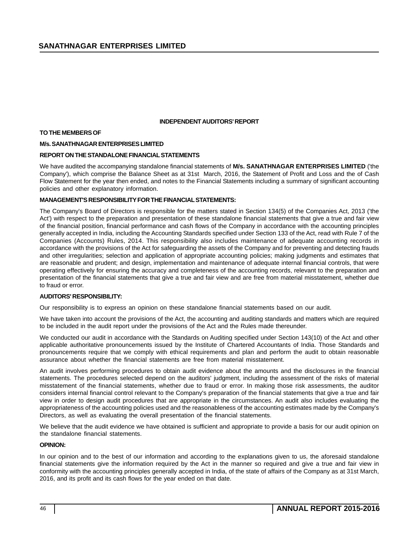### **INDEPENDENT AUDITORS' REPORT**

### **TO THE MEMBERS OF**

### **M/s. SANATHNAGAR ENTERPRISES LIMITED**

### **REPORT ON THE STANDALONE FINANCIAL STATEMENTS**

We have audited the accompanying standalone financial statements of **M/s. SANATHNAGAR ENTERPRISES LIMITED** ('the Company'), which comprise the Balance Sheet as at 31st March, 2016, the Statement of Profit and Loss and the of Cash Flow Statement for the year then ended, and notes to the Financial Statements including a summary of significant accounting policies and other explanatory information.

### **MANAGEMENT'S RESPONSIBILITY FOR THE FINANCIAL STATEMENTS:**

The Company's Board of Directors is responsible for the matters stated in Section 134(5) of the Companies Act, 2013 ('the Act') with respect to the preparation and presentation of these standalone financial statements that give a true and fair view of the financial position, financial performance and cash flows of the Company in accordance with the accounting principles generally accepted in India, including the Accounting Standards specified under Section 133 of the Act, read with Rule 7 of the Companies (Accounts) Rules, 2014. This responsibility also includes maintenance of adequate accounting records in accordance with the provisions of the Act for safeguarding the assets of the Company and for preventing and detecting frauds and other irregularities; selection and application of appropriate accounting policies; making judgments and estimates that are reasonable and prudent; and design, implementation and maintenance of adequate internal financial controls, that were operating effectively for ensuring the accuracy and completeness of the accounting records, relevant to the preparation and presentation of the financial statements that give a true and fair view and are free from material misstatement, whether due to fraud or error.

### **AUDITORS' RESPONSIBILITY:**

Our responsibility is to express an opinion on these standalone financial statements based on our audit.

We have taken into account the provisions of the Act, the accounting and auditing standards and matters which are required to be included in the audit report under the provisions of the Act and the Rules made thereunder.

We conducted our audit in accordance with the Standards on Auditing specified under Section 143(10) of the Act and other applicable authoritative pronouncements issued by the Institute of Chartered Accountants of India. Those Standards and pronouncements require that we comply with ethical requirements and plan and perform the audit to obtain reasonable assurance about whether the financial statements are free from material misstatement.

An audit involves performing procedures to obtain audit evidence about the amounts and the disclosures in the financial statements. The procedures selected depend on the auditors' judgment, including the assessment of the risks of material misstatement of the financial statements, whether due to fraud or error. In making those risk assessments, the auditor considers internal financial control relevant to the Company's preparation of the financial statements that give a true and fair view in order to design audit procedures that are appropriate in the circumstances. An audit also includes evaluating the appropriateness of the accounting policies used and the reasonableness of the accounting estimates made by the Company's Directors, as well as evaluating the overall presentation of the financial statements.

We believe that the audit evidence we have obtained is sufficient and appropriate to provide a basis for our audit opinion on the standalone financial statements.

### **OPINION:**

In our opinion and to the best of our information and according to the explanations given to us, the aforesaid standalone financial statements give the information required by the Act in the manner so required and give a true and fair view in conformity with the accounting principles generally accepted in India, of the state of affairs of the Company as at 31st March, 2016, and its profit and its cash flows for the year ended on that date.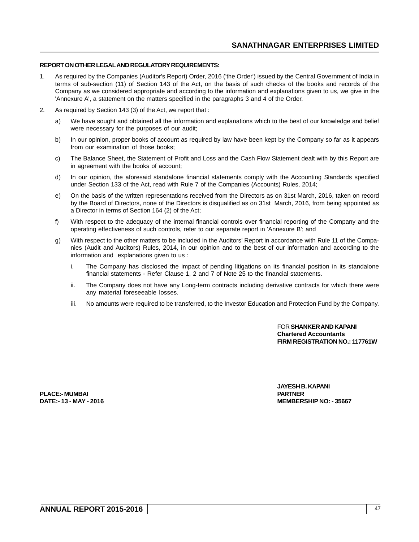## **REPORT ON OTHER LEGAL AND REGULATORY REQUIREMENTS:**

- 1. As required by the Companies (Auditor's Report) Order, 2016 ('the Order') issued by the Central Government of India in terms of sub-section (11) of Section 143 of the Act, on the basis of such checks of the books and records of the Company as we considered appropriate and according to the information and explanations given to us, we give in the 'Annexure A', a statement on the matters specified in the paragraphs 3 and 4 of the Order.
- 2. As required by Section 143 (3) of the Act, we report that :
	- a) We have sought and obtained all the information and explanations which to the best of our knowledge and belief were necessary for the purposes of our audit;
	- b) In our opinion, proper books of account as required by law have been kept by the Company so far as it appears from our examination of those books;
	- c) The Balance Sheet, the Statement of Profit and Loss and the Cash Flow Statement dealt with by this Report are in agreement with the books of account;
	- d) In our opinion, the aforesaid standalone financial statements comply with the Accounting Standards specified under Section 133 of the Act, read with Rule 7 of the Companies (Accounts) Rules, 2014;
	- e) On the basis of the written representations received from the Directors as on 31st March, 2016, taken on record by the Board of Directors, none of the Directors is disqualified as on 31st March, 2016, from being appointed as a Director in terms of Section 164 (2) of the Act;
	- f) With respect to the adequacy of the internal financial controls over financial reporting of the Company and the operating effectiveness of such controls, refer to our separate report in 'Annexure B'; and
	- g) With respect to the other matters to be included in the Auditors' Report in accordance with Rule 11 of the Companies (Audit and Auditors) Rules, 2014, in our opinion and to the best of our information and according to the information and explanations given to us :
		- i. The Company has disclosed the impact of pending litigations on its financial position in its standalone financial statements - Refer Clause 1, 2 and 7 of Note 25 to the financial statements.
		- ii. The Company does not have any Long-term contracts including derivative contracts for which there were any material foreseeable losses.
		- iii. No amounts were required to be transferred, to the Investor Education and Protection Fund by the Company.

FOR **SHANKER AND KAPANI Chartered Accountants FIRM REGISTRATION NO.: 117761W**

**PLACE:- MUMBAI PARTNER**

**JAYESH B. KAPANI DATE:- 13 - MAY - 2016 MEMBERSHIP NO: - 35667**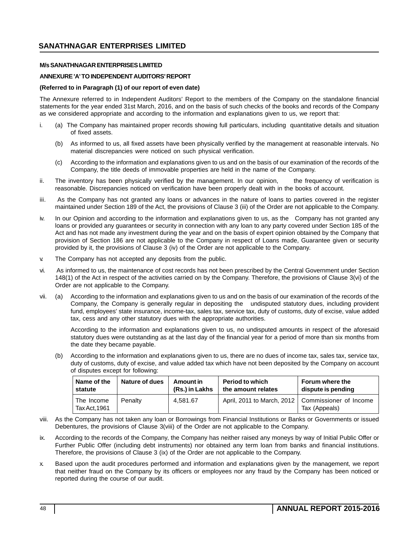## **ANNEXURE 'A' TO INDEPENDENT AUDITORS' REPORT**

### **(Referred to in Paragraph (1) of our report of even date)**

The Annexure referred to in Independent Auditors' Report to the members of the Company on the standalone financial statements for the year ended 31st March, 2016, and on the basis of such checks of the books and records of the Company as we considered appropriate and according to the information and explanations given to us, we report that:

- i. (a) The Company has maintained proper records showing full particulars, including quantitative details and situation of fixed assets.
	- (b) As informed to us, all fixed assets have been physically verified by the management at reasonable intervals. No material discrepancies were noticed on such physical verification.
	- (c) According to the information and explanations given to us and on the basis of our examination of the records of the Company, the title deeds of immovable properties are held in the name of the Company.
- ii. The inventory has been physically verified by the management. In our opinion, the frequency of verification is reasonable. Discrepancies noticed on verification have been properly dealt with in the books of account.
- iii. As the Company has not granted any loans or advances in the nature of loans to parties covered in the register maintained under Section 189 of the Act, the provisions of Clause 3 (iii) of the Order are not applicable to the Company.
- iv. In our Opinion and according to the information and explanations given to us, as the Company has not granted any loans or provided any guarantees or security in connection with any loan to any party covered under Section 185 of the Act and has not made any investment during the year and on the basis of expert opinion obtained by the Company that provision of Section 186 are not applicable to the Company in respect of Loans made, Guarantee given or security provided by it, the provisions of Clause 3 (iv) of the Order are not applicable to the Company.
- v. The Company has not accepted any deposits from the public.
- vi. As informed to us, the maintenance of cost records has not been prescribed by the Central Government under Section 148(1) of the Act in respect of the activities carried on by the Company. Therefore, the provisions of Clause 3(vi) of the Order are not applicable to the Company.
- vii. (a) According to the information and explanations given to us and on the basis of our examination of the records of the Company, the Company is generally regular in depositing the undisputed statutory dues, including provident fund, employees' state insurance, income-tax, sales tax, service tax, duty of customs, duty of excise, value added tax, cess and any other statutory dues with the appropriate authorities.

According to the information and explanations given to us, no undisputed amounts in respect of the aforesaid statutory dues were outstanding as at the last day of the financial year for a period of more than six months from the date they became payable.

(b) According to the information and explanations given to us, there are no dues of income tax, sales tax, service tax, duty of customs, duty of excise, and value added tax which have not been deposited by the Company on account of disputes except for following:

| Name of the                 | <b>Nature of dues</b> | Amount in      | <b>Period to which</b> | Forum where the                                                      |
|-----------------------------|-----------------------|----------------|------------------------|----------------------------------------------------------------------|
| statute                     |                       | (Rs.) in Lakhs | the amount relates     | dispute is pending                                                   |
| The Income<br>Tax Act. 1961 | Penalty               | 4.581.67       |                        | April, 2011 to March, 2012   Commissioner of Income<br>Tax (Appeals) |

- viii. As the Company has not taken any loan or Borrowings from Financial Institutions or Banks or Governments or issued Debentures, the provisions of Clause 3(viii) of the Order are not applicable to the Company.
- ix. According to the records of the Company, the Company has neither raised any moneys by way of Initial Public Offer or Further Public Offer (including debt instruments) nor obtained any term loan from banks and financial institutions. Therefore, the provisions of Clause 3 (ix) of the Order are not applicable to the Company.
- x. Based upon the audit procedures performed and information and explanations given by the management, we report that neither fraud on the Company by its officers or employees nor any fraud by the Company has been noticed or reported during the course of our audit.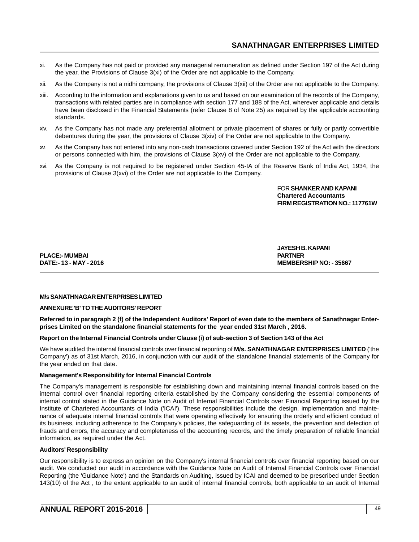- xi. As the Company has not paid or provided any managerial remuneration as defined under Section 197 of the Act during the year, the Provisions of Clause 3(xi) of the Order are not applicable to the Company.
- xii. As the Company is not a nidhi company, the provisions of Clause 3(xii) of the Order are not applicable to the Company.
- xiii. According to the information and explanations given to us and based on our examination of the records of the Company, transactions with related parties are in compliance with section 177 and 188 of the Act, wherever applicable and details have been disclosed in the Financial Statements (refer Clause 8 of Note 25) as required by the applicable accounting standards.
- xiv. As the Company has not made any preferential allotment or private placement of shares or fully or partly convertible debentures during the year, the provisions of Clause 3(xiv) of the Order are not applicable to the Company.
- xv. As the Company has not entered into any non-cash transactions covered under Section 192 of the Act with the directors or persons connected with him, the provisions of Clause 3(xv) of the Order are not applicable to the Company.
- xvi. As the Company is not required to be registered under Section 45-IA of the Reserve Bank of India Act, 1934, the provisions of Clause 3(xvi) of the Order are not applicable to the Company.

FOR **SHANKER AND KAPANI Chartered Accountants FIRM REGISTRATION NO.: 117761W**

**PLACE:- MUMBAI** 

**JAYESH B. KAPANI DATE:- 13 - MAY - 2016 MEMBERSHIP NO: - 35667**

### **M/s SANATHNAGAR ENTERPRISES LIMITED**

### **ANNEXURE 'B' TO THE AUDITORS' REPORT**

**Referred to in paragraph 2 (f) of the Independent Auditors' Report of even date to the members of Sanathnagar Enterprises Limited on the standalone financial statements for the year ended 31st March , 2016.**

## **Report on the Internal Financial Controls under Clause (i) of sub-section 3 of Section 143 of the Act**

We have audited the internal financial controls over financial reporting of **M/s. SANATHNAGAR ENTERPRISES LIMITED** ('the Company') as of 31st March, 2016, in conjunction with our audit of the standalone financial statements of the Company for the year ended on that date.

### **Management's Responsibility for Internal Financial Controls**

The Company's management is responsible for establishing down and maintaining internal financial controls based on the internal control over financial reporting criteria established by the Company considering the essential components of internal control stated in the Guidance Note on Audit of Internal Financial Controls over Financial Reporting issued by the Institute of Chartered Accountants of India ('ICAI'). These responsibilities include the design, implementation and maintenance of adequate internal financial controls that were operating effectively for ensuring the orderly and efficient conduct of its business, including adherence to the Company's policies, the safeguarding of its assets, the prevention and detection of frauds and errors, the accuracy and completeness of the accounting records, and the timely preparation of reliable financial information, as required under the Act.

### **Auditors' Responsibility**

Our responsibility is to express an opinion on the Company's internal financial controls over financial reporting based on our audit. We conducted our audit in accordance with the Guidance Note on Audit of Internal Financial Controls over Financial Reporting (the 'Guidance Note') and the Standards on Auditing, issued by ICAI and deemed to be prescribed under Section 143(10) of the Act , to the extent applicable to an audit of internal financial controls, both applicable to an audit of Internal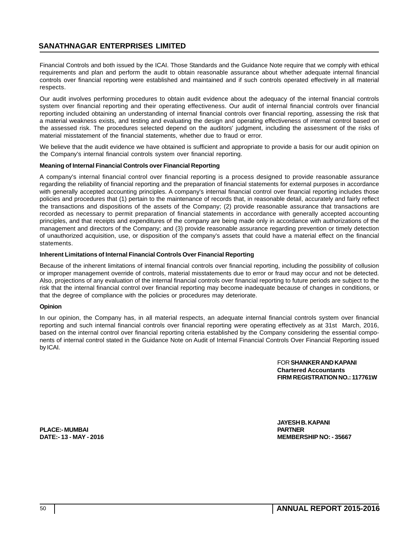Financial Controls and both issued by the ICAI. Those Standards and the Guidance Note require that we comply with ethical requirements and plan and perform the audit to obtain reasonable assurance about whether adequate internal financial controls over financial reporting were established and maintained and if such controls operated effectively in all material respects.

Our audit involves performing procedures to obtain audit evidence about the adequacy of the internal financial controls system over financial reporting and their operating effectiveness. Our audit of internal financial controls over financial reporting included obtaining an understanding of internal financial controls over financial reporting, assessing the risk that a material weakness exists, and testing and evaluating the design and operating effectiveness of internal control based on the assessed risk. The procedures selected depend on the auditors' judgment, including the assessment of the risks of material misstatement of the financial statements, whether due to fraud or error.

We believe that the audit evidence we have obtained is sufficient and appropriate to provide a basis for our audit opinion on the Company's internal financial controls system over financial reporting.

### **Meaning of Internal Financial Controls over Financial Reporting**

A company's internal financial control over financial reporting is a process designed to provide reasonable assurance regarding the reliability of financial reporting and the preparation of financial statements for external purposes in accordance with generally accepted accounting principles. A company's internal financial control over financial reporting includes those policies and procedures that (1) pertain to the maintenance of records that, in reasonable detail, accurately and fairly reflect the transactions and dispositions of the assets of the Company; (2) provide reasonable assurance that transactions are recorded as necessary to permit preparation of financial statements in accordance with generally accepted accounting principles, and that receipts and expenditures of the company are being made only in accordance with authorizations of the management and directors of the Company; and (3) provide reasonable assurance regarding prevention or timely detection of unauthorized acquisition, use, or disposition of the company's assets that could have a material effect on the financial statements.

### **Inherent Limitations of Internal Financial Controls Over Financial Reporting**

Because of the inherent limitations of internal financial controls over financial reporting, including the possibility of collusion or improper management override of controls, material misstatements due to error or fraud may occur and not be detected. Also, projections of any evaluation of the internal financial controls over financial reporting to future periods are subject to the risk that the internal financial control over financial reporting may become inadequate because of changes in conditions, or that the degree of compliance with the policies or procedures may deteriorate.

### **Opinion**

In our opinion, the Company has, in all material respects, an adequate internal financial controls system over financial reporting and such internal financial controls over financial reporting were operating effectively as at 31st March, 2016, based on the internal control over financial reporting criteria established by the Company considering the essential components of internal control stated in the Guidance Note on Audit of Internal Financial Controls Over Financial Reporting issued by ICAI.

> FOR **SHANKER AND KAPANI Chartered Accountants FIRM REGISTRATION NO.: 117761W**

**PLACE:- MUMBAI PARTNER**

**JAYESH B. KAPANI DATE:- 13 - MAY - 2016 MEMBERSHIP NO: - 35667**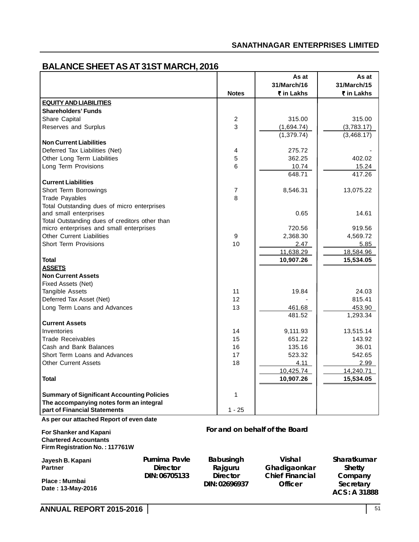# **BALANCE SHEET AS AT 31ST MARCH, 2016**

|                                                                      |                 |                            | As at                          | As at                    |
|----------------------------------------------------------------------|-----------------|----------------------------|--------------------------------|--------------------------|
|                                                                      |                 |                            | 31/March/16                    | 31/March/15              |
|                                                                      |                 | <b>Notes</b>               | ₹ in Lakhs                     | ₹ in Lakhs               |
| <b>EQUITY AND LIABILITIES</b>                                        |                 |                            |                                |                          |
| <b>Shareholders' Funds</b>                                           |                 |                            |                                |                          |
| Share Capital                                                        |                 | $\overline{c}$             | 315.00                         | 315.00                   |
| Reserves and Surplus                                                 |                 | 3                          | (1,694.74)                     | (3,783.17)               |
|                                                                      |                 |                            | (1, 379.74)                    | (3,468.17)               |
| <b>Non Current Liabilities</b>                                       |                 |                            |                                |                          |
| Deferred Tax Liabilities (Net)                                       |                 | 4                          | 275.72                         |                          |
| Other Long Term Liabilities                                          |                 | 5                          | 362.25                         | 402.02                   |
| Long Term Provisions                                                 |                 | 6                          | 10.74                          | 15.24                    |
|                                                                      |                 |                            | 648.71                         | 417.26                   |
| <b>Current Liabilities</b>                                           |                 |                            |                                |                          |
| Short Term Borrowings                                                |                 | $\overline{7}$<br>8        | 8,546.31                       | 13,075.22                |
| <b>Trade Payables</b><br>Total Outstanding dues of micro enterprises |                 |                            |                                |                          |
| and small enterprises                                                |                 |                            | 0.65                           | 14.61                    |
| Total Outstanding dues of creditors other than                       |                 |                            |                                |                          |
| micro enterprises and small enterprises                              |                 |                            | 720.56                         | 919.56                   |
| <b>Other Current Liabilities</b>                                     |                 | 9                          | 2,368.30                       | 4,569.72                 |
| <b>Short Term Provisions</b>                                         |                 | 10                         | 2.47                           | 5.85                     |
|                                                                      |                 |                            | 11,638.29                      | 18,584.96                |
| <b>Total</b>                                                         |                 |                            | 10,907.26                      | 15,534.05                |
| <b>ASSETS</b>                                                        |                 |                            |                                |                          |
| <b>Non Current Assets</b>                                            |                 |                            |                                |                          |
| Fixed Assets (Net)                                                   |                 |                            |                                |                          |
| Tangible Assets                                                      |                 | 11                         | 19.84                          | 24.03                    |
| Deferred Tax Asset (Net)                                             |                 | 12                         |                                | 815.41                   |
| Long Term Loans and Advances                                         |                 | 13                         | 461.68                         | 453.90                   |
|                                                                      |                 |                            | 481.52                         | 1,293.34                 |
| <b>Current Assets</b>                                                |                 |                            |                                |                          |
| Inventories                                                          |                 | 14                         | 9,111.93                       | 13,515.14                |
| <b>Trade Receivables</b>                                             |                 | 15                         | 651.22                         | 143.92                   |
| Cash and Bank Balances                                               |                 | 16                         | 135.16                         | 36.01                    |
| Short Term Loans and Advances                                        |                 | 17                         | 523.32                         | 542.65                   |
| <b>Other Current Assets</b>                                          |                 | 18                         | 4.11                           | 2.99                     |
|                                                                      |                 |                            | 10,425.74                      | 14,240.71                |
| <b>Total</b>                                                         |                 |                            | 10,907.26                      | 15,534.05                |
|                                                                      |                 |                            |                                |                          |
| <b>Summary of Significant Accounting Policies</b>                    |                 | 1                          |                                |                          |
| The accompanying notes form an integral                              |                 |                            |                                |                          |
| part of Financial Statements                                         |                 | $1 - 25$                   |                                |                          |
| As per our attached Report of even date                              |                 |                            |                                |                          |
| For Shanker and Kapani                                               |                 |                            | For and on behalf of the Board |                          |
| <b>Chartered Accountants</b>                                         |                 |                            |                                |                          |
| Firm Registration No.: 117761W                                       |                 |                            |                                |                          |
|                                                                      | Purnima Pavle   |                            | Vishal                         | Sharatkumar              |
| Jayesh B. Kapani<br><b>Partner</b>                                   | <b>Director</b> | <b>Babusingh</b>           | Ghadigaonkar                   |                          |
|                                                                      | DIN: 06705133   | Rajguru<br><b>Director</b> | <b>Chief Financial</b>         | <b>Shetty</b><br>Company |
| Place: Mumbai                                                        |                 | DIN: 02696937              | <b>Officer</b>                 | Secretary                |
| Date: 13-May-2016                                                    |                 |                            |                                | ACS: A 31888             |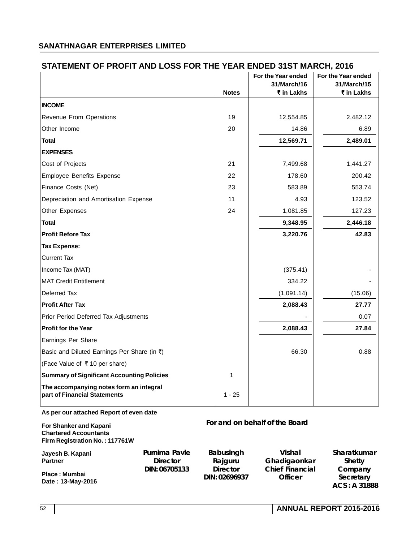# **STATEMENT OF PROFIT AND LOSS FOR THE YEAR ENDED 31ST MARCH, 2016**

| ו האם ו בווד הטיבו בעטט שווא ווידעה ונובדומום ואוט                                       |                                  | <b>Notes</b>                | טוטג <sub>ו</sub> ווטורומו וטוט שבע<br>For the Year ended<br>31/March/16<br>₹ in Lakhs | For the Year ended<br>31/March/15<br>₹ in Lakhs |
|------------------------------------------------------------------------------------------|----------------------------------|-----------------------------|----------------------------------------------------------------------------------------|-------------------------------------------------|
| <b>INCOME</b>                                                                            |                                  |                             |                                                                                        |                                                 |
| Revenue From Operations                                                                  |                                  | 19                          | 12,554.85                                                                              | 2,482.12                                        |
| Other Income                                                                             |                                  | 20                          | 14.86                                                                                  | 6.89                                            |
| <b>Total</b>                                                                             |                                  |                             | 12,569.71                                                                              | 2,489.01                                        |
| <b>EXPENSES</b>                                                                          |                                  |                             |                                                                                        |                                                 |
| Cost of Projects                                                                         |                                  | 21                          | 7,499.68                                                                               | 1,441.27                                        |
| <b>Employee Benefits Expense</b>                                                         |                                  | 22                          | 178.60                                                                                 | 200.42                                          |
| Finance Costs (Net)                                                                      |                                  | 23                          | 583.89                                                                                 | 553.74                                          |
| Depreciation and Amortisation Expense                                                    |                                  | 11                          | 4.93                                                                                   | 123.52                                          |
| Other Expenses                                                                           |                                  | 24                          | 1,081.85                                                                               | 127.23                                          |
| <b>Total</b>                                                                             |                                  |                             | 9,348.95                                                                               | 2,446.18                                        |
| <b>Profit Before Tax</b>                                                                 |                                  |                             | 3,220.76                                                                               | 42.83                                           |
| <b>Tax Expense:</b>                                                                      |                                  |                             |                                                                                        |                                                 |
| <b>Current Tax</b>                                                                       |                                  |                             |                                                                                        |                                                 |
| Income Tax (MAT)                                                                         |                                  |                             | (375.41)                                                                               |                                                 |
| <b>MAT Credit Entitlement</b>                                                            |                                  |                             | 334.22                                                                                 |                                                 |
| Deferred Tax                                                                             |                                  |                             | (1,091.14)                                                                             | (15.06)                                         |
| <b>Profit After Tax</b>                                                                  |                                  |                             | 2,088.43                                                                               | 27.77                                           |
| Prior Period Deferred Tax Adjustments                                                    |                                  |                             |                                                                                        | 0.07                                            |
| <b>Profit for the Year</b>                                                               |                                  |                             | 2,088.43                                                                               | 27.84                                           |
| Earnings Per Share                                                                       |                                  |                             |                                                                                        |                                                 |
| Basic and Diluted Earnings Per Share (in ₹)                                              |                                  |                             | 66.30                                                                                  | 0.88                                            |
| (Face Value of ₹10 per share)                                                            |                                  |                             |                                                                                        |                                                 |
| <b>Summary of Significant Accounting Policies</b>                                        |                                  | 1                           |                                                                                        |                                                 |
| The accompanying notes form an integral<br>part of Financial Statements                  |                                  | $1 - 25$                    |                                                                                        |                                                 |
| As per our attached Report of even date                                                  |                                  |                             |                                                                                        |                                                 |
| For Shanker and Kapani<br><b>Chartered Accountants</b><br>Firm Registration No.: 117761W |                                  |                             | For and on behalf of the Board                                                         |                                                 |
| Jayesh B. Kapani<br><b>Partner</b>                                                       | Purnima Pavle<br><b>Director</b> | <b>Babusingh</b><br>Rajguru | <b>Vishal</b><br>Ghadigaonkar                                                          | Sharatkumar<br><b>Shetty</b>                    |

**Director**

**DIN: 06705133**

**Place : Mumbai Date : 13-May-2016**

**DIN: 02696937 Officer Secretary ACS : A 31888**

**Chief Financial**

**Company**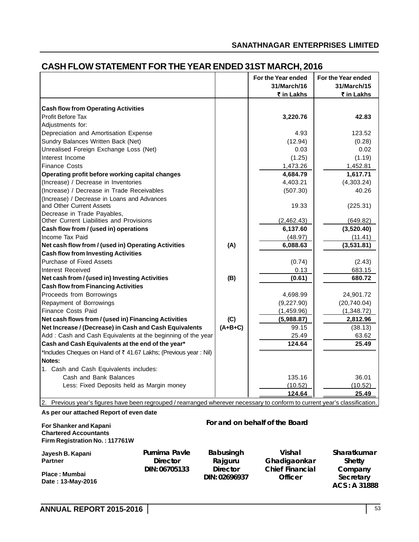|                                                                         |           | For the Year ended<br>31/March/16 | For the Year ended<br>31/March/15 |
|-------------------------------------------------------------------------|-----------|-----------------------------------|-----------------------------------|
|                                                                         |           | ₹ in Lakhs                        | ₹ in Lakhs                        |
|                                                                         |           |                                   |                                   |
| <b>Cash flow from Operating Activities</b><br>Profit Before Tax         |           | 3,220.76                          | 42.83                             |
|                                                                         |           |                                   |                                   |
| Adjustments for:                                                        |           |                                   |                                   |
| Depreciation and Amortisation Expense                                   |           | 4.93                              | 123.52                            |
| Sundry Balances Written Back (Net)                                      |           | (12.94)                           | (0.28)                            |
| Unrealised Foreign Exchange Loss (Net)                                  |           | 0.03                              | 0.02                              |
| Interest Income                                                         |           | (1.25)                            | (1.19)                            |
| <b>Finance Costs</b>                                                    |           | 1,473.26                          | 1,452.81                          |
| Operating profit before working capital changes                         |           | 4,684.79                          | 1,617.71                          |
| (Increase) / Decrease in Inventories                                    |           | 4,403.21                          | (4,303.24)                        |
| (Increase) / Decrease in Trade Receivables                              |           | (507.30)                          | 40.26                             |
| (Increase) / Decrease in Loans and Advances<br>and Other Current Assets |           | 19.33                             | (225.31)                          |
| Decrease in Trade Payables,                                             |           |                                   |                                   |
| Other Current Liabilities and Provisions                                |           | (2,462.43)                        | (649.82)                          |
| Cash flow from / (used in) operations                                   |           | 6,137.60                          | (3,520.40)                        |
| Income Tax Paid                                                         |           | (48.97)                           | (11.41)                           |
| Net cash flow from / (used in) Operating Activities                     | (A)       | 6,088.63                          | (3,531.81)                        |
| <b>Cash flow from Investing Activities</b>                              |           |                                   |                                   |
| Purchase of Fixed Assets                                                |           | (0.74)                            | (2.43)                            |
| Interest Received                                                       |           | 0.13                              | 683.15                            |
| Net cash from / (used in) Investing Activities                          | (B)       | (0.61)                            | 680.72                            |
| <b>Cash flow from Financing Activities</b>                              |           |                                   |                                   |
| Proceeds from Borrowings                                                |           | 4,698.99                          | 24,901.72                         |
| Repayment of Borrowings                                                 |           | (9,227.90)                        | (20,740.04)                       |
| <b>Finance Costs Paid</b>                                               |           | (1,459.96)                        | (1,348.72)                        |
| Net cash flows from / (used in) Financing Activities                    | (C)       | (5,988.87)                        | 2,812.96                          |
| Net Increase / (Decrease) in Cash and Cash Equivalents                  | $(A+B+C)$ | 99.15                             | (38.13)                           |
| Add: Cash and Cash Equivalents at the beginning of the year             |           | 25.49                             | 63.62                             |
| Cash and Cash Equivalents at the end of the year*                       |           | 124.64                            | 25.49                             |
| *Includes Cheques on Hand of ₹ 41.67 Lakhs; (Previous year : Nil)       |           |                                   |                                   |
| Notes:                                                                  |           |                                   |                                   |
| 1. Cash and Cash Equivalents includes:                                  |           |                                   |                                   |
| Cash and Bank Balances                                                  |           | 135.16                            | 36.01                             |
| Less: Fixed Deposits held as Margin money                               |           | (10.52)                           | (10.52)                           |
|                                                                         |           | 124.64                            | 25.49                             |
|                                                                         |           |                                   |                                   |

# **CASH FLOW STATEMENT FOR THE YEAR ENDED 31ST MARCH, 2016**

2. Previous year's figures have been regrouped / rearranged wherever necessary to conform to current year's classification.

## **As per our attached Report of even date**

### **For Shanker and Kapani Chartered Accountants Firm Registration No. : 117761W**

# **For and on behalf of the Board**

| Jayesh B. Kapani  | Purnima Payle   | <b>Babusingh</b> | Vishal                 | Sharatkumar  |
|-------------------|-----------------|------------------|------------------------|--------------|
| <b>Partner</b>    | <b>Director</b> | Rajguru          | Ghadigaonkar           | Shetty       |
|                   | DIN: 06705133   | <b>Director</b>  | <b>Chief Financial</b> | Company      |
| Place: Mumbai     |                 | DIN: 02696937    | <b>Officer</b>         | Secretary    |
| Date: 13-May-2016 |                 |                  |                        | ACS: A 31888 |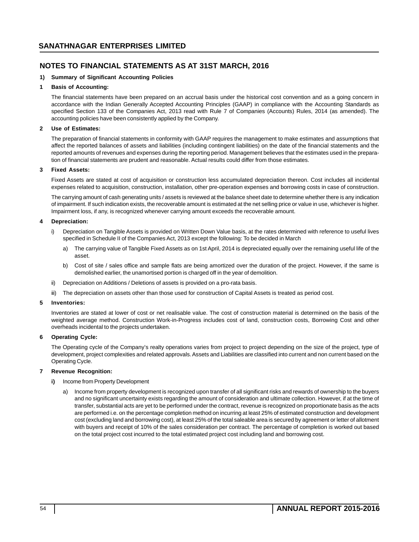### **1) Summary of Significant Accounting Policies**

### **1 Basis of Accounting:**

The financial statements have been prepared on an accrual basis under the historical cost convention and as a going concern in accordance with the Indian Generally Accepted Accounting Principles (GAAP) in compliance with the Accounting Standards as specified Section 133 of the Companies Act, 2013 read with Rule 7 of Companies (Accounts) Rules, 2014 (as amended). The accounting policies have been consistently applied by the Company.

### **2 Use of Estimates:**

The preparation of financial statements in conformity with GAAP requires the management to make estimates and assumptions that affect the reported balances of assets and liabilities (including contingent liabilities) on the date of the financial statements and the reported amounts of revenues and expenses during the reporting period. Management believes that the estimates used in the preparation of financial statements are prudent and reasonable. Actual results could differ from those estimates.

### **3 Fixed Assets:**

Fixed Assets are stated at cost of acquisition or construction less accumulated depreciation thereon. Cost includes all incidental expenses related to acquisition, construction, installation, other pre-operation expenses and borrowing costs in case of construction.

The carrying amount of cash generating units / assets is reviewed at the balance sheet date to determine whether there is any indication of impairment. If such indication exists, the recoverable amount is estimated at the net selling price or value in use, whichever is higher. Impairment loss, if any, is recognized whenever carrying amount exceeds the recoverable amount.

### **4 Depreciation:**

- i) Depreciation on Tangible Assets is provided on Written Down Value basis, at the rates determined with reference to useful lives specified in Schedule II of the Companies Act, 2013 except the following: To be decided in March
	- a) The carrying value of Tangible Fixed Assets as on 1st April, 2014 is depreciated equally over the remaining useful life of the asset.
	- b) Cost of site / sales office and sample flats are being amortized over the duration of the project. However, if the same is demolished earlier, the unamortised portion is charged off in the year of demolition.
- ii) Depreciation on Additions / Deletions of assets is provided on a pro-rata basis.
- iii) The depreciation on assets other than those used for construction of Capital Assets is treated as period cost.

### **5 Inventories:**

Inventories are stated at lower of cost or net realisable value. The cost of construction material is determined on the basis of the weighted average method. Construction Work-in-Progress includes cost of land, construction costs, Borrowing Cost and other overheads incidental to the projects undertaken.

### **6 Operating Cycle:**

The Operating cycle of the Company's realty operations varies from project to project depending on the size of the project, type of development, project complexities and related approvals. Assets and Liabilities are classified into current and non current based on the Operating Cycle.

### **7 Revenue Recognition:**

- **i)** Income from Property Development
	- a) Income from property development is recognized upon transfer of all significant risks and rewards of ownership to the buyers and no significant uncertainty exists regarding the amount of consideration and ultimate collection. However, if at the time of transfer, substantial acts are yet to be performed under the contract, revenue is recognized on proportionate basis as the acts are performed i.e. on the percentage completion method on incurring at least 25% of estimated construction and development cost (excluding land and borrowing cost), at least 25% of the total saleable area is secured by agreement or letter of allotment with buyers and receipt of 10% of the sales consideration per contract. The percentage of completion is worked out based on the total project cost incurred to the total estimated project cost including land and borrowing cost.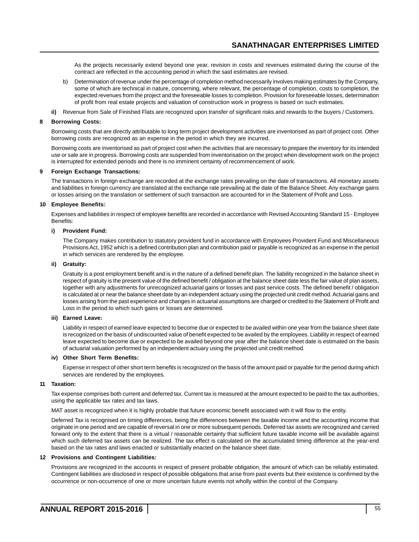As the projects necessarily extend beyond one year, revision in costs and revenues estimated during the course of the contract are reflected in the accounting period in which the said estimates are revised.

- b) Determination of revenue under the percentage of completion method necessarily involves making estimates by the Company, some of which are technical in nature, concerning, where relevant, the percentage of completion, costs to completion, the expected revenues from the project and the foreseeable losses to completion. Provision for foreseeable losses, determination of profit from real estate projects and valuation of construction work in progress is based on such estimates.
- **ii)** Revenue from Sale of Finished Flats are recognized upon transfer of significant risks and rewards to the buyers / Customers.

### **8 Borrowing Costs:**

Borrowing costs that are directly attributable to long term project development activities are inventorised as part of project cost. Other borrowing costs are recognized as an expense in the period in which they are incurred.

Borrowing costs are inventorised as part of project cost when the activities that are necessary to prepare the inventory for its intended use or sale are in progress. Borrowing costs are suspended from inventorisation on the project when development work on the project is interrupted for extended periods and there is no imminent certainty of recommencement of work.

#### **9 Foreign Exchange Transactions:**

The transactions in foreign exchange are recorded at the exchange rates prevailing on the date of transactions. All monetary assets and liabilities in foreign currency are translated at the exchange rate prevailing at the date of the Balance Sheet. Any exchange gains or losses arising on the translation or settlement of such transaction are accounted for in the Statement of Profit and Loss.

#### **10 Employee Benefits:**

Expenses and liabilities in respect of employee benefits are recorded in accordance with Revised Accounting Standard 15 - Employee Benefits:

#### **i) Provident Fund:**

The Company makes contribution to statutory provident fund in accordance with Employees Provident Fund and Miscellaneous Provisions Act, 1952 which is a defined contribution plan and contribution paid or payable is recognized as an expense in the period in which services are rendered by the employee.

#### **ii) Gratuity:**

Gratuity is a post employment benefit and is in the nature of a defined benefit plan. The liability recognized in the balance sheet in respect of gratuity is the present value of the defined benefit / obligation at the balance sheet date less the fair value of plan assets, together with any adjustments for unrecognized actuarial gains or losses and past service costs. The defined benefit / obligation is calculated at or near the balance sheet date by an independent actuary using the projected unit credit method. Actuarial gains and losses arising from the past experience and changes in actuarial assumptions are charged or credited to the Statement of Profit and Loss in the period to which such gains or losses are determined.

#### **iii) Earned Leave:**

Liability in respect of earned leave expected to become due or expected to be availed within one year from the balance sheet date is recognized on the basis of undiscounted value of benefit expected to be availed by the employees. Liability in respect of earned leave expected to become due or expected to be availed beyond one year after the balance sheet date is estimated on the basis of actuarial valuation performed by an independent actuary using the projected unit credit method.

#### **iv) Other Short Term Benefits:**

Expense in respect of other short term benefits is recognized on the basis of the amount paid or payable for the period during which services are rendered by the employees.

#### **11 Taxation:**

Tax expense comprises both current and deferred tax. Current tax is measured at the amount expected to be paid to the tax authorities, using the applicable tax rates and tax laws.

MAT asset is recognized when it is highly probable that future economic benefit associated with it will flow to the entity.

Deferred Tax is recognised on timing differences, being the differences between the taxable income and the accounting income that originate in one period and are capable of reversal in one or more subsequent periods. Deferred tax assets are recognized and carried forward only to the extent that there is a virtual / reasonable certainty that sufficient future taxable income will be available against which such deferred tax assets can be realized. The tax effect is calculated on the accumulated timing difference at the year-end based on the tax rates and laws enacted or substantially enacted on the balance sheet date.

#### **12 Provisions and Contingent Liabilities:**

Provisions are recognized in the accounts in respect of present probable obligation, the amount of which can be reliably estimated. Contingent liabilities are disclosed in respect of possible obligations that arise from past events but their existence is confirmed by the occurrence or non-occurrence of one or more uncertain future events not wholly within the control of the Company.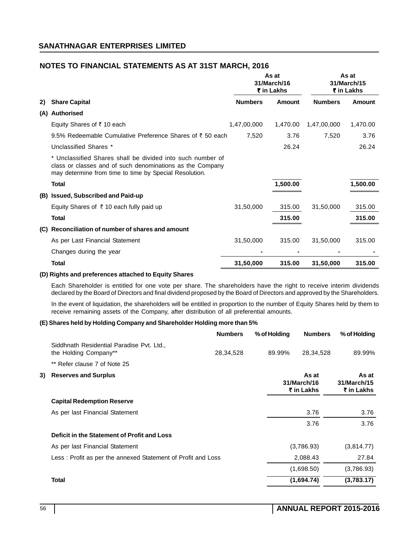|     |                                                                                                                                                                                   |                | As at<br>31/March/16<br>₹ in Lakhs |                | As at<br>31/March/15<br>₹ in Lakhs |
|-----|-----------------------------------------------------------------------------------------------------------------------------------------------------------------------------------|----------------|------------------------------------|----------------|------------------------------------|
| 2)  | <b>Share Capital</b>                                                                                                                                                              | <b>Numbers</b> | Amount                             | <b>Numbers</b> | Amount                             |
| (A) | <b>Authorised</b>                                                                                                                                                                 |                |                                    |                |                                    |
|     | Equity Shares of ₹10 each                                                                                                                                                         | 1,47,00,000    | 1,470.00                           | 1,47,00,000    | 1,470.00                           |
|     | 9.5% Redeemable Cumulative Preference Shares of ₹50 each                                                                                                                          | 7,520          | 3.76                               | 7,520          | 3.76                               |
|     | Unclassified Shares *                                                                                                                                                             |                | 26.24                              |                | 26.24                              |
|     | * Unclassified Shares shall be divided into such number of<br>class or classes and of such denominations as the Company<br>may determine from time to time by Special Resolution. |                |                                    |                |                                    |
|     | <b>Total</b>                                                                                                                                                                      |                | 1,500.00                           |                | 1,500.00                           |
|     | (B) Issued, Subscribed and Paid-up                                                                                                                                                |                |                                    |                |                                    |
|     | Equity Shares of $\bar{\tau}$ 10 each fully paid up                                                                                                                               | 31,50,000      | 315.00                             | 31,50,000      | 315.00                             |
|     | <b>Total</b>                                                                                                                                                                      |                | 315.00                             |                | 315.00                             |
| (C) | Reconciliation of number of shares and amount                                                                                                                                     |                |                                    |                |                                    |
|     | As per Last Financial Statement                                                                                                                                                   | 31,50,000      | 315.00                             | 31,50,000      | 315.00                             |
|     | Changes during the year                                                                                                                                                           |                |                                    |                |                                    |
|     | <b>Total</b>                                                                                                                                                                      | 31,50,000      | 315.00                             | 31,50,000      | 315.00                             |

### **(D) Rights and preferences attached to Equity Shares**

Each Shareholder is entitled for one vote per share. The shareholders have the right to receive interim dividends declared by the Board of Directors and final dividend proposed by the Board of Directors and approved by the Shareholders.

In the event of liquidation, the shareholders will be entitled in proportion to the number of Equity Shares held by them to receive remaining assets of the Company, after distribution of all preferential amounts.

### **(E) Shares held by Holding Company and Shareholder Holding more than 5%**

|     |                                                                    | <b>Numbers</b> | % of Holding | <b>Numbers</b>                     | % of Holding                       |
|-----|--------------------------------------------------------------------|----------------|--------------|------------------------------------|------------------------------------|
|     | Siddhnath Residential Paradise Pvt. Ltd.,<br>the Holding Company** | 28,34,528      | 89.99%       | 28,34,528                          | 89.99%                             |
|     | ** Refer clause 7 of Note 25                                       |                |              |                                    |                                    |
| 3). | <b>Reserves and Surplus</b>                                        |                |              | As at<br>31/March/16<br>₹ in Lakhs | As at<br>31/March/15<br>₹ in Lakhs |
|     | <b>Capital Redemption Reserve</b>                                  |                |              |                                    |                                    |
|     | As per last Financial Statement                                    |                |              | 3.76                               | 3.76                               |
|     |                                                                    |                |              | 3.76                               | 3.76                               |
|     | Deficit in the Statement of Profit and Loss                        |                |              |                                    |                                    |
|     | As per last Financial Statement                                    |                |              | (3,786.93)                         | (3,814.77)                         |
|     | Less: Profit as per the annexed Statement of Profit and Loss       |                |              | 2,088.43                           | 27.84                              |
|     |                                                                    |                |              | (1,698.50)                         | (3,786.93)                         |
|     | <b>Total</b>                                                       |                |              | (1,694.74)                         | (3,783.17)                         |
|     |                                                                    |                |              |                                    |                                    |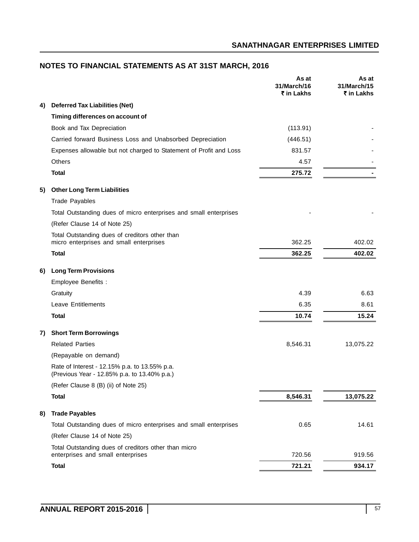|    |                                                                                               | As at<br>31/March/16<br>₹ in Lakhs | As at<br>31/March/15<br>₹ in Lakhs |
|----|-----------------------------------------------------------------------------------------------|------------------------------------|------------------------------------|
| 4) | <b>Deferred Tax Liabilities (Net)</b>                                                         |                                    |                                    |
|    | Timing differences on account of                                                              |                                    |                                    |
|    | Book and Tax Depreciation                                                                     | (113.91)                           |                                    |
|    | Carried forward Business Loss and Unabsorbed Depreciation                                     | (446.51)                           |                                    |
|    | Expenses allowable but not charged to Statement of Profit and Loss                            | 831.57                             |                                    |
|    | <b>Others</b>                                                                                 | 4.57                               |                                    |
|    | <b>Total</b>                                                                                  | 275.72                             |                                    |
| 5) | <b>Other Long Term Liabilities</b>                                                            |                                    |                                    |
|    | <b>Trade Payables</b>                                                                         |                                    |                                    |
|    | Total Outstanding dues of micro enterprises and small enterprises                             |                                    |                                    |
|    | (Refer Clause 14 of Note 25)                                                                  |                                    |                                    |
|    | Total Outstanding dues of creditors other than                                                |                                    |                                    |
|    | micro enterprises and small enterprises                                                       | 362.25                             | 402.02                             |
|    | <b>Total</b>                                                                                  | 362.25                             | 402.02                             |
| 6) | <b>Long Term Provisions</b>                                                                   |                                    |                                    |
|    | Employee Benefits :                                                                           |                                    |                                    |
|    | Gratuity                                                                                      | 4.39                               | 6.63                               |
|    | <b>Leave Entitlements</b>                                                                     | 6.35                               | 8.61                               |
|    | <b>Total</b>                                                                                  | 10.74                              | 15.24                              |
| 7) | <b>Short Term Borrowings</b>                                                                  |                                    |                                    |
|    | <b>Related Parties</b>                                                                        | 8,546.31                           | 13,075.22                          |
|    | (Repayable on demand)                                                                         |                                    |                                    |
|    | Rate of Interest - 12.15% p.a. to 13.55% p.a.<br>(Previous Year - 12.85% p.a. to 13.40% p.a.) |                                    |                                    |
|    | (Refer Clause 8 (B) (ii) of Note 25)                                                          |                                    |                                    |
|    | <b>Total</b>                                                                                  | 8,546.31                           | 13,075.22                          |
| 8) | <b>Trade Payables</b>                                                                         |                                    |                                    |
|    | Total Outstanding dues of micro enterprises and small enterprises                             | 0.65                               | 14.61                              |
|    | (Refer Clause 14 of Note 25)                                                                  |                                    |                                    |
|    | Total Outstanding dues of creditors other than micro<br>enterprises and small enterprises     | 720.56                             | 919.56                             |
|    | <b>Total</b>                                                                                  | 721.21                             | 934.17                             |

# **NOTES TO FINANCIAL STATEMENTS AS AT 31ST MARCH, 2016**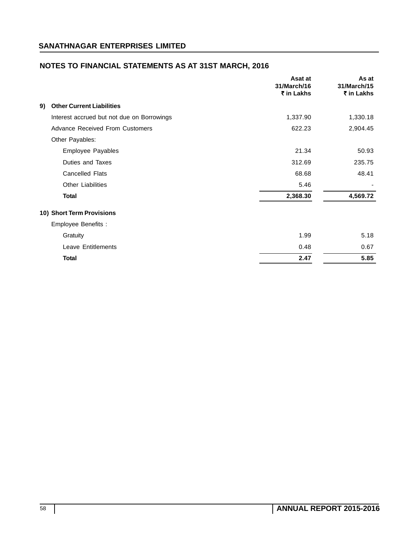|                                            | Asat at<br>31/March/16<br>₹ in Lakhs | As at<br>31/March/15<br>₹ in Lakhs |
|--------------------------------------------|--------------------------------------|------------------------------------|
| <b>Other Current Liabilities</b><br>9)     |                                      |                                    |
| Interest accrued but not due on Borrowings | 1,337.90                             | 1,330.18                           |
| <b>Advance Received From Customers</b>     | 622.23                               | 2,904.45                           |
| Other Payables:                            |                                      |                                    |
| <b>Employee Payables</b>                   | 21.34                                | 50.93                              |
| Duties and Taxes                           | 312.69                               | 235.75                             |
| Cancelled Flats                            | 68.68                                | 48.41                              |
| <b>Other Liabilities</b>                   | 5.46                                 |                                    |
| <b>Total</b>                               | 2,368.30                             | 4,569.72                           |
| 10) Short Term Provisions                  |                                      |                                    |
| Employee Benefits :                        |                                      |                                    |
| Gratuity                                   | 1.99                                 | 5.18                               |
| <b>Leave Entitlements</b>                  | 0.48                                 | 0.67                               |
| <b>Total</b>                               | 2.47                                 | 5.85                               |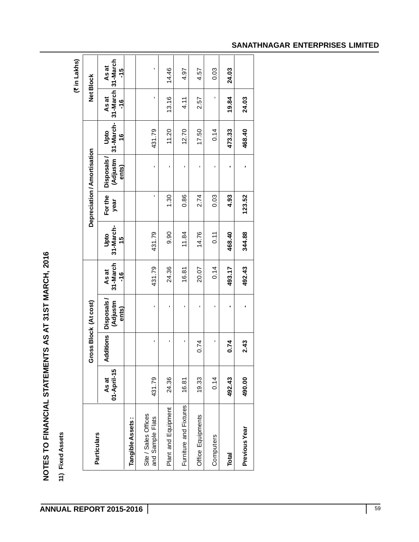| ı |  |
|---|--|
|   |  |
|   |  |
| ı |  |
|   |  |

 $\Gamma$ 

| <b>Particulars</b>                       |                      |                    | Gross Block (At cost)           |                                    |                                     |                 | Depreciation / Amortisation     |                                    | <b>Net Block</b>                    |  |
|------------------------------------------|----------------------|--------------------|---------------------------------|------------------------------------|-------------------------------------|-----------------|---------------------------------|------------------------------------|-------------------------------------|--|
|                                          | 01-April-15<br>As at | Additions          | Disposals/<br>(Adjustm<br>ents) | 31-March<br>As at<br>$\frac{6}{1}$ | 31-March-<br>Upto<br>$\frac{15}{2}$ | For the<br>year | Disposals/<br>(Adjustm<br>ents) | 31-March-<br>Upto<br>$\frac{6}{5}$ | 31-March 31-March<br>As at<br>$-16$ |  |
| Tangible Assets:                         |                      |                    |                                 |                                    |                                     |                 |                                 |                                    |                                     |  |
| Site / Sales Offices<br>and Sample Flats | 431.79               | $\mathbf{I}$       | $\blacksquare$                  | 431.79                             | 431.79                              | T,              | f,                              | 431.79                             | $\mathbf{I}$                        |  |
| Plant and Equipment                      | 24.36                | $\mathbf{I}$       | $\mathbf{I}$                    | 24.36                              | 0.90                                | 1.30            | $\mathbf{I}$                    | 11.20                              | 13.16                               |  |
| Furniture and Fixtures                   | 16.81                | л.                 | $\blacksquare$                  | 16.81                              | 11.84                               | 0.86            | $\blacksquare$                  | 12.70                              | 4.11                                |  |
| Office Equipments                        | 19.33                | 0.74               | $\mathbf{I}$                    | 20.07                              | 14.76                               | 2.74            | $\mathbf{I}$                    | 17.50                              | 2.57                                |  |
| Computers                                | 0.14                 | $\mathbf{r}_\perp$ | $\mathbf{I}$                    | 0.14                               | 0.11                                | 0.03            | $\mathbf{I}$                    | 0.14                               | $\mathbf{r}$                        |  |
| Total                                    | 492.43               | 0.74               | $\blacksquare$                  | 493.17                             | 468.40                              | 4.93            | $\blacksquare$                  | 473.33                             | 19.84                               |  |
| Previous Year                            | 490.00               | 2.43               | ٠                               | 492.43                             | 344.88                              | 123.52          |                                 | 468.40                             | 24.03                               |  |

# **SANATHNAGAR ENTERPRISES LIMITED**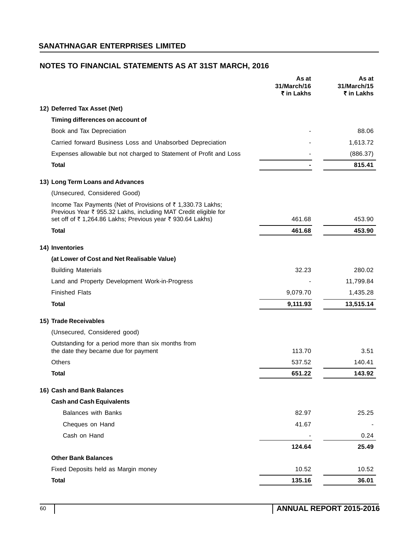| 12) Deferred Tax Asset (Net)<br>Timing differences on account of<br>Book and Tax Depreciation<br>88.06<br>Carried forward Business Loss and Unabsorbed Depreciation<br>1,613.72<br>Expenses allowable but not charged to Statement of Profit and Loss<br>(886.37)<br>815.41<br><b>Total</b><br>13) Long Term Loans and Advances<br>(Unsecured, Considered Good)<br>Income Tax Payments (Net of Provisions of ₹1,330.73 Lakhs;<br>Previous Year ₹ 955.32 Lakhs, including MAT Credit eligible for<br>set off of ₹1,264.86 Lakhs; Previous year ₹930.64 Lakhs)<br>461.68<br>453.90<br><b>Total</b><br>453.90<br>461.68<br>14) Inventories<br>(at Lower of Cost and Net Realisable Value)<br>32.23<br>280.02<br><b>Building Materials</b><br>Land and Property Development Work-in-Progress<br>11,799.84<br><b>Finished Flats</b><br>9,079.70<br>1,435.28<br>9,111.93<br>13,515.14<br>Total<br>15) Trade Receivables<br>(Unsecured, Considered good)<br>Outstanding for a period more than six months from<br>113.70<br>the date they became due for payment<br>3.51<br><b>Others</b><br>140.41<br>537.52<br>Total<br>143.92<br>651.22<br>16) Cash and Bank Balances<br><b>Cash and Cash Equivalents</b><br><b>Balances with Banks</b><br>82.97<br>25.25<br>Cheques on Hand<br>41.67<br>Cash on Hand<br>124.64<br>25.49<br><b>Other Bank Balances</b><br>Fixed Deposits held as Margin money<br>10.52<br>135.16<br><b>Total</b><br>36.01 |  | As at<br>31/March/16<br>₹ in Lakhs | As at<br>31/March/15<br>₹ in Lakhs |
|---------------------------------------------------------------------------------------------------------------------------------------------------------------------------------------------------------------------------------------------------------------------------------------------------------------------------------------------------------------------------------------------------------------------------------------------------------------------------------------------------------------------------------------------------------------------------------------------------------------------------------------------------------------------------------------------------------------------------------------------------------------------------------------------------------------------------------------------------------------------------------------------------------------------------------------------------------------------------------------------------------------------------------------------------------------------------------------------------------------------------------------------------------------------------------------------------------------------------------------------------------------------------------------------------------------------------------------------------------------------------------------------------------------------------------------|--|------------------------------------|------------------------------------|
|                                                                                                                                                                                                                                                                                                                                                                                                                                                                                                                                                                                                                                                                                                                                                                                                                                                                                                                                                                                                                                                                                                                                                                                                                                                                                                                                                                                                                                       |  |                                    |                                    |
|                                                                                                                                                                                                                                                                                                                                                                                                                                                                                                                                                                                                                                                                                                                                                                                                                                                                                                                                                                                                                                                                                                                                                                                                                                                                                                                                                                                                                                       |  |                                    |                                    |
|                                                                                                                                                                                                                                                                                                                                                                                                                                                                                                                                                                                                                                                                                                                                                                                                                                                                                                                                                                                                                                                                                                                                                                                                                                                                                                                                                                                                                                       |  |                                    |                                    |
|                                                                                                                                                                                                                                                                                                                                                                                                                                                                                                                                                                                                                                                                                                                                                                                                                                                                                                                                                                                                                                                                                                                                                                                                                                                                                                                                                                                                                                       |  |                                    |                                    |
|                                                                                                                                                                                                                                                                                                                                                                                                                                                                                                                                                                                                                                                                                                                                                                                                                                                                                                                                                                                                                                                                                                                                                                                                                                                                                                                                                                                                                                       |  |                                    |                                    |
|                                                                                                                                                                                                                                                                                                                                                                                                                                                                                                                                                                                                                                                                                                                                                                                                                                                                                                                                                                                                                                                                                                                                                                                                                                                                                                                                                                                                                                       |  |                                    |                                    |
|                                                                                                                                                                                                                                                                                                                                                                                                                                                                                                                                                                                                                                                                                                                                                                                                                                                                                                                                                                                                                                                                                                                                                                                                                                                                                                                                                                                                                                       |  |                                    |                                    |
|                                                                                                                                                                                                                                                                                                                                                                                                                                                                                                                                                                                                                                                                                                                                                                                                                                                                                                                                                                                                                                                                                                                                                                                                                                                                                                                                                                                                                                       |  |                                    |                                    |
|                                                                                                                                                                                                                                                                                                                                                                                                                                                                                                                                                                                                                                                                                                                                                                                                                                                                                                                                                                                                                                                                                                                                                                                                                                                                                                                                                                                                                                       |  |                                    |                                    |
|                                                                                                                                                                                                                                                                                                                                                                                                                                                                                                                                                                                                                                                                                                                                                                                                                                                                                                                                                                                                                                                                                                                                                                                                                                                                                                                                                                                                                                       |  |                                    |                                    |
|                                                                                                                                                                                                                                                                                                                                                                                                                                                                                                                                                                                                                                                                                                                                                                                                                                                                                                                                                                                                                                                                                                                                                                                                                                                                                                                                                                                                                                       |  |                                    |                                    |
|                                                                                                                                                                                                                                                                                                                                                                                                                                                                                                                                                                                                                                                                                                                                                                                                                                                                                                                                                                                                                                                                                                                                                                                                                                                                                                                                                                                                                                       |  |                                    |                                    |
|                                                                                                                                                                                                                                                                                                                                                                                                                                                                                                                                                                                                                                                                                                                                                                                                                                                                                                                                                                                                                                                                                                                                                                                                                                                                                                                                                                                                                                       |  |                                    |                                    |
|                                                                                                                                                                                                                                                                                                                                                                                                                                                                                                                                                                                                                                                                                                                                                                                                                                                                                                                                                                                                                                                                                                                                                                                                                                                                                                                                                                                                                                       |  |                                    |                                    |
|                                                                                                                                                                                                                                                                                                                                                                                                                                                                                                                                                                                                                                                                                                                                                                                                                                                                                                                                                                                                                                                                                                                                                                                                                                                                                                                                                                                                                                       |  |                                    |                                    |
|                                                                                                                                                                                                                                                                                                                                                                                                                                                                                                                                                                                                                                                                                                                                                                                                                                                                                                                                                                                                                                                                                                                                                                                                                                                                                                                                                                                                                                       |  |                                    |                                    |
|                                                                                                                                                                                                                                                                                                                                                                                                                                                                                                                                                                                                                                                                                                                                                                                                                                                                                                                                                                                                                                                                                                                                                                                                                                                                                                                                                                                                                                       |  |                                    |                                    |
|                                                                                                                                                                                                                                                                                                                                                                                                                                                                                                                                                                                                                                                                                                                                                                                                                                                                                                                                                                                                                                                                                                                                                                                                                                                                                                                                                                                                                                       |  |                                    |                                    |
|                                                                                                                                                                                                                                                                                                                                                                                                                                                                                                                                                                                                                                                                                                                                                                                                                                                                                                                                                                                                                                                                                                                                                                                                                                                                                                                                                                                                                                       |  |                                    |                                    |
|                                                                                                                                                                                                                                                                                                                                                                                                                                                                                                                                                                                                                                                                                                                                                                                                                                                                                                                                                                                                                                                                                                                                                                                                                                                                                                                                                                                                                                       |  |                                    |                                    |
|                                                                                                                                                                                                                                                                                                                                                                                                                                                                                                                                                                                                                                                                                                                                                                                                                                                                                                                                                                                                                                                                                                                                                                                                                                                                                                                                                                                                                                       |  |                                    |                                    |
|                                                                                                                                                                                                                                                                                                                                                                                                                                                                                                                                                                                                                                                                                                                                                                                                                                                                                                                                                                                                                                                                                                                                                                                                                                                                                                                                                                                                                                       |  |                                    |                                    |
|                                                                                                                                                                                                                                                                                                                                                                                                                                                                                                                                                                                                                                                                                                                                                                                                                                                                                                                                                                                                                                                                                                                                                                                                                                                                                                                                                                                                                                       |  |                                    |                                    |
|                                                                                                                                                                                                                                                                                                                                                                                                                                                                                                                                                                                                                                                                                                                                                                                                                                                                                                                                                                                                                                                                                                                                                                                                                                                                                                                                                                                                                                       |  |                                    |                                    |
|                                                                                                                                                                                                                                                                                                                                                                                                                                                                                                                                                                                                                                                                                                                                                                                                                                                                                                                                                                                                                                                                                                                                                                                                                                                                                                                                                                                                                                       |  |                                    |                                    |
|                                                                                                                                                                                                                                                                                                                                                                                                                                                                                                                                                                                                                                                                                                                                                                                                                                                                                                                                                                                                                                                                                                                                                                                                                                                                                                                                                                                                                                       |  |                                    |                                    |
|                                                                                                                                                                                                                                                                                                                                                                                                                                                                                                                                                                                                                                                                                                                                                                                                                                                                                                                                                                                                                                                                                                                                                                                                                                                                                                                                                                                                                                       |  |                                    |                                    |
|                                                                                                                                                                                                                                                                                                                                                                                                                                                                                                                                                                                                                                                                                                                                                                                                                                                                                                                                                                                                                                                                                                                                                                                                                                                                                                                                                                                                                                       |  |                                    | 0.24                               |
|                                                                                                                                                                                                                                                                                                                                                                                                                                                                                                                                                                                                                                                                                                                                                                                                                                                                                                                                                                                                                                                                                                                                                                                                                                                                                                                                                                                                                                       |  |                                    |                                    |
|                                                                                                                                                                                                                                                                                                                                                                                                                                                                                                                                                                                                                                                                                                                                                                                                                                                                                                                                                                                                                                                                                                                                                                                                                                                                                                                                                                                                                                       |  |                                    |                                    |
|                                                                                                                                                                                                                                                                                                                                                                                                                                                                                                                                                                                                                                                                                                                                                                                                                                                                                                                                                                                                                                                                                                                                                                                                                                                                                                                                                                                                                                       |  |                                    | 10.52                              |
|                                                                                                                                                                                                                                                                                                                                                                                                                                                                                                                                                                                                                                                                                                                                                                                                                                                                                                                                                                                                                                                                                                                                                                                                                                                                                                                                                                                                                                       |  |                                    |                                    |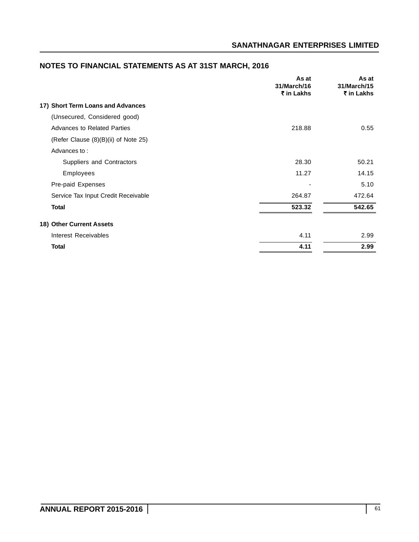|                                      | As at<br>31/March/16<br>₹ in Lakhs | As at<br>31/March/15<br>₹ in Lakhs |
|--------------------------------------|------------------------------------|------------------------------------|
| 17) Short Term Loans and Advances    |                                    |                                    |
| (Unsecured, Considered good)         |                                    |                                    |
| Advances to Related Parties          | 218.88                             | 0.55                               |
| (Refer Clause (8)(B)(ii) of Note 25) |                                    |                                    |
| Advances to:                         |                                    |                                    |
| Suppliers and Contractors            | 28.30                              | 50.21                              |
| Employees                            | 11.27                              | 14.15                              |
| Pre-paid Expenses                    |                                    | 5.10                               |
| Service Tax Input Credit Receivable  | 264.87                             | 472.64                             |
| <b>Total</b>                         | 523.32                             | 542.65                             |
| 18) Other Current Assets             |                                    |                                    |
| Interest Receivables                 | 4.11                               | 2.99                               |
| <b>Total</b>                         | 4.11                               | 2.99                               |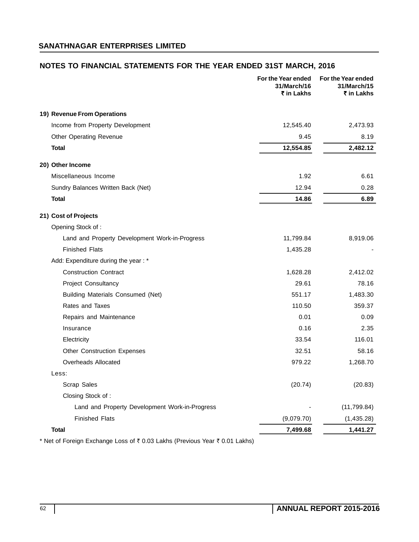# **NOTES TO FINANCIAL STATEMENTS FOR THE YEAR ENDED 31ST MARCH, 2016**

|                                                | For the Year ended<br>31/March/16<br>₹ in Lakhs | For the Year ended<br>31/March/15<br>₹ in Lakhs |
|------------------------------------------------|-------------------------------------------------|-------------------------------------------------|
| 19) Revenue From Operations                    |                                                 |                                                 |
| Income from Property Development               | 12,545.40                                       | 2,473.93                                        |
| Other Operating Revenue                        | 9.45                                            | 8.19                                            |
| Total                                          | 12,554.85                                       | 2,482.12                                        |
| 20) Other Income                               |                                                 |                                                 |
| Miscellaneous Income                           | 1.92                                            | 6.61                                            |
| Sundry Balances Written Back (Net)             | 12.94                                           | 0.28                                            |
| <b>Total</b>                                   | 14.86                                           | 6.89                                            |
| 21) Cost of Projects                           |                                                 |                                                 |
| Opening Stock of:                              |                                                 |                                                 |
| Land and Property Development Work-in-Progress | 11,799.84                                       | 8,919.06                                        |
| <b>Finished Flats</b>                          | 1,435.28                                        |                                                 |
| Add: Expenditure during the year : *           |                                                 |                                                 |
| <b>Construction Contract</b>                   | 1,628.28                                        | 2,412.02                                        |
| <b>Project Consultancy</b>                     | 29.61                                           | 78.16                                           |
| Building Materials Consumed (Net)              | 551.17                                          | 1,483.30                                        |
| Rates and Taxes                                | 110.50                                          | 359.37                                          |
| Repairs and Maintenance                        | 0.01                                            | 0.09                                            |
| Insurance                                      | 0.16                                            | 2.35                                            |
| Electricity                                    | 33.54                                           | 116.01                                          |
| <b>Other Construction Expenses</b>             | 32.51                                           | 58.16                                           |
| <b>Overheads Allocated</b>                     | 979.22                                          | 1,268.70                                        |
| Less:                                          |                                                 |                                                 |
| Scrap Sales                                    | (20.74)                                         | (20.83)                                         |
| Closing Stock of:                              |                                                 |                                                 |
| Land and Property Development Work-in-Progress |                                                 | (11, 799.84)                                    |
| <b>Finished Flats</b>                          | (9,079.70)                                      | (1,435.28)                                      |
| <b>Total</b>                                   | 7,499.68                                        | 1,441.27                                        |

\* Net of Foreign Exchange Loss of ₹ 0.03 Lakhs (Previous Year ₹ 0.01 Lakhs)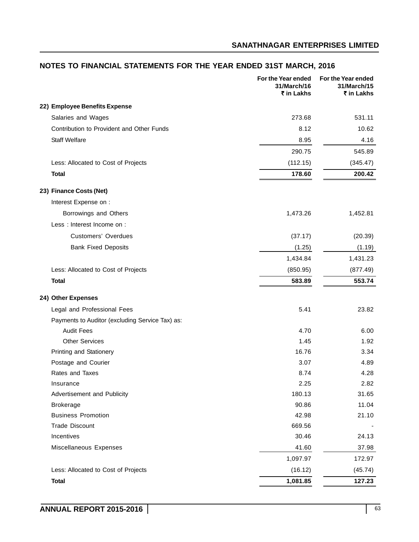# **22) Employee Benefits Expense** Salaries and Wages 273.68 531.11 Contribution to Provident and Other Funds 8.12 8.12 10.62 Staff Welfare 8.95 4.16 290.75 545.89 Less: Allocated to Cost of Projects (112.15) (345.47) **Total 178.60 200.42 23) Finance Costs (Net)** Interest Expense on : Borrowings and Others **1,473.26** 1,452.81 Less : Interest Income on : Customers' Overdues (37.17) (20.39) Bank Fixed Deposits (1.25) (1.19) 1,434.84 1,431.23 Less: Allocated to Cost of Projects (850.95) (877.49) **Total 583.89 553.74 24) Other Expenses** Legal and Professional Fees 6.6 (1999) 23.82 Payments to Auditor (excluding Service Tax) as: Audit Fees 4.70 6.00 Other Services 1.92 Printing and Stationery **16.76** 3.34 Postage and Courier 3.07 and 2.07 and 2.07 and 3.07 and 3.07 and 4.89 and 4.89 and 4.89 and 4.89 and 4.89 and 4.89 and 4.89 and 4.89 and 4.89 and 4.89 and 4.89 and 4.89 and 4.89 and 4.89 and 4.89 and 4.89 and 4.89 and 4.89 Rates and Taxes 8.74 6.1 and Taxes 8.74 6.1 and Taxes 8.74 6.1 and Taxes 8.74 6.1 and Taxes 8.74 6.1 and Taxes 4.28 Insurance 2.25 2.82 Advertisement and Publicity 180.13 31.65 Brokerage 90.86 11.04 Business Promotion 42.98 21.10 Trade Discount 669.56 - 1999 - 1999 - 1999 - 1999 - 1999 - 1999 - 1999 - 1999 - 1999 - 1999 - 1999 - 1999 - 19 Incentives 30.46 24.13 Miscellaneous Expenses **17.98** 37.98 1,097.97 172.97 Less: Allocated to Cost of Projects (16.12) (45.74) **Total 1,081.85 127.23 For the Year ended For the Year ended 31/March/16 31/March/15** ` **in Lakhs** ` **in Lakhs**

# **NOTES TO FINANCIAL STATEMENTS FOR THE YEAR ENDED 31ST MARCH, 2016**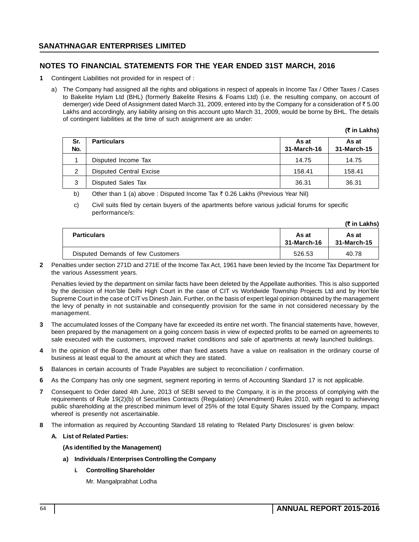# **NOTES TO FINANCIAL STATEMENTS FOR THE YEAR ENDED 31ST MARCH, 2016**

- **1** Contingent Liabilities not provided for in respect of :
	- a) The Company had assigned all the rights and obligations in respect of appeals in Income Tax / Other Taxes / Cases to Bakelite Hylam Ltd (BHL) (formerly Bakelite Resins & Foams Ltd) (i.e. the resulting company, on account of demerger) vide Deed of Assignment dated March 31, 2009, entered into by the Company for a consideration of ₹5.00 Lakhs and accordingly, any liability arising on this account upto March 31, 2009, would be borne by BHL. The details of contingent liabilities at the time of such assignment are as under:

**(**` **in Lakhs)**

**(**` **in Lakhs)**

| Sr.<br>No. | <b>Particulars</b>      | As at<br>31-March-16 | As at<br>31-March-15 |
|------------|-------------------------|----------------------|----------------------|
|            | Disputed Income Tax     | 14.75                | 14.75                |
| 2          | Disputed Central Excise | 158.41               | 158.41               |
| 3          | Disputed Sales Tax      | 36.31                | 36.31                |

b) Other than 1 (a) above : Disputed Income Tax  $\bar{\tau}$  0.26 Lakhs (Previous Year Nil)

c) Civil suits filed by certain buyers of the apartments before various judicial forums for specific performance/s:

|                                   |                      | 11 III LUNII 9       |
|-----------------------------------|----------------------|----------------------|
| <b>Particulars</b>                | As at<br>31-March-16 | As at<br>31-March-15 |
| Disputed Demands of few Customers | 526.53               | 40.78                |

**2** Penalties under section 271D and 271E of the Income Tax Act, 1961 have been levied by the Income Tax Department for the various Assessment years.

Penalties levied by the department on similar facts have been deleted by the Appellate authorities. This is also supported by the decision of Hon'ble Delhi High Court in the case of CIT vs Worldwide Township Projects Ltd and by Hon'ble Supreme Court in the case of CIT vs Dinesh Jain. Further, on the basis of expert legal opinion obtained by the management the levy of penalty in not sustainable and consequently provision for the same in not considered necessary by the management.

- **3** The accumulated losses of the Company have far exceeded its entire net worth. The financial statements have, however, been prepared by the management on a going concern basis in view of expected profits to be earned on agreements to sale executed with the customers, improved market conditions and sale of apartments at newly launched buildings.
- **4** In the opinion of the Board, the assets other than fixed assets have a value on realisation in the ordinary course of business at least equal to the amount at which they are stated.
- **5** Balances in certain accounts of Trade Payables are subject to reconciliation / confirmation.
- **6** As the Company has only one segment, segment reporting in terms of Accounting Standard 17 is not applicable.
- **7** Consequent to Order dated 4th June, 2013 of SEBI served to the Company, it is in the process of complying with the requirements of Rule 19(2)(b) of Securities Contracts (Regulation) (Amendment) Rules 2010, with regard to achieving public shareholding at the prescribed minimum level of 25% of the total Equity Shares issued by the Company, impact whereof is presently not ascertainable.
- **8** The information as required by Accounting Standard 18 relating to 'Related Party Disclosures' is given below:

## **A. List of Related Parties:**

## **(As identified by the Management)**

- **a) Individuals / Enterprises Controlling the Company**
	- **i. Controlling Shareholder**

Mr. Mangalprabhat Lodha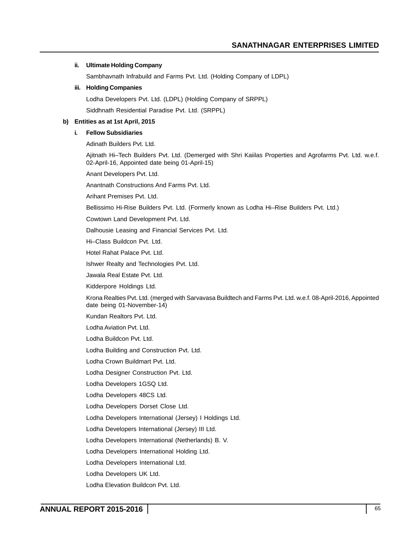### **ii. Ultimate Holding Company**

Sambhavnath Infrabuild and Farms Pvt. Ltd. (Holding Company of LDPL)

### **iii. Holding Companies**

Lodha Developers Pvt. Ltd. (LDPL) (Holding Company of SRPPL)

Siddhnath Residential Paradise Pvt. Ltd. (SRPPL)

### **b) Entities as at 1st April, 2015**

## **i. Fellow Subsidiaries**

Adinath Builders Pvt. Ltd.

Ajitnath Hi–Tech Builders Pvt. Ltd. (Demerged with Shri Kaiilas Properties and Agrofarms Pvt. Ltd. w.e.f. 02-April-16, Appointed date being 01-April-15)

Anant Developers Pvt. Ltd.

Anantnath Constructions And Farms Pvt. Ltd.

Arihant Premises Pvt. Ltd.

Bellissimo Hi-Rise Builders Pvt. Ltd. (Formerly known as Lodha Hi–Rise Builders Pvt. Ltd.)

Cowtown Land Development Pvt. Ltd.

Dalhousie Leasing and Financial Services Pvt. Ltd.

Hi–Class Buildcon Pvt. Ltd.

Hotel Rahat Palace Pvt. Ltd.

Ishwer Realty and Technologies Pvt. Ltd.

Jawala Real Estate Pvt. Ltd.

Kidderpore Holdings Ltd.

Krona Realties Pvt. Ltd. (merged with Sarvavasa Buildtech and Farms Pvt. Ltd. w.e.f. 08-April-2016, Appointed date being 01-November-14)

Kundan Realtors Pvt. Ltd.

Lodha Aviation Pvt. Ltd.

Lodha Buildcon Pvt. Ltd.

Lodha Building and Construction Pvt. Ltd.

Lodha Crown Buildmart Pvt. Ltd.

Lodha Designer Construction Pvt. Ltd.

Lodha Developers 1GSQ Ltd.

Lodha Developers 48CS Ltd.

Lodha Developers Dorset Close Ltd.

Lodha Developers International (Jersey) I Holdings Ltd.

Lodha Developers International (Jersey) III Ltd.

Lodha Developers International (Netherlands) B. V.

Lodha Developers International Holding Ltd.

Lodha Developers International Ltd.

Lodha Developers UK Ltd.

Lodha Elevation Buildcon Pvt. Ltd.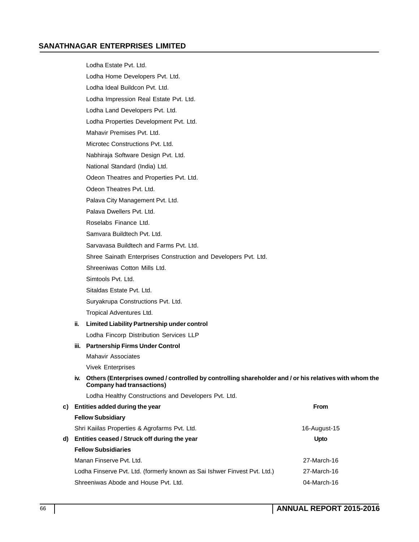Lodha Estate Pvt. Ltd. Lodha Home Developers Pvt. Ltd. Lodha Ideal Buildcon Pvt. Ltd. Lodha Impression Real Estate Pvt. Ltd. Lodha Land Developers Pvt. Ltd. Lodha Properties Development Pvt. Ltd. Mahavir Premises Pvt. Ltd. Microtec Constructions Pvt. Ltd. Nabhiraja Software Design Pvt. Ltd. National Standard (India) Ltd. Odeon Theatres and Properties Pvt. Ltd. Odeon Theatres Pvt. Ltd. Palava City Management Pvt. Ltd. Palava Dwellers Pvt. Ltd. Roselabs Finance Ltd. Samvara Buildtech Pvt. Ltd. Sarvavasa Buildtech and Farms Pvt. Ltd. Shree Sainath Enterprises Construction and Developers Pvt. Ltd. Shreeniwas Cotton Mills Ltd. Simtools Pvt. Ltd. Sitaldas Estate Pvt. Ltd. Suryakrupa Constructions Pvt. Ltd. Tropical Adventures Ltd. **ii. Limited Liability Partnership under control** Lodha Fincorp Distribution Services LLP **iii. Partnership Firms Under Control** Mahavir Associates Vivek Enterprises **iv. Others (Enterprises owned / controlled by controlling shareholder and / or his relatives with whom the Company had transactions)** Lodha Healthy Constructions and Developers Pvt. Ltd. **c) Entities added during the year From Fellow Subsidiary** Shri Kaiilas Properties & Agrofarms Pvt. Ltd. 16-August-15 **d)** Entities ceased / Struck off during the year Network Constants and Material Depto **Fellow Subsidiaries** Manan Finserve Pvt. Ltd. 27-March-16 Lodha Finserve Pvt. Ltd. (formerly known as Sai Ishwer Finvest Pvt. Ltd.) 27-March-16 Shreeniwas Abode and House Pvt. Ltd. **Case 18 and Shreeniwas Abode and House Pvt.** Ltd. 04-March-16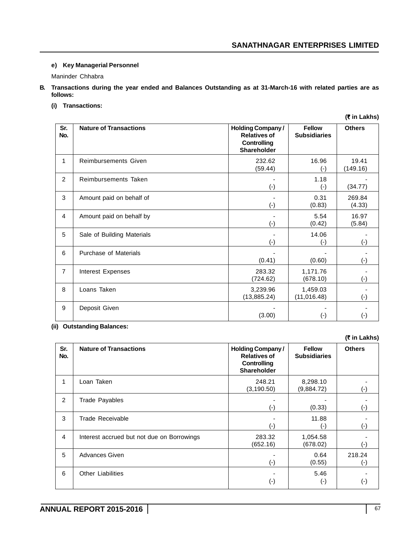## **e) Key Managerial Personnel**

Maninder Chhabra

**B. Transactions during the year ended and Balances Outstanding as at 31-March-16 with related parties are as follows:**

# **(i) Transactions:**

|                |                               |                                                                                     |                                      | (₹ in Lakhs)       |
|----------------|-------------------------------|-------------------------------------------------------------------------------------|--------------------------------------|--------------------|
| Sr.<br>No.     | <b>Nature of Transactions</b> | <b>Holding Company/</b><br><b>Relatives of</b><br><b>Controlling</b><br>Shareholder | <b>Fellow</b><br><b>Subsidiaries</b> | <b>Others</b>      |
| 1              | <b>Reimbursements Given</b>   | 232.62<br>(59.44)                                                                   | 16.96<br>$(\cdot)$                   | 19.41<br>(149.16)  |
| $\overline{2}$ | Reimbursements Taken          | $(-)$                                                                               | 1.18<br>$(\cdot)$                    | (34.77)            |
| 3              | Amount paid on behalf of      | $(\cdot)$                                                                           | 0.31<br>(0.83)                       | 269.84<br>(4.33)   |
| 4              | Amount paid on behalf by      | $(\cdot)$                                                                           | 5.54<br>(0.42)                       | 16.97<br>(5.84)    |
| 5              | Sale of Building Materials    | $(-)$                                                                               | 14.06<br>$(-)$                       | $(-)$              |
| 6              | Purchase of Materials         | (0.41)                                                                              | (0.60)                               | $(\textnormal{-})$ |
| $\overline{7}$ | Interest Expenses             | 283.32<br>(724.62)                                                                  | 1,171.76<br>(678.10)                 | $(\cdot)$          |
| 8              | Loans Taken                   | 3,239.96<br>(13, 885.24)                                                            | 1,459.03<br>(11, 016.48)             | $(\cdot)$          |
| 9              | Deposit Given                 | (3.00)                                                                              | $(\cdot)$                            | $(\textnormal{-})$ |

**(ii) Outstanding Balances:**

| Sr.<br>No. | <b>Nature of Transactions</b>              | <b>Holding Company/</b><br><b>Relatives of</b><br>Controlling<br>Shareholder | <b>Fellow</b><br><b>Subsidiaries</b> | <b>Others</b> |
|------------|--------------------------------------------|------------------------------------------------------------------------------|--------------------------------------|---------------|
| 1          | Loan Taken                                 | 248.21<br>(3, 190.50)                                                        | 8,298.10<br>(9,884.72)               | (-)           |
| 2          | <b>Trade Payables</b>                      | $(\textnormal{-})$                                                           | (0.33)                               | ( – )         |
| 3          | Trade Receivable                           | ( - )                                                                        | 11.88<br>$(-)$                       | (-)           |
| 4          | Interest accrued but not due on Borrowings | 283.32<br>(652.16)                                                           | 1,054.58<br>(678.02)                 |               |
| 5          | <b>Advances Given</b>                      | (-)                                                                          | 0.64<br>(0.55)                       | 218.24<br>(-) |
| 6          | <b>Other Liabilities</b>                   | $(\hbox{-})$                                                                 | 5.46<br>$(\cdot)$                    | (-)           |

**(**` **in Lakhs)**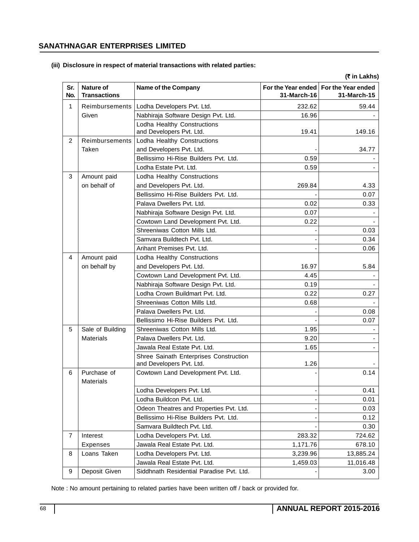### **(iii) Disclosure in respect of material transactions with related parties:**

**(**` **in Lakhs) Sr.** Nature of **Name of the Company For the Year ended For the Year ended No. Transactions 31-March-16 31-March-15** 1 Reimbursements Lodha Developers Pvt. Ltd. 232.62 59.44 Given **Nabhiraja Software Design Pvt. Ltd.** 16.96 - 16.96 Lodha Healthy Constructions and Developers Pvt. Ltd. 19.41 19.41 149.16 2 | Reimbursements | Lodha Healthy Constructions Taken and Developers Pvt. Ltd.  $\vert$   $\vert$   $\vert$   $\vert$   $\vert$   $\vert$   $\vert$  34.77 Bellissimo Hi-Rise Builders Pvt. Ltd. | 0.59 Lodha Estate Pvt. Ltd. 0.59 - 3 Amount paid Lodha Healthy Constructions on behalf of and Developers Pvt. Ltd. 269.84 269.84 Bellissimo Hi-Rise Builders Pvt. Ltd.  $\vert$  . 0.07 Palava Dwellers Pvt. Ltd.  $\begin{array}{ccc} 0.02 & 0.033 \end{array}$ Nabhiraja Software Design Pvt. Ltd. | 0.07 Cowtown Land Development Pvt. Ltd.  $\vert$  0.22 Shreeniwas Cotton Mills Ltd. **And Container and Container and Container and Container and Container and Contain** Samvara Buildtech Pvt. Ltd. **Cambridge Contract Contract Contract Contract Contract Contract Contract Contract Contract Contract Contract Contract Contract Contract Contract Contract Contract Contract Contract Contract Con** Arihant Premises Pvt. Ltd. - 0.06 4 Amount paid Lodha Healthy Constructions on behalf by and Developers Pvt. Ltd. 16.97 | 16.97 | 5.84 Cowtown Land Development Pvt. Ltd.  $\begin{array}{ccc} 4.45 & \end{array}$ Nabhiraja Software Design Pvt. Ltd. | Cabrical Co.19 Lodha Crown Buildmart Pvt. Ltd.  $0.22$  0.27 Shreeniwas Cotton Mills Ltd. **Communist Contract Contract Contract Contract Contract Contract Contract Contract Contract Contract Contract Contract Contract Contract Contract Contract Contract Contract Contract Contract Co** Palava Dwellers Pvt. Ltd. - 0.08 Bellissimo Hi-Rise Builders Pvt. Ltd.  $\vert$  | | | | | | | | 0.07 5 Sale of Building Shreeniwas Cotton Mills Ltd. 1.95 - 1.95 - 1.95 - 1.95 - 1.95 - 1.95 - 1.95 - 1.95 - 1.95 -Materials Palava Dwellers Pvt. Ltd. 1992 120 - 12.120 12.20 - 12.120 - 12.120 12.120 12.120 12.120 12.120 12.1 Jawala Real Estate Pvt. Ltd. 1.65 - 1.65 - 1.65 - 1.65 - 1.65 - 1.65 - 1.65 - 1.65 - 1.65 - 1.65 - 1.65 - 1.65 Shree Sainath Enterprises Construction and Developers Pvt. Ltd. 1.26 6 Purchase of Cowtown Land Development Pvt. Ltd. | COWTOWN 0.14 **Materials** Lodha Developers Pvt. Ltd. - 0.41 Lodha Buildcon Pvt. Ltd. - 0.01 Odeon Theatres and Properties Pvt. Ltd.  $\vert$  . . . . . . . . . . . . . . . . . 0.03 Bellissimo Hi-Rise Builders Pvt. Ltd.  $\vert$  . 0.12 Samvara Buildtech Pvt. Ltd. **Australian Control 1966** - 0.30 7 Interest Lodha Developers Pvt. Ltd. 283.32 724.62 Expenses Jawala Real Estate Pvt. Ltd. 1,171.76 678.10 8 Loans Taken Lodha Developers Pvt. Ltd. 13,239.96 13,885.24 Jawala Real Estate Pvt. Ltd. 1,459.03 11,016.48 9 Deposit Given Siddhnath Residential Paradise Pvt. Ltd. | Solution St. | 3.00

Note : No amount pertaining to related parties have been written off / back or provided for.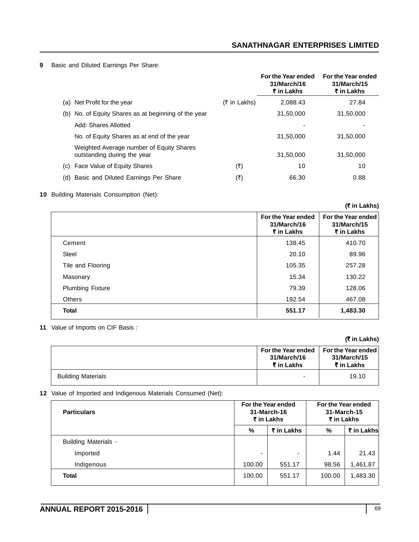**9** Basic and Diluted Earnings Per Share:

|                                                                         |                | For the Year ended<br>31/March/16<br>₹ in Lakhs | For the Year ended<br>31/March/15<br>₹ in Lakhs |
|-------------------------------------------------------------------------|----------------|-------------------------------------------------|-------------------------------------------------|
| (a) Net Profit for the year                                             | $(5$ in Lakhs) | 2.088.43                                        | 27.84                                           |
| No. of Equity Shares as at beginning of the year<br>(b)                 |                | 31,50,000                                       | 31,50,000                                       |
| Add: Shares Allotted                                                    |                |                                                 |                                                 |
| No. of Equity Shares as at end of the year                              |                | 31.50.000                                       | 31,50,000                                       |
| Weighted Average number of Equity Shares<br>outstanding during the year |                | 31,50,000                                       | 31,50,000                                       |
| Face Value of Equity Shares<br>(C)                                      | (₹)            | 10                                              | 10                                              |
| Basic and Diluted Earnings Per Share<br>(d)                             | (₹)            | 66.30                                           | 0.88                                            |

## **10** Building Materials Consumption (Net):

**(**` **in Lakhs)**

|                         | For the Year ended<br>31/March/16<br>₹ in Lakhs | For the Year ended<br>31/March/15<br>₹ in Lakhs |
|-------------------------|-------------------------------------------------|-------------------------------------------------|
| Cement                  | 138.45                                          | 410.70                                          |
| <b>Steel</b>            | 20.10                                           | 89.96                                           |
| Tile and Flooring       | 105.35                                          | 257.28                                          |
| Masonary                | 15.34                                           | 130.22                                          |
| <b>Plumbing Fixture</b> | 79.39                                           | 128.06                                          |
| <b>Others</b>           | 192.54                                          | 467.08                                          |
| <b>Total</b>            | 551.17                                          | 1,483.30                                        |

**11** Value of Imports on CIF Basis :

# **(**` **in Lakhs)**

|                           | For the Year ended<br>31/March/16<br>₹ in Lakhs | For the Year ended<br>31/March/15<br>₹ in Lakhs |
|---------------------------|-------------------------------------------------|-------------------------------------------------|
| <b>Building Materials</b> | $\overline{\phantom{0}}$                        | 19.10                                           |

**12** Value of Imported and Indigenous Materials Consumed (Net):

| <b>Particulars</b>          | For the Year ended<br>31-March-16<br>₹ in Lakhs |            | For the Year ended<br>31-March-15<br>₹ in Lakhs |            |
|-----------------------------|-------------------------------------------------|------------|-------------------------------------------------|------------|
|                             | %                                               | ₹ in Lakhs | %                                               | ₹ in Lakhs |
| <b>Building Materials -</b> |                                                 |            |                                                 |            |
| Imported                    | -                                               | ٠          | 1.44                                            | 21.43      |
| Indigenous                  | 100.00                                          | 551.17     | 98.56                                           | 1,461.87   |
| <b>Total</b>                | 100.00                                          | 551.17     | 100.00                                          | 1,483.30   |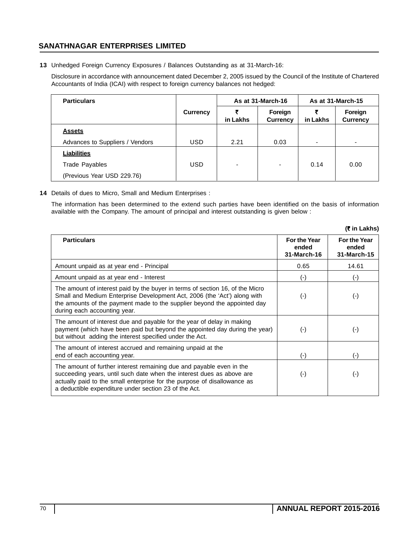**13** Unhedged Foreign Currency Exposures / Balances Outstanding as at 31-March-16:

Disclosure in accordance with announcement dated December 2, 2005 issued by the Council of the Institute of Chartered Accountants of India (ICAI) with respect to foreign currency balances not hedged:

| <b>Particulars</b>              |            | As at 31-March-16 |                            | As at 31-March-15 |                            |
|---------------------------------|------------|-------------------|----------------------------|-------------------|----------------------------|
|                                 | Currency   | in Lakhs          | Foreign<br><b>Currency</b> | in Lakhs          | Foreign<br><b>Currency</b> |
| <b>Assets</b>                   |            |                   |                            |                   |                            |
| Advances to Suppliers / Vendors | <b>USD</b> | 2.21              | 0.03                       | ٠                 | $\overline{\phantom{0}}$   |
| <b>Liabilities</b>              |            |                   |                            |                   |                            |
| <b>Trade Payables</b>           | <b>USD</b> | ٠                 | $\overline{\phantom{0}}$   | 0.14              | 0.00                       |
| (Previous Year USD 229.76)      |            |                   |                            |                   |                            |

**14** Details of dues to Micro, Small and Medium Enterprises :

The information has been determined to the extend such parties have been identified on the basis of information available with the Company. The amount of principal and interest outstanding is given below :

|                                                                                                                                                                                                                                                                                    |                                      | (₹ in Lakhs)                                |
|------------------------------------------------------------------------------------------------------------------------------------------------------------------------------------------------------------------------------------------------------------------------------------|--------------------------------------|---------------------------------------------|
| <b>Particulars</b>                                                                                                                                                                                                                                                                 | For the Year<br>ended<br>31-March-16 | <b>For the Year</b><br>ended<br>31-March-15 |
| Amount unpaid as at year end - Principal                                                                                                                                                                                                                                           | 0.65                                 | 14.61                                       |
| Amount unpaid as at year end - Interest                                                                                                                                                                                                                                            | $(\cdot)$                            | $(\textnormal{-})$                          |
| The amount of interest paid by the buyer in terms of section 16, of the Micro<br>Small and Medium Enterprise Development Act, 2006 (the 'Act') along with<br>the amounts of the payment made to the supplier beyond the appointed day<br>during each accounting year.              | $(-)$                                | (-)                                         |
| The amount of interest due and payable for the year of delay in making<br>payment (which have been paid but beyond the appointed day during the year)<br>but without adding the interest specified under the Act.                                                                  | $(\cdot)$                            | $(\cdot)$                                   |
| The amount of interest accrued and remaining unpaid at the<br>end of each accounting year.                                                                                                                                                                                         | $(-)$                                | (-)                                         |
| The amount of further interest remaining due and payable even in the<br>succeeding years, until such date when the interest dues as above are<br>actually paid to the small enterprise for the purpose of disallowance as<br>a deductible expenditure under section 23 of the Act. | $(\cdot)$                            | (-)                                         |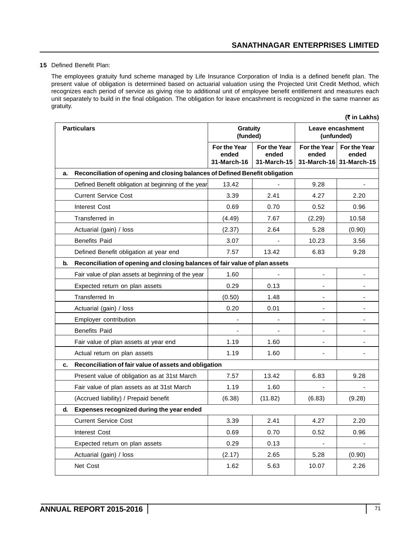## **15** Defined Benefit Plan:

The employees gratuity fund scheme managed by Life Insurance Corporation of India is a defined benefit plan. The present value of obligation is determined based on actuarial valuation using the Projected Unit Credit Method, which recognizes each period of service as giving rise to additional unit of employee benefit entitlement and measures each unit separately to build in the final obligation. The obligation for leave encashment is recognized in the same manner as gratuity.

|                    |                                                                              |                                      |                                      |                                | (₹ in Lakhs)                                     |
|--------------------|------------------------------------------------------------------------------|--------------------------------------|--------------------------------------|--------------------------------|--------------------------------------------------|
| <b>Particulars</b> |                                                                              | <b>Gratuity</b><br>(funded)          |                                      | Leave encashment<br>(unfunded) |                                                  |
|                    |                                                                              | For the Year<br>ended<br>31-March-16 | For the Year<br>ended<br>31-March-15 | For the Year<br>ended          | For the Year<br>ended<br>31-March-16 31-March-15 |
| a.                 | Reconciliation of opening and closing balances of Defined Benefit obligation |                                      |                                      |                                |                                                  |
|                    | Defined Benefit obligation at beginning of the year                          | 13.42                                |                                      | 9.28                           |                                                  |
|                    | <b>Current Service Cost</b>                                                  | 3.39                                 | 2.41                                 | 4.27                           | 2.20                                             |
|                    | <b>Interest Cost</b>                                                         | 0.69                                 | 0.70                                 | 0.52                           | 0.96                                             |
|                    | Transferred in                                                               | (4.49)                               | 7.67                                 | (2.29)                         | 10.58                                            |
|                    | Actuarial (gain) / loss                                                      | (2.37)                               | 2.64                                 | 5.28                           | (0.90)                                           |
|                    | <b>Benefits Paid</b>                                                         | 3.07                                 |                                      | 10.23                          | 3.56                                             |
|                    | Defined Benefit obligation at year end                                       | 7.57                                 | 13.42                                | 6.83                           | 9.28                                             |
| b.                 | Reconciliation of opening and closing balances of fair value of plan assets  |                                      |                                      |                                |                                                  |
|                    | Fair value of plan assets at beginning of the year                           | 1.60                                 |                                      |                                |                                                  |
|                    | Expected return on plan assets                                               | 0.29                                 | 0.13                                 |                                |                                                  |
|                    | Transferred In                                                               | (0.50)                               | 1.48                                 |                                |                                                  |
|                    | Actuarial (gain) / loss                                                      | 0.20                                 | 0.01                                 | ٠                              |                                                  |
|                    | Employer contribution                                                        |                                      |                                      |                                |                                                  |
|                    | <b>Benefits Paid</b>                                                         |                                      |                                      | ٠                              |                                                  |
|                    | Fair value of plan assets at year end                                        | 1.19                                 | 1.60                                 |                                |                                                  |
|                    | Actual return on plan assets                                                 | 1.19                                 | 1.60                                 |                                |                                                  |
| c.                 | Reconciliation of fair value of assets and obligation                        |                                      |                                      |                                |                                                  |
|                    | Present value of obligation as at 31st March                                 | 7.57                                 | 13.42                                | 6.83                           | 9.28                                             |
|                    | Fair value of plan assets as at 31st March                                   | 1.19                                 | 1.60                                 |                                |                                                  |
|                    | (Accrued liability) / Prepaid benefit                                        | (6.38)                               | (11.82)                              | (6.83)                         | (9.28)                                           |
| d.                 | Expenses recognized during the year ended                                    |                                      |                                      |                                |                                                  |
|                    | <b>Current Service Cost</b>                                                  | 3.39                                 | 2.41                                 | 4.27                           | 2.20                                             |
|                    | Interest Cost                                                                | 0.69                                 | 0.70                                 | 0.52                           | 0.96                                             |
|                    | Expected return on plan assets                                               | 0.29                                 | 0.13                                 |                                |                                                  |
|                    | Actuarial (gain) / loss                                                      | (2.17)                               | 2.65                                 | 5.28                           | (0.90)                                           |
|                    | Net Cost                                                                     | 1.62                                 | 5.63                                 | 10.07                          | 2.26                                             |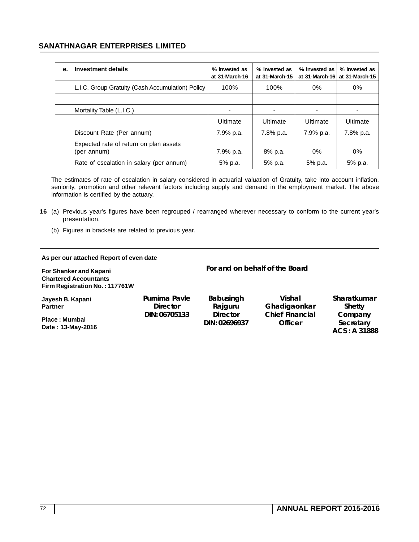### **SANATHNAGAR ENTERPRISES LIMITED**

| е. | Investment details                                    | % invested as<br>at 31-March-16 | % invested as<br>at 31-March-15 | % invested as<br>at 31-March-16 | % invested as<br>at 31-March-15 |
|----|-------------------------------------------------------|---------------------------------|---------------------------------|---------------------------------|---------------------------------|
|    | L.I.C. Group Gratuity (Cash Accumulation) Policy      | 100%                            | 100%                            | 0%                              | 0%                              |
|    |                                                       |                                 |                                 |                                 |                                 |
|    | Mortality Table (L.I.C.)                              | $\overline{\phantom{0}}$        |                                 | ٠                               |                                 |
|    |                                                       | Ultimate                        | Ultimate                        | Ultimate                        | Ultimate                        |
|    | Discount Rate (Per annum)                             | 7.9% p.a.                       | 7.8% p.a.                       | 7.9% p.a.                       | 7.8% p.a.                       |
|    | Expected rate of return on plan assets<br>(per annum) | 7.9% p.a.                       | 8% p.a.                         | 0%                              | 0%                              |
|    | Rate of escalation in salary (per annum)              | 5% p.a.                         | 5% p.a.                         | 5% p.a.                         | 5% p.a.                         |

The estimates of rate of escalation in salary considered in actuarial valuation of Gratuity, take into account inflation, seniority, promotion and other relevant factors including supply and demand in the employment market. The above information is certified by the actuary.

- **16** (a) Previous year's figures have been regrouped / rearranged wherever necessary to conform to the current year's presentation.
	- (b) Figures in brackets are related to previous year.

#### **As per our attached Report of even date**

**For Shanker and Kapani Chartered Accountants Firm Registration No. : 117761W Jayesh B. Kapani Partner Place : Mumbai Date : 13-May-2016 For and on behalf of the Board Purnima Pavle Director DIN: 06705133 Babusingh Rajguru Director DIN: 02696937 Vishal Ghadigaonkar Chief Financial Officer Sharatkumar Shetty Company Secretary ACS : A 31888**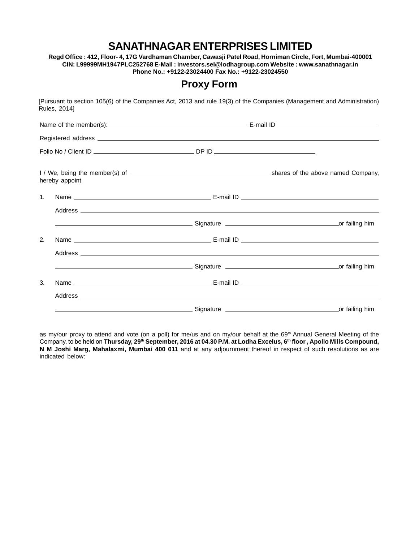## **SANATHNAGAR ENTERPRISES LIMITED**

**Regd Office : 412, Floor- 4, 17G Vardhaman Chamber, Cawasji Patel Road, Horniman Circle, Fort, Mumbai-400001 CIN: L99999MH1947PLC252768 E-Mail : investors.sel@lodhagroup.com Website : www.sanathnagar.in Phone No.: +9122-23024400 Fax No.: +9122-23024550**

## **Proxy Form**

[Pursuant to section 105(6) of the Companies Act, 2013 and rule 19(3) of the Companies (Management and Administration) Rules, 2014]

|    | hereby appoint |                                                                                                                                                                                                                                |  |  |
|----|----------------|--------------------------------------------------------------------------------------------------------------------------------------------------------------------------------------------------------------------------------|--|--|
| 1. |                |                                                                                                                                                                                                                                |  |  |
|    |                |                                                                                                                                                                                                                                |  |  |
|    |                | Contract of the Signature Contract of the Signature Contract of the Signature Contract of the Signature Contract of the Signature Contract of the Signature Contract of the Signature Contract of the Signature Contract of th |  |  |
| 2. |                |                                                                                                                                                                                                                                |  |  |
|    |                |                                                                                                                                                                                                                                |  |  |
|    |                |                                                                                                                                                                                                                                |  |  |
| 3. |                |                                                                                                                                                                                                                                |  |  |
|    |                |                                                                                                                                                                                                                                |  |  |
|    |                | entitive and the state of the state of the state of the state of the state of the state of the state of the state of the state of the state of the state of the state of the state of the state of the state of the state of t |  |  |

as my/our proxy to attend and vote (on a poll) for me/us and on my/our behalf at the 69th Annual General Meeting of the Company, to be held on Thursday, 29<sup>th</sup> September, 2016 at 04.30 P.M. at Lodha Excelus, 6<sup>th</sup> floor, Apollo Mills Compound, **N M Joshi Marg, Mahalaxmi, Mumbai 400 011** and at any adjournment thereof in respect of such resolutions as are indicated below: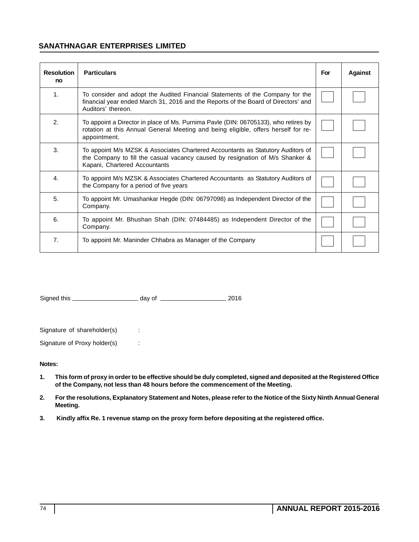### **SANATHNAGAR ENTERPRISES LIMITED**

| <b>Resolution</b><br>no | <b>Particulars</b>                                                                                                                                                                                | For | <b>Against</b> |
|-------------------------|---------------------------------------------------------------------------------------------------------------------------------------------------------------------------------------------------|-----|----------------|
| 1.                      | To consider and adopt the Audited Financial Statements of the Company for the<br>financial year ended March 31, 2016 and the Reports of the Board of Directors' and<br>Auditors' thereon.         |     |                |
| 2.                      | To appoint a Director in place of Ms. Purnima Pavle (DIN: 06705133), who retires by<br>rotation at this Annual General Meeting and being eligible, offers herself for re-<br>appointment.         |     |                |
| 3.                      | To appoint M/s MZSK & Associates Chartered Accountants as Statutory Auditors of<br>the Company to fill the casual vacancy caused by resignation of M/s Shanker &<br>Kapani, Chartered Accountants |     |                |
| 4.                      | To appoint M/s MZSK & Associates Chartered Accountants as Statutory Auditors of<br>the Company for a period of five years                                                                         |     |                |
| 5.                      | To appoint Mr. Umashankar Hegde (DIN: 06797098) as Independent Director of the<br>Company.                                                                                                        |     |                |
| 6.                      | To appoint Mr. Bhushan Shah (DIN: 07484485) as Independent Director of the<br>Company.                                                                                                            |     |                |
| 7.                      | To appoint Mr. Maninder Chhabra as Manager of the Company                                                                                                                                         |     |                |

Signed this day of 2016

Signature of shareholder(s) :

Signature of Proxy holder(s) :

**Notes:**

- **1. This form of proxy in order to be effective should be duly completed, signed and deposited at the Registered Office of the Company, not less than 48 hours before the commencement of the Meeting.**
- **2. For the resolutions, Explanatory Statement and Notes, please refer to the Notice of the Sixty Ninth Annual General Meeting.**
- **3. Kindly affix Re. 1 revenue stamp on the proxy form before depositing at the registered office.**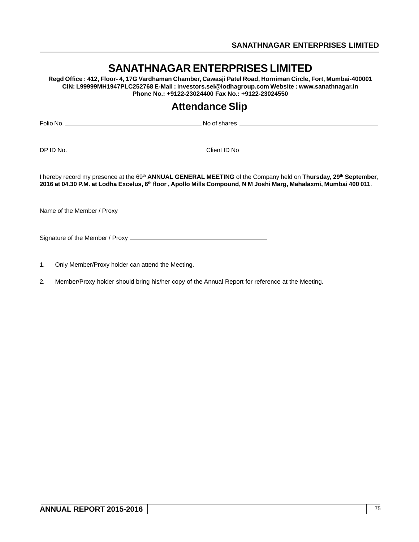|    | SANATHNAGAR ENTERPRISES LIMITED<br>Regd Office: 412, Floor- 4, 17G Vardhaman Chamber, Cawasji Patel Road, Horniman Circle, Fort, Mumbai-400001<br>CIN: L99999MH1947PLC252768 E-Mail: investors.sel@lodhagroup.com Website: www.sanathnagar.in<br>Phone No.: +9122-23024400 Fax No.: +9122-23024550 |  |  |  |  |  |
|----|----------------------------------------------------------------------------------------------------------------------------------------------------------------------------------------------------------------------------------------------------------------------------------------------------|--|--|--|--|--|
|    | <b>Attendance Slip</b>                                                                                                                                                                                                                                                                             |  |  |  |  |  |
|    |                                                                                                                                                                                                                                                                                                    |  |  |  |  |  |
|    |                                                                                                                                                                                                                                                                                                    |  |  |  |  |  |
|    | I hereby record my presence at the 69 <sup>th</sup> ANNUAL GENERAL MEETING of the Company held on Thursday, 29 <sup>th</sup> September,<br>2016 at 04.30 P.M. at Lodha Excelus, 6th floor, Apollo Mills Compound, N M Joshi Marg, Mahalaxmi, Mumbai 400 011.                                       |  |  |  |  |  |
|    |                                                                                                                                                                                                                                                                                                    |  |  |  |  |  |
|    |                                                                                                                                                                                                                                                                                                    |  |  |  |  |  |
| 1. | Only Member/Proxy holder can attend the Meeting.                                                                                                                                                                                                                                                   |  |  |  |  |  |

2. Member/Proxy holder should bring his/her copy of the Annual Report for reference at the Meeting.